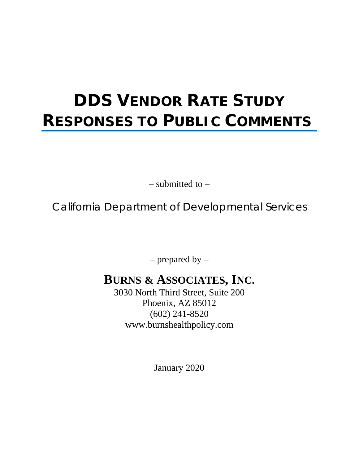# **DDS VENDOR RATE STUDY RESPONSES TO PUBLIC COMMENTS**

– submitted to –

California Department of Developmental Services

– prepared by –

# **BURNS & ASSOCIATES, INC.**

3030 North Third Street, Suite 200 Phoenix, AZ 85012 (602) 241-8520 www.burnshealthpolicy.com

January 2020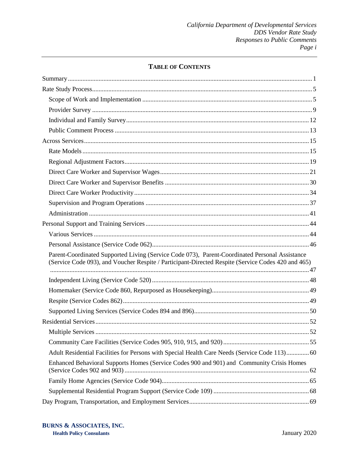# **TABLE OF CONTENTS**

| Parent-Coordinated Supported Living (Service Code 073), Parent-Coordinated Personal Assistance<br>(Service Code 093), and Voucher Respite / Participant-Directed Respite (Service Codes 420 and 465) |
|------------------------------------------------------------------------------------------------------------------------------------------------------------------------------------------------------|
|                                                                                                                                                                                                      |
|                                                                                                                                                                                                      |
|                                                                                                                                                                                                      |
|                                                                                                                                                                                                      |
|                                                                                                                                                                                                      |
|                                                                                                                                                                                                      |
|                                                                                                                                                                                                      |
| Adult Residential Facilities for Persons with Special Health Care Needs (Service Code 113) 60                                                                                                        |
| Enhanced Behavioral Supports Homes (Service Codes 900 and 901) and Community Crisis Homes                                                                                                            |
|                                                                                                                                                                                                      |
|                                                                                                                                                                                                      |
|                                                                                                                                                                                                      |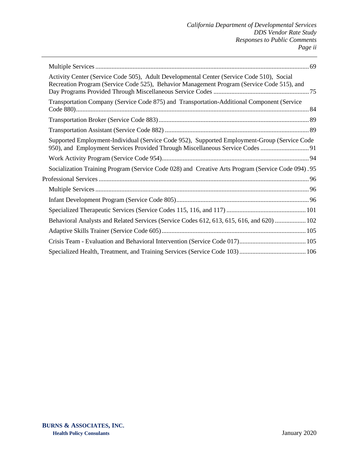| Activity Center (Service Code 505), Adult Developmental Center (Service Code 510), Social<br>Recreation Program (Service Code 525), Behavior Management Program (Service Code 515), and |  |
|-----------------------------------------------------------------------------------------------------------------------------------------------------------------------------------------|--|
| Transportation Company (Service Code 875) and Transportation-Additional Component (Service                                                                                              |  |
|                                                                                                                                                                                         |  |
|                                                                                                                                                                                         |  |
| Supported Employment-Individual (Service Code 952), Supported Employment-Group (Service Code<br>950), and Employment Services Provided Through Miscellaneous Service Codes 91           |  |
|                                                                                                                                                                                         |  |
| Socialization Training Program (Service Code 028) and Creative Arts Program (Service Code 094). 95                                                                                      |  |
|                                                                                                                                                                                         |  |
|                                                                                                                                                                                         |  |
|                                                                                                                                                                                         |  |
|                                                                                                                                                                                         |  |
| Behavioral Analysts and Related Services (Service Codes 612, 613, 615, 616, and 620)  102                                                                                               |  |
|                                                                                                                                                                                         |  |
|                                                                                                                                                                                         |  |
|                                                                                                                                                                                         |  |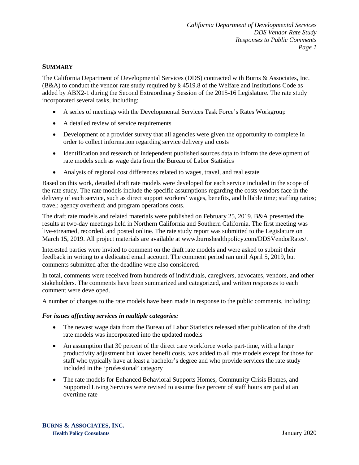#### <span id="page-3-0"></span>**SUMMARY**

The California Department of Developmental Services (DDS) contracted with Burns & Associates, Inc. (B&A) to conduct the vendor rate study required by § 4519.8 of the Welfare and Institutions Code as added by ABX2-1 during the Second Extraordinary Session of the 2015-16 Legislature. The rate study incorporated several tasks, including:

- A series of meetings with the Developmental Services Task Force's Rates Workgroup
- A detailed review of service requirements
- Development of a provider survey that all agencies were given the opportunity to complete in order to collect information regarding service delivery and costs
- Identification and research of independent published sources data to inform the development of rate models such as wage data from the Bureau of Labor Statistics
- Analysis of regional cost differences related to wages, travel, and real estate

Based on this work, detailed draft rate models were developed for each service included in the scope of the rate study. The rate models include the specific assumptions regarding the costs vendors face in the delivery of each service, such as direct support workers' wages, benefits, and billable time; staffing ratios; travel; agency overhead; and program operations costs.

The draft rate models and related materials were published on February 25, 2019. B&A presented the results at two-day meetings held in Northern California and Southern California. The first meeting was live-streamed, recorded, and posted online. The rate study report was submitted to the Legislature on March 15, 2019. All project materials are available at www.burnshealthpolicy.com/DDSVendorRates/.

Interested parties were invited to comment on the draft rate models and were asked to submit their feedback in writing to a dedicated email account. The comment period ran until April 5, 2019, but comments submitted after the deadline were also considered.

In total, comments were received from hundreds of individuals, caregivers, advocates, vendors, and other stakeholders. The comments have been summarized and categorized, and written responses to each comment were developed.

A number of changes to the rate models have been made in response to the public comments, including:

#### *For issues affecting services in multiple categories:*

- The newest wage data from the Bureau of Labor Statistics released after publication of the draft rate models was incorporated into the updated models
- An assumption that 30 percent of the direct care workforce works part-time, with a larger productivity adjustment but lower benefit costs, was added to all rate models except for those for staff who typically have at least a bachelor's degree and who provide services the rate study included in the 'professional' category
- The rate models for Enhanced Behavioral Supports Homes, Community Crisis Homes, and Supported Living Services were revised to assume five percent of staff hours are paid at an overtime rate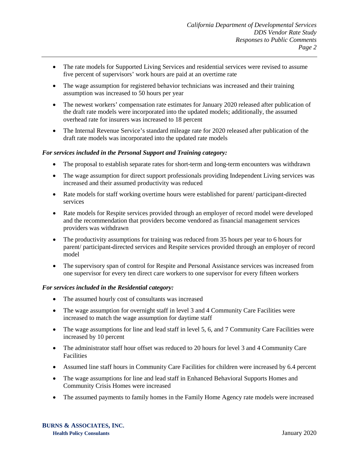- The rate models for Supported Living Services and residential services were revised to assume five percent of supervisors' work hours are paid at an overtime rate
- The wage assumption for registered behavior technicians was increased and their training assumption was increased to 50 hours per year
- The newest workers' compensation rate estimates for January 2020 released after publication of the draft rate models were incorporated into the updated models; additionally, the assumed overhead rate for insurers was increased to 18 percent
- The Internal Revenue Service's standard mileage rate for 2020 released after publication of the draft rate models was incorporated into the updated rate models

# *For services included in the Personal Support and Training category:*

- The proposal to establish separate rates for short-term and long-term encounters was withdrawn
- The wage assumption for direct support professionals providing Independent Living services was increased and their assumed productivity was reduced
- Rate models for staff working overtime hours were established for parent/ participant-directed services
- Rate models for Respite services provided through an employer of record model were developed and the recommendation that providers become vendored as financial management services providers was withdrawn
- The productivity assumptions for training was reduced from 35 hours per year to 6 hours for parent/ participant-directed services and Respite services provided through an employer of record model
- The supervisory span of control for Respite and Personal Assistance services was increased from one supervisor for every ten direct care workers to one supervisor for every fifteen workers

#### *For services included in the Residential category:*

- The assumed hourly cost of consultants was increased
- The wage assumption for overnight staff in level 3 and 4 Community Care Facilities were increased to match the wage assumption for daytime staff
- The wage assumptions for line and lead staff in level 5, 6, and 7 Community Care Facilities were increased by 10 percent
- The administrator staff hour offset was reduced to 20 hours for level 3 and 4 Community Care **Facilities**
- Assumed line staff hours in Community Care Facilities for children were increased by 6.4 percent
- The wage assumptions for line and lead staff in Enhanced Behavioral Supports Homes and Community Crisis Homes were increased
- The assumed payments to family homes in the Family Home Agency rate models were increased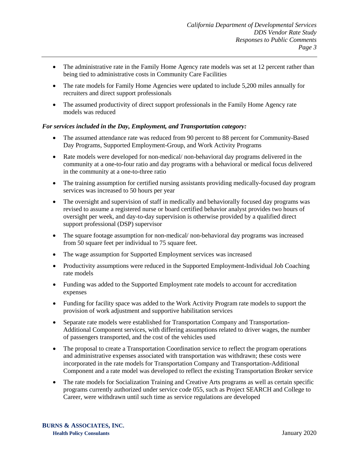- The administrative rate in the Family Home Agency rate models was set at 12 percent rather than being tied to administrative costs in Community Care Facilities
- The rate models for Family Home Agencies were updated to include 5,200 miles annually for recruiters and direct support professionals
- The assumed productivity of direct support professionals in the Family Home Agency rate models was reduced

# *For services included in the Day, Employment, and Transportation category:*

- The assumed attendance rate was reduced from 90 percent to 88 percent for Community-Based Day Programs, Supported Employment-Group, and Work Activity Programs
- Rate models were developed for non-medical/ non-behavioral day programs delivered in the community at a one-to-four ratio and day programs with a behavioral or medical focus delivered in the community at a one-to-three ratio
- The training assumption for certified nursing assistants providing medically-focused day program services was increased to 50 hours per year
- The oversight and supervision of staff in medically and behaviorally focused day programs was revised to assume a registered nurse or board certified behavior analyst provides two hours of oversight per week, and day-to-day supervision is otherwise provided by a qualified direct support professional (DSP) supervisor
- The square footage assumption for non-medical/ non-behavioral day programs was increased from 50 square feet per individual to 75 square feet.
- The wage assumption for Supported Employment services was increased
- Productivity assumptions were reduced in the Supported Employment-Individual Job Coaching rate models
- Funding was added to the Supported Employment rate models to account for accreditation expenses
- Funding for facility space was added to the Work Activity Program rate models to support the provision of work adjustment and supportive habilitation services
- Separate rate models were established for Transportation Company and Transportation-Additional Component services, with differing assumptions related to driver wages, the number of passengers transported, and the cost of the vehicles used
- The proposal to create a Transportation Coordination service to reflect the program operations and administrative expenses associated with transportation was withdrawn; these costs were incorporated in the rate models for Transportation Company and Transportation-Additional Component and a rate model was developed to reflect the existing Transportation Broker service
- The rate models for Socialization Training and Creative Arts programs as well as certain specific programs currently authorized under service code 055, such as Project SEARCH and College to Career, were withdrawn until such time as service regulations are developed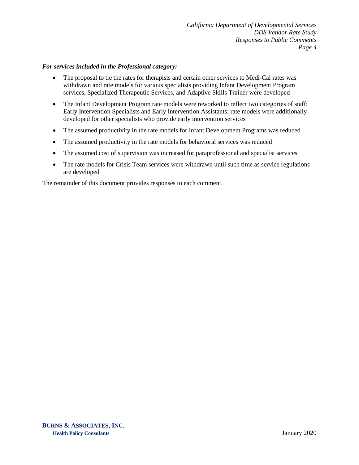#### *For services included in the Professional category:*

- The proposal to tie the rates for therapists and certain other services to Medi-Cal rates was withdrawn and rate models for various specialists providing Infant Development Program services, Specialized Therapeutic Services, and Adaptive Skills Trainer were developed
- The Infant Development Program rate models were reworked to reflect two categories of staff: Early Intervention Specialists and Early Intervention Assistants; rate models were additionally developed for other specialists who provide early intervention services
- The assumed productivity in the rate models for Infant Development Programs was reduced
- The assumed productivity in the rate models for behavioral services was reduced
- The assumed cost of supervision was increased for paraprofessional and specialist services
- The rate models for Crisis Team services were withdrawn until such time as service regulations are developed

The remainder of this document provides responses to each comment.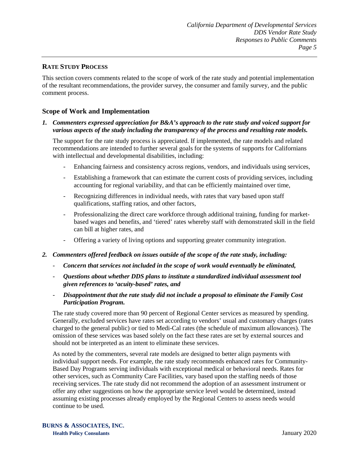# <span id="page-7-0"></span>**RATE STUDY PROCESS**

This section covers comments related to the scope of work of the rate study and potential implementation of the resultant recommendations, the provider survey, the consumer and family survey, and the public comment process.

# <span id="page-7-1"></span>**Scope of Work and Implementation**

#### *1. Commenters expressed appreciation for B&A's approach to the rate study and voiced support for various aspects of the study including the transparency of the process and resulting rate models.*

The support for the rate study process is appreciated. If implemented, the rate models and related recommendations are intended to further several goals for the systems of supports for Californians with intellectual and developmental disabilities, including:

- Enhancing fairness and consistency across regions, vendors, and individuals using services,
- Establishing a framework that can estimate the current costs of providing services, including accounting for regional variability, and that can be efficiently maintained over time,
- Recognizing differences in individual needs, with rates that vary based upon staff qualifications, staffing ratios, and other factors,
- Professionalizing the direct care workforce through additional training, funding for marketbased wages and benefits, and 'tiered' rates whereby staff with demonstrated skill in the field can bill at higher rates, and
- Offering a variety of living options and supporting greater community integration.
- *2. Commenters offered feedback on issues outside of the scope of the rate study, including:* 
	- *Concern that services not included in the scope of work would eventually be eliminated,*
	- *Questions about whether DDS plans to institute a standardized individual assessment tool given references to 'acuity-based' rates, and*
	- *Disappointment that the rate study did not include a proposal to eliminate the Family Cost Participation Program.*

The rate study covered more than 90 percent of Regional Center services as measured by spending. Generally, excluded services have rates set according to vendors' usual and customary charges (rates charged to the general public) or tied to Medi-Cal rates (the schedule of maximum allowances). The omission of these services was based solely on the fact these rates are set by external sources and should not be interpreted as an intent to eliminate these services.

As noted by the commenters, several rate models are designed to better align payments with individual support needs. For example, the rate study recommends enhanced rates for Community-Based Day Programs serving individuals with exceptional medical or behavioral needs. Rates for other services, such as Community Care Facilities, vary based upon the staffing needs of those receiving services. The rate study did not recommend the adoption of an assessment instrument or offer any other suggestions on how the appropriate service level would be determined, instead assuming existing processes already employed by the Regional Centers to assess needs would continue to be used.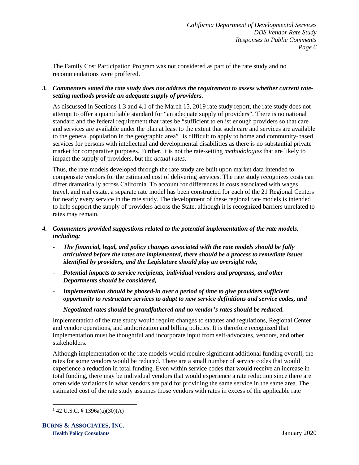The Family Cost Participation Program was not considered as part of the rate study and no recommendations were proffered.

# *3. Commenters stated the rate study does not address the requirement to assess whether current ratesetting methods provide an adequate supply of providers.*

As discussed in Sections 1.3 and 4.1 of the March 15, 2019 rate study report, the rate study does not attempt to offer a quantifiable standard for "an adequate supply of providers". There is no national standard and the federal requirement that rates be "sufficient to enlist enough providers so that care and services are available under the plan at least to the extent that such care and services are available to the general population in the geographic area"<sup>[1](#page-8-0)</sup> is difficult to apply to home and community-based services for persons with intellectual and developmental disabilities as there is no substantial private market for comparative purposes. Further, it is not the rate-setting *methodologies* that are likely to impact the supply of providers, but the *actual rates*.

Thus, the rate models developed through the rate study are built upon market data intended to compensate vendors for the estimated cost of delivering services. The rate study recognizes costs can differ dramatically across California. To account for differences in costs associated with wages, travel, and real estate, a separate rate model has been constructed for each of the 21 Regional Centers for nearly every service in the rate study. The development of these regional rate models is intended to help support the supply of providers across the State, although it is recognized barriers unrelated to rates may remain.

# *4. Commenters provided suggestions related to the potential implementation of the rate models, including:*

- *The financial, legal, and policy changes associated with the rate models should be fully articulated before the rates are implemented, there should be a process to remediate issues identified by providers, and the Legislature should play an oversight role,*
- *Potential impacts to service recipients, individual vendors and programs, and other Departments should be considered,*
- *Implementation should be phased-in over a period of time to give providers sufficient opportunity to restructure services to adapt to new service definitions and service codes, and*
- *Negotiated rates should be grandfathered and no vendor's rates should be reduced.*

Implementation of the rate study would require changes to statutes and regulations, Regional Center and vendor operations, and authorization and billing policies. It is therefore recognized that implementation must be thoughtful and incorporate input from self-advocates, vendors, and other stakeholders.

Although implementation of the rate models would require significant additional funding overall, the rates for some vendors would be reduced. There are a small number of service codes that would experience a reduction in total funding. Even within service codes that would receive an increase in total funding, there may be individual vendors that would experience a rate reduction since there are often wide variations in what vendors are paid for providing the same service in the same area. The estimated cost of the rate study assumes those vendors with rates in excess of the applicable rate

<span id="page-8-0"></span> $1$  42 U.S.C. § 1396a(a)(30)(A)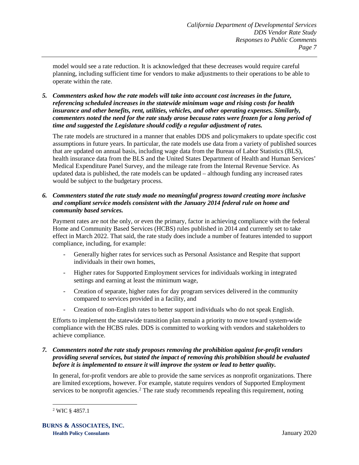model would see a rate reduction. It is acknowledged that these decreases would require careful planning, including sufficient time for vendors to make adjustments to their operations to be able to operate within the rate.

*5. Commenters asked how the rate models will take into account cost increases in the future, referencing scheduled increases in the statewide minimum wage and rising costs for health insurance and other benefits, rent, utilities, vehicles, and other operating expenses. Similarly, commenters noted the need for the rate study arose because rates were frozen for a long period of time and suggested the Legislature should codify a regular adjustment of rates.*

The rate models are structured in a manner that enables DDS and policymakers to update specific cost assumptions in future years. In particular, the rate models use data from a variety of published sources that are updated on annual basis, including wage data from the Bureau of Labor Statistics (BLS), health insurance data from the BLS and the United States Department of Health and Human Services' Medical Expenditure Panel Survey, and the mileage rate from the Internal Revenue Service. As updated data is published, the rate models can be updated – although funding any increased rates would be subject to the budgetary process.

# *6. Commenters stated the rate study made no meaningful progress toward creating more inclusive and compliant service models consistent with the January 2014 federal rule on home and community based services.*

Payment rates are not the only, or even the primary, factor in achieving compliance with the federal Home and Community Based Services (HCBS) rules published in 2014 and currently set to take effect in March 2022. That said, the rate study does include a number of features intended to support compliance, including, for example:

- Generally higher rates for services such as Personal Assistance and Respite that support individuals in their own homes,
- Higher rates for Supported Employment services for individuals working in integrated settings and earning at least the minimum wage,
- Creation of separate, higher rates for day program services delivered in the community compared to services provided in a facility, and
- Creation of non-English rates to better support individuals who do not speak English.

Efforts to implement the statewide transition plan remain a priority to move toward system-wide compliance with the HCBS rules. DDS is committed to working with vendors and stakeholders to achieve compliance.

# *7. Commenters noted the rate study proposes removing the prohibition against for-profit vendors providing several services, but stated the impact of removing this prohibition should be evaluated before it is implemented to ensure it will improve the system or lead to better quality.*

In general, for-profit vendors are able to provide the same services as nonprofit organizations. There are limited exceptions, however. For example, statute requires vendors of Supported Employment services to be nonprofit agencies.<sup>[2](#page-9-0)</sup> The rate study recommends repealing this requirement, noting

<span id="page-9-0"></span> <sup>2</sup> WIC § 4857.1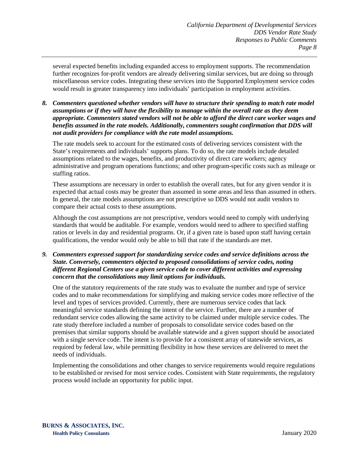several expected benefits including expanded access to employment supports. The recommendation further recognizes for-profit vendors are already delivering similar services, but are doing so through miscellaneous service codes. Integrating these services into the Supported Employment service codes would result in greater transparency into individuals' participation in employment activities.

*8. Commenters questioned whether vendors will have to structure their spending to match rate model assumptions or if they will have the flexibility to manage within the overall rate as they deem appropriate. Commenters stated vendors will not be able to afford the direct care worker wages and benefits assumed in the rate models. Additionally, commenters sought confirmation that DDS will not audit providers for compliance with the rate model assumptions.*

The rate models seek to account for the estimated costs of delivering services consistent with the State's requirements and individuals' supports plans. To do so, the rate models include detailed assumptions related to the wages, benefits, and productivity of direct care workers; agency administrative and program operations functions; and other program-specific costs such as mileage or staffing ratios.

These assumptions are necessary in order to establish the overall rates, but for any given vendor it is expected that actual costs may be greater than assumed in some areas and less than assumed in others. In general, the rate models assumptions are not prescriptive so DDS would not audit vendors to compare their actual costs to these assumptions.

Although the cost assumptions are not prescriptive, vendors would need to comply with underlying standards that would be auditable. For example, vendors would need to adhere to specified staffing ratios or levels in day and residential programs. Or, if a given rate is based upon staff having certain qualifications, the vendor would only be able to bill that rate if the standards are met.

*9. Commenters expressed support for standardizing service codes and service definitions across the State. Conversely, commenters objected to proposed consolidations of service codes, noting different Regional Centers use a given service code to cover different activities and expressing concern that the consolidations may limit options for individuals.*

One of the statutory requirements of the rate study was to evaluate the number and type of service codes and to make recommendations for simplifying and making service codes more reflective of the level and types of services provided. Currently, there are numerous service codes that lack meaningful service standards defining the intent of the service. Further, there are a number of redundant service codes allowing the same activity to be claimed under multiple service codes. The rate study therefore included a number of proposals to consolidate service codes based on the premises that similar supports should be available statewide and a given support should be associated with a single service code. The intent is to provide for a consistent array of statewide services, as required by federal law, while permitting flexibility in how these services are delivered to meet the needs of individuals.

Implementing the consolidations and other changes to service requirements would require regulations to be established or revised for most service codes. Consistent with State requirements, the regulatory process would include an opportunity for public input.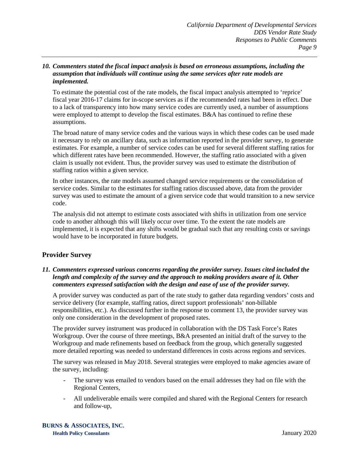#### *10. Commenters stated the fiscal impact analysis is based on erroneous assumptions, including the assumption that individuals will continue using the same services after rate models are implemented.*

To estimate the potential cost of the rate models, the fiscal impact analysis attempted to 'reprice' fiscal year 2016-17 claims for in-scope services as if the recommended rates had been in effect. Due to a lack of transparency into how many service codes are currently used, a number of assumptions were employed to attempt to develop the fiscal estimates. B&A has continued to refine these assumptions.

The broad nature of many service codes and the various ways in which these codes can be used made it necessary to rely on ancillary data, such as information reported in the provider survey, to generate estimates. For example, a number of service codes can be used for several different staffing ratios for which different rates have been recommended. However, the staffing ratio associated with a given claim is usually not evident. Thus, the provider survey was used to estimate the distribution of staffing ratios within a given service.

In other instances, the rate models assumed changed service requirements or the consolidation of service codes. Similar to the estimates for staffing ratios discussed above, data from the provider survey was used to estimate the amount of a given service code that would transition to a new service code.

The analysis did not attempt to estimate costs associated with shifts in utilization from one service code to another although this will likely occur over time. To the extent the rate models are implemented, it is expected that any shifts would be gradual such that any resulting costs or savings would have to be incorporated in future budgets.

# <span id="page-11-0"></span>**Provider Survey**

# *11. Commenters expressed various concerns regarding the provider survey. Issues cited included the length and complexity of the survey and the approach to making providers aware of it. Other commenters expressed satisfaction with the design and ease of use of the provider survey.*

A provider survey was conducted as part of the rate study to gather data regarding vendors' costs and service delivery (for example, staffing ratios, direct support professionals' non-billable responsibilities, etc.). As discussed further in the response to comment 13, the provider survey was only one consideration in the development of proposed rates.

The provider survey instrument was produced in collaboration with the DS Task Force's Rates Workgroup. Over the course of three meetings, B&A presented an initial draft of the survey to the Workgroup and made refinements based on feedback from the group, which generally suggested more detailed reporting was needed to understand differences in costs across regions and services.

The survey was released in May 2018. Several strategies were employed to make agencies aware of the survey, including:

- The survey was emailed to vendors based on the email addresses they had on file with the Regional Centers,
- All undeliverable emails were compiled and shared with the Regional Centers for research and follow-up,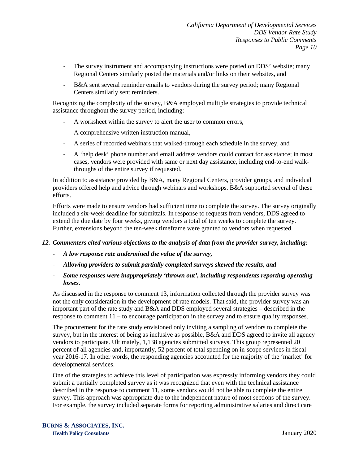- The survey instrument and accompanying instructions were posted on DDS' website; many Regional Centers similarly posted the materials and/or links on their websites, and
- B&A sent several reminder emails to vendors during the survey period; many Regional Centers similarly sent reminders.

Recognizing the complexity of the survey, B&A employed multiple strategies to provide technical assistance throughout the survey period, including:

- A worksheet within the survey to alert the user to common errors,
- A comprehensive written instruction manual,
- A series of recorded webinars that walked-through each schedule in the survey, and
- A 'help desk' phone number and email address vendors could contact for assistance; in most cases, vendors were provided with same or next day assistance, including end-to-end walkthroughs of the entire survey if requested.

In addition to assistance provided by B&A, many Regional Centers, provider groups, and individual providers offered help and advice through webinars and workshops. B&A supported several of these efforts.

Efforts were made to ensure vendors had sufficient time to complete the survey. The survey originally included a six-week deadline for submittals. In response to requests from vendors, DDS agreed to extend the due date by four weeks, giving vendors a total of ten weeks to complete the survey. Further, extensions beyond the ten-week timeframe were granted to vendors when requested.

#### *12. Commenters cited various objections to the analysis of data from the provider survey, including:*

- *A low response rate undermined the value of the survey,*
- *Allowing providers to submit partially completed surveys skewed the results, and*
- *Some responses were inappropriately 'thrown out', including respondents reporting operating losses.*

As discussed in the response to comment 13, information collected through the provider survey was not the only consideration in the development of rate models. That said, the provider survey was an important part of the rate study and B&A and DDS employed several strategies – described in the response to comment 11 – to encourage participation in the survey and to ensure quality responses.

The procurement for the rate study envisioned only inviting a sampling of vendors to complete the survey, but in the interest of being as inclusive as possible, B&A and DDS agreed to invite all agency vendors to participate. Ultimately, 1,138 agencies submitted surveys. This group represented 20 percent of all agencies and, importantly, 52 percent of total spending on in-scope services in fiscal year 2016-17. In other words, the responding agencies accounted for the majority of the 'market' for developmental services.

One of the strategies to achieve this level of participation was expressly informing vendors they could submit a partially completed survey as it was recognized that even with the technical assistance described in the response to comment 11, some vendors would not be able to complete the entire survey. This approach was appropriate due to the independent nature of most sections of the survey. For example, the survey included separate forms for reporting administrative salaries and direct care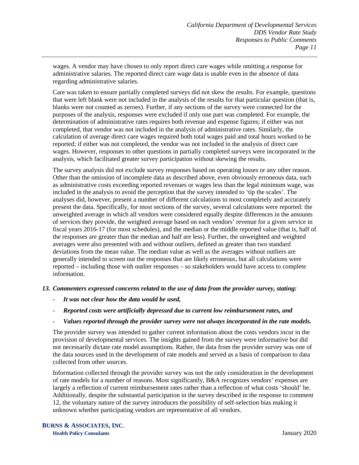wages. A vendor may have chosen to only report direct care wages while omitting a response for administrative salaries. The reported direct care wage data is usable even in the absence of data regarding administrative salaries.

Care was taken to ensure partially completed surveys did not skew the results. For example, questions that were left blank were not included in the analysis of the results for that particular question (that is, blanks were not counted as zeroes). Further, if any sections of the survey were connected for the purposes of the analysis, responses were excluded if only one part was completed. For example, the determination of administrative rates requires both revenue and expense figures; if either was not completed, that vendor was not included in the analysis of administrative rates. Similarly, the calculation of average direct care wages required both total wages paid and total hours worked to be reported; if either was not completed, the vendor was not included in the analysis of direct care wages. However, responses to other questions in partially completed surveys were incorporated in the analysis, which facilitated greater survey participation without skewing the results.

The survey analysis did not exclude survey responses based on operating losses or any other reason. Other than the omission of incomplete data as described above, even obviously erroneous data, such as administrative costs exceeding reported revenues or wages less than the legal minimum wage, was included in the analysis to avoid the perception that the survey intended to 'tip the scales'. The analyses did, however, present a number of different calculations to most completely and accurately present the data. Specifically, for most sections of the survey, several calculations were reported: the unweighted average in which all vendors were considered equally despite differences in the amounts of services they provide, the weighted average based on each vendors' revenue for a given service in fiscal years 2016-17 (for most schedules), and the median or the middle reported value (that is, half of the responses are greater than the median and half are less). Further, the unweighted and weighted averages were also presented with and without outliers, defined as greater than two standard deviations from the mean value. The median value as well as the averages without outliers are generally intended to screen out the responses that are likely erroneous, but all calculations were reported – including those with outlier responses – so stakeholders would have access to complete information.

#### *13. Commenters expressed concerns related to the use of data from the provider survey, stating:*

- *It was not clear how the data would be used,*
- *Reported costs were artificially depressed due to current low reimbursement rates, and*

#### - *Values reported through the provider survey were not always incorporated in the rate models.*

The provider survey was intended to gather current information about the costs vendors incur in the provision of developmental services. The insights gained from the survey were informative but did not necessarily dictate rate model assumptions. Rather, the data from the provider survey was one of the data sources used in the development of rate models and served as a basis of comparison to data collected from other sources.

Information collected through the provider survey was not the only consideration in the development of rate models for a number of reasons. Most significantly, B&A recognizes vendors' expenses are largely a reflection of current reimbursement rates rather than a reflection of what costs 'should' be. Additionally, despite the substantial participation in the survey described in the response to comment 12, the voluntary nature of the survey introduces the possibility of self-selection bias making it unknown whether participating vendors are representative of all vendors.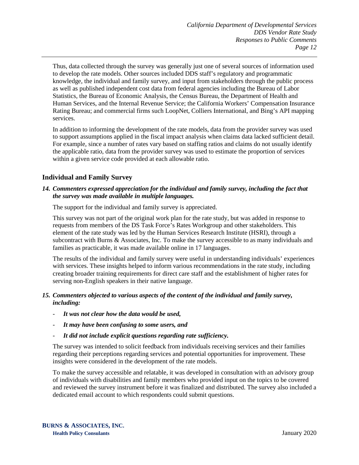Thus, data collected through the survey was generally just one of several sources of information used to develop the rate models. Other sources included DDS staff's regulatory and programmatic knowledge, the individual and family survey, and input from stakeholders through the public process as well as published independent cost data from federal agencies including the Bureau of Labor Statistics, the Bureau of Economic Analysis, the Census Bureau, the Department of Health and Human Services, and the Internal Revenue Service; the California Workers' Compensation Insurance Rating Bureau; and commercial firms such LoopNet, Colliers International, and Bing's API mapping services.

In addition to informing the development of the rate models, data from the provider survey was used to support assumptions applied in the fiscal impact analysis when claims data lacked sufficient detail. For example, since a number of rates vary based on staffing ratios and claims do not usually identify the applicable ratio, data from the provider survey was used to estimate the proportion of services within a given service code provided at each allowable ratio.

# <span id="page-14-0"></span>**Individual and Family Survey**

#### *14. Commenters expressed appreciation for the individual and family survey, including the fact that the survey was made available in multiple languages.*

The support for the individual and family survey is appreciated.

This survey was not part of the original work plan for the rate study, but was added in response to requests from members of the DS Task Force's Rates Workgroup and other stakeholders. This element of the rate study was led by the Human Services Research Institute (HSRI), through a subcontract with Burns & Associates, Inc. To make the survey accessible to as many individuals and families as practicable, it was made available online in 17 languages.

The results of the individual and family survey were useful in understanding individuals' experiences with services. These insights helped to inform various recommendations in the rate study, including creating broader training requirements for direct care staff and the establishment of higher rates for serving non-English speakers in their native language.

# *15. Commenters objected to various aspects of the content of the individual and family survey, including:*

- *It was not clear how the data would be used,*
- *It may have been confusing to some users, and*
- *It did not include explicit questions regarding rate sufficiency.*

The survey was intended to solicit feedback from individuals receiving services and their families regarding their perceptions regarding services and potential opportunities for improvement. These insights were considered in the development of the rate models.

To make the survey accessible and relatable, it was developed in consultation with an advisory group of individuals with disabilities and family members who provided input on the topics to be covered and reviewed the survey instrument before it was finalized and distributed. The survey also included a dedicated email account to which respondents could submit questions.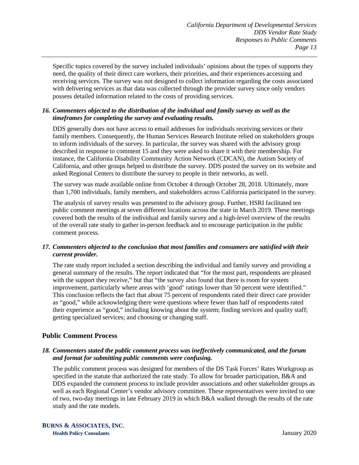Specific topics covered by the survey included individuals' opinions about the types of supports they need, the quality of their direct care workers, their priorities, and their experiences accessing and receiving services. The survey was not designed to collect information regarding the costs associated with delivering services as that data was collected through the provider survey since only vendors possess detailed information related to the costs of providing services.

# *16. Commenters objected to the distribution of the individual and family survey as well as the timeframes for completing the survey and evaluating results.*

DDS generally does not have access to email addresses for individuals receiving services or their family members. Consequently, the Human Services Research Institute relied on stakeholders groups to inform individuals of the survey. In particular, the survey was shared with the advisory group described in response to comment 15 and they were asked to share it with their membership. For instance, the California Disability Community Action Network (CDCAN), the Autism Society of California, and other groups helped to distribute the survey. DDS posted the survey on its website and asked Regional Centers to distribute the survey to people in their networks, as well.

The survey was made available online from October 4 through October 28, 2018. Ultimately, more than 1,700 individuals, family members, and stakeholders across California participated in the survey.

The analysis of survey results was presented to the advisory group. Further, HSRI facilitated ten public comment meetings at seven different locations across the state in March 2019. These meetings covered both the results of the individual and family survey and a high-level overview of the results of the overall rate study to gather in-person feedback and to encourage participation in the public comment process.

# *17. Commenters objected to the conclusion that most families and consumers are satisfied with their current provider.*

The rate study report included a section describing the individual and family survey and providing a general summary of the results. The report indicated that "for the most part, respondents are pleased with the support they receive," but that "the survey also found that there is room for system improvement, particularly where areas with 'good' ratings lower than 50 percent were identified." This conclusion reflects the fact that about 75 percent of respondents rated their direct care provider as "good," while acknowledging there were questions where fewer than half of respondents rated their experience as "good," including knowing about the system; finding services and quality staff; getting specialized services; and choosing or changing staff.

# <span id="page-15-0"></span>**Public Comment Process**

# *18. Commenters stated the public comment process was ineffectively communicated, and the forum and format for submitting public comments were confusing.*

The public comment process was designed for members of the DS Task Forces' Rates Workgroup as specified in the statute that authorized the rate study. To allow for broader participation, B&A and DDS expanded the comment process to include provider associations and other stakeholder groups as well as each Regional Center's vendor advisory committee. These representatives were invited to one of two, two-day meetings in late February 2019 in which B&A walked through the results of the rate study and the rate models.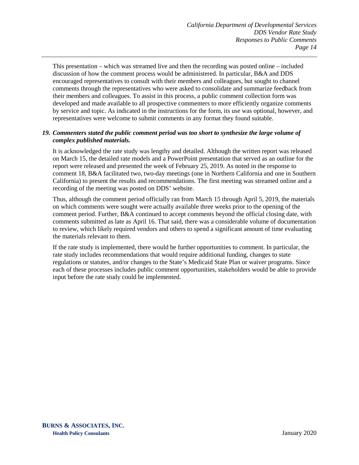This presentation – which was streamed live and then the recording was posted online – included discussion of how the comment process would be administered. In particular, B&A and DDS encouraged representatives to consult with their members and colleagues, but sought to channel comments through the representatives who were asked to consolidate and summarize feedback from their members and colleagues. To assist in this process, a public comment collection form was developed and made available to all prospective commenters to more efficiently organize comments by service and topic. As indicated in the instructions for the form, its use was optional, however, and representatives were welcome to submit comments in any format they found suitable.

#### *19. Commenters stated the public comment period was too short to synthesize the large volume of complex published materials.*

It is acknowledged the rate study was lengthy and detailed. Although the written report was released on March 15, the detailed rate models and a PowerPoint presentation that served as an outline for the report were released and presented the week of February 25, 2019. As noted in the response to comment 18, B&A facilitated two, two-day meetings (one in Northern California and one in Southern California) to present the results and recommendations. The first meeting was streamed online and a recording of the meeting was posted on DDS' website.

Thus, although the comment period officially ran from March 15 through April 5, 2019, the materials on which comments were sought were actually available three weeks prior to the opening of the comment period. Further, B&A continued to accept comments beyond the official closing date, with comments submitted as late as April 16. That said, there was a considerable volume of documentation to review, which likely required vendors and others to spend a significant amount of time evaluating the materials relevant to them.

If the rate study is implemented, there would be further opportunities to comment. In particular, the rate study includes recommendations that would require additional funding, changes to state regulations or statutes, and/or changes to the State's Medicaid State Plan or waiver programs. Since each of these processes includes public comment opportunities, stakeholders would be able to provide input before the rate study could be implemented.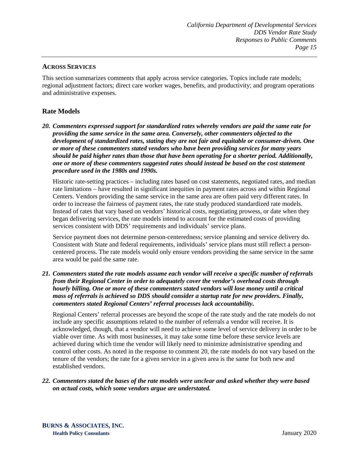# <span id="page-17-0"></span>**ACROSS SERVICES**

This section summarizes comments that apply across service categories. Topics include rate models; regional adjustment factors; direct care worker wages, benefits, and productivity; and program operations and administrative expenses.

# <span id="page-17-1"></span>**Rate Models**

*20. Commenters expressed support for standardized rates whereby vendors are paid the same rate for providing the same service in the same area. Conversely, other commenters objected to the development of standardized rates, stating they are not fair and equitable or consumer-driven. One or more of these commenters stated vendors who have been providing services for many years should be paid higher rates than those that have been operating for a shorter period. Additionally, one or more of these commenters suggested rates should instead be based on the cost statement procedure used in the 1980s and 1990s.*

Historic rate-setting practices – including rates based on cost statements, negotiated rates, and median rate limitations – have resulted in significant inequities in payment rates across and within Regional Centers. Vendors providing the same service in the same area are often paid very different rates. In order to increase the fairness of payment rates, the rate study produced standardized rate models. Instead of rates that vary based on vendors' historical costs, negotiating prowess, or date when they began delivering services, the rate models intend to account for the estimated costs of providing services consistent with DDS' requirements and individuals' service plans.

Service payment does not determine person-centeredness; service planning and service delivery do. Consistent with State and federal requirements, individuals' service plans must still reflect a personcentered process. The rate models would only ensure vendors providing the same service in the same area would be paid the same rate.

#### *21. Commenters stated the rate models assume each vendor will receive a specific number of referrals from their Regional Center in order to adequately cover the vendor's overhead costs through hourly billing. One or more of these commenters stated vendors will lose money until a critical mass of referrals is achieved so DDS should consider a startup rate for new providers. Finally, commenters stated Regional Centers' referral processes lack accountability.*

Regional Centers' referral processes are beyond the scope of the rate study and the rate models do not include any specific assumptions related to the number of referrals a vendor will receive. It is acknowledged, though, that a vendor will need to achieve some level of service delivery in order to be viable over time. As with most businesses, it may take some time before these service levels are achieved during which time the vendor will likely need to minimize administrative spending and control other costs. As noted in the response to comment 20, the rate models do not vary based on the tenure of the vendors; the rate for a given service in a given area is the same for both new and established vendors.

*22. Commenters stated the bases of the rate models were unclear and asked whether they were based on actual costs, which some vendors argue are understated.*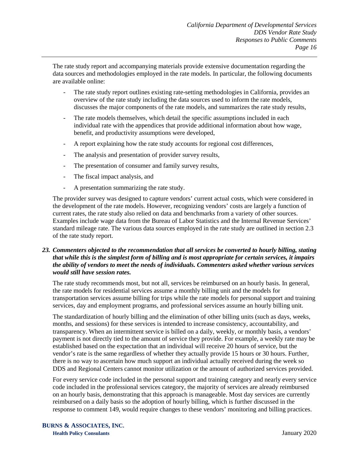The rate study report and accompanying materials provide extensive documentation regarding the data sources and methodologies employed in the rate models. In particular, the following documents are available online:

- The rate study report outlines existing rate-setting methodologies in California, provides an overview of the rate study including the data sources used to inform the rate models, discusses the major components of the rate models, and summarizes the rate study results,
- The rate models themselves, which detail the specific assumptions included in each individual rate with the appendices that provide additional information about how wage, benefit, and productivity assumptions were developed,
- A report explaining how the rate study accounts for regional cost differences,
- The analysis and presentation of provider survey results,
- The presentation of consumer and family survey results,
- The fiscal impact analysis, and
- A presentation summarizing the rate study.

The provider survey was designed to capture vendors' current actual costs, which were considered in the development of the rate models. However, recognizing vendors' costs are largely a function of current rates, the rate study also relied on data and benchmarks from a variety of other sources. Examples include wage data from the Bureau of Labor Statistics and the Internal Revenue Services' standard mileage rate. The various data sources employed in the rate study are outlined in section 2.3 of the rate study report.

# *23. Commenters objected to the recommendation that all services be converted to hourly billing, stating that while this is the simplest form of billing and is most appropriate for certain services, it impairs the ability of vendors to meet the needs of individuals. Commenters asked whether various services would still have session rates.*

The rate study recommends most, but not all, services be reimbursed on an hourly basis. In general, the rate models for residential services assume a monthly billing unit and the models for transportation services assume billing for trips while the rate models for personal support and training services, day and employment programs, and professional services assume an hourly billing unit.

The standardization of hourly billing and the elimination of other billing units (such as days, weeks, months, and sessions) for these services is intended to increase consistency, accountability, and transparency. When an intermittent service is billed on a daily, weekly, or monthly basis, a vendors' payment is not directly tied to the amount of service they provide. For example, a weekly rate may be established based on the expectation that an individual will receive 20 hours of service, but the vendor's rate is the same regardless of whether they actually provide 15 hours or 30 hours. Further, there is no way to ascertain how much support an individual actually received during the week so DDS and Regional Centers cannot monitor utilization or the amount of authorized services provided.

For every service code included in the personal support and training category and nearly every service code included in the professional services category, the majority of services are already reimbursed on an hourly basis, demonstrating that this approach is manageable. Most day services are currently reimbursed on a daily basis so the adoption of hourly billing, which is further discussed in the response to comment 149, would require changes to these vendors' monitoring and billing practices.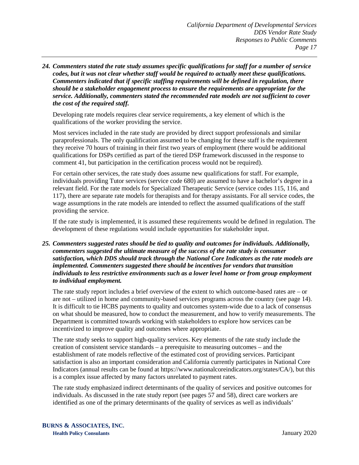*24. Commenters stated the rate study assumes specific qualifications for staff for a number of service codes, but it was not clear whether staff would be required to actually meet these qualifications. Commenters indicated that if specific staffing requirements will be defined in regulation, there should be a stakeholder engagement process to ensure the requirements are appropriate for the service. Additionally, commenters stated the recommended rate models are not sufficient to cover the cost of the required staff.*

Developing rate models requires clear service requirements, a key element of which is the qualifications of the worker providing the service.

Most services included in the rate study are provided by direct support professionals and similar paraprofessionals. The only qualification assumed to be changing for these staff is the requirement they receive 70 hours of training in their first two years of employment (there would be additional qualifications for DSPs certified as part of the tiered DSP framework discussed in the response to comment 41, but participation in the certification process would not be required).

For certain other services, the rate study does assume new qualifications for staff. For example, individuals providing Tutor services (service code 680) are assumed to have a bachelor's degree in a relevant field. For the rate models for Specialized Therapeutic Service (service codes 115, 116, and 117), there are separate rate models for therapists and for therapy assistants. For all service codes, the wage assumptions in the rate models are intended to reflect the assumed qualifications of the staff providing the service.

If the rate study is implemented, it is assumed these requirements would be defined in regulation. The development of these regulations would include opportunities for stakeholder input.

*25. Commenters suggested rates should be tied to quality and outcomes for individuals. Additionally, commenters suggested the ultimate measure of the success of the rate study is consumer satisfaction, which DDS should track through the National Core Indicators as the rate models are implemented. Commenters suggested there should be incentives for vendors that transition individuals to less restrictive environments such as a lower level home or from group employment to individual employment.*

The rate study report includes a brief overview of the extent to which outcome-based rates are – or are not – utilized in home and community-based services programs across the country (see page 14). It is difficult to tie HCBS payments to quality and outcomes system-wide due to a lack of consensus on what should be measured, how to conduct the measurement, and how to verify measurements. The Department is committed towards working with stakeholders to explore how services can be incentivized to improve quality and outcomes where appropriate.

The rate study seeks to support high-quality services. Key elements of the rate study include the creation of consistent service standards – a prerequisite to measuring outcomes – and the establishment of rate models reflective of the estimated cost of providing services. Participant satisfaction is also an important consideration and California currently participates in National Core Indicators (annual results can be found at https://www.nationalcoreindicators.org/states/CA/), but this is a complex issue affected by many factors unrelated to payment rates.

The rate study emphasized indirect determinants of the quality of services and positive outcomes for individuals. As discussed in the rate study report (see pages 57 and 58), direct care workers are identified as one of the primary determinants of the quality of services as well as individuals'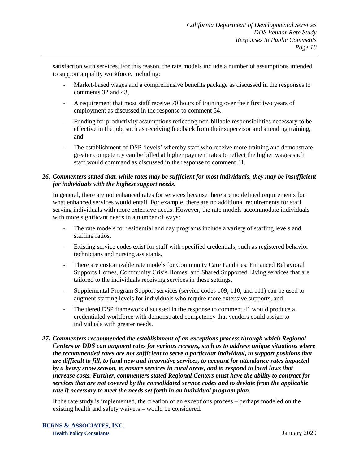satisfaction with services. For this reason, the rate models include a number of assumptions intended to support a quality workforce, including:

- Market-based wages and a comprehensive benefits package as discussed in the responses to comments 32 and 43,
- A requirement that most staff receive 70 hours of training over their first two years of employment as discussed in the response to comment 54,
- Funding for productivity assumptions reflecting non-billable responsibilities necessary to be effective in the job, such as receiving feedback from their supervisor and attending training, and
- The establishment of DSP 'levels' whereby staff who receive more training and demonstrate greater competency can be billed at higher payment rates to reflect the higher wages such staff would command as discussed in the response to comment 41.

# *26. Commenters stated that, while rates may be sufficient for most individuals, they may be insufficient for individuals with the highest support needs.*

In general, there are not enhanced rates for services because there are no defined requirements for what enhanced services would entail. For example, there are no additional requirements for staff serving individuals with more extensive needs. However, the rate models accommodate individuals with more significant needs in a number of ways:

- The rate models for residential and day programs include a variety of staffing levels and staffing ratios,
- Existing service codes exist for staff with specified credentials, such as registered behavior technicians and nursing assistants,
- There are customizable rate models for Community Care Facilities, Enhanced Behavioral Supports Homes, Community Crisis Homes, and Shared Supported Living services that are tailored to the individuals receiving services in these settings,
- Supplemental Program Support services (service codes 109, 110, and 111) can be used to augment staffing levels for individuals who require more extensive supports, and
- The tiered DSP framework discussed in the response to comment 41 would produce a credentialed workforce with demonstrated competency that vendors could assign to individuals with greater needs.
- *27. Commenters recommended the establishment of an exceptions process through which Regional Centers or DDS can augment rates for various reasons, such as to address unique situations where the recommended rates are not sufficient to serve a particular individual, to support positions that are difficult to fill, to fund new and innovative services, to account for attendance rates impacted by a heavy snow season, to ensure services in rural areas, and to respond to local laws that increase costs. Further, commenters stated Regional Centers must have the ability to contract for services that are not covered by the consolidated service codes and to deviate from the applicable rate if necessary to meet the needs set forth in an individual program plan.*

If the rate study is implemented, the creation of an exceptions process – perhaps modeled on the existing health and safety waivers – would be considered.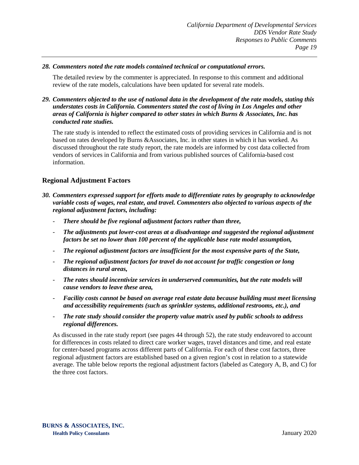#### *28. Commenters noted the rate models contained technical or computational errors.*

The detailed review by the commenter is appreciated. In response to this comment and additional review of the rate models, calculations have been updated for several rate models.

## *29. Commenters objected to the use of national data in the development of the rate models, stating this understates costs in California. Commenters stated the cost of living in Los Angeles and other areas of California is higher compared to other states in which Burns & Associates, Inc. has conducted rate studies.*

The rate study is intended to reflect the estimated costs of providing services in California and is not based on rates developed by Burns &Associates, Inc. in other states in which it has worked. As discussed throughout the rate study report, the rate models are informed by cost data collected from vendors of services in California and from various published sources of California-based cost information.

# <span id="page-21-0"></span>**Regional Adjustment Factors**

- *30. Commenters expressed support for efforts made to differentiate rates by geography to acknowledge variable costs of wages, real estate, and travel. Commenters also objected to various aspects of the regional adjustment factors, including:*
	- *There should be five regional adjustment factors rather than three,*
	- *The adjustments put lower-cost areas at a disadvantage and suggested the regional adjustment factors be set no lower than 100 percent of the applicable base rate model assumption,*
	- *The regional adjustment factors are insufficient for the most expensive parts of the State,*
	- *The regional adjustment factors for travel do not account for traffic congestion or long distances in rural areas,*
	- *The rates should incentivize services in underserved communities, but the rate models will cause vendors to leave these area,*
	- *Facility costs cannot be based on average real estate data because building must meet licensing and accessibility requirements (such as sprinkler systems, additional restrooms, etc.), and*
	- *The rate study should consider the property value matrix used by public schools to address regional differences.*

As discussed in the rate study report (see pages 44 through 52), the rate study endeavored to account for differences in costs related to direct care worker wages, travel distances and time, and real estate for center-based programs across different parts of California. For each of these cost factors, three regional adjustment factors are established based on a given region's cost in relation to a statewide average. The table below reports the regional adjustment factors (labeled as Category A, B, and C) for the three cost factors.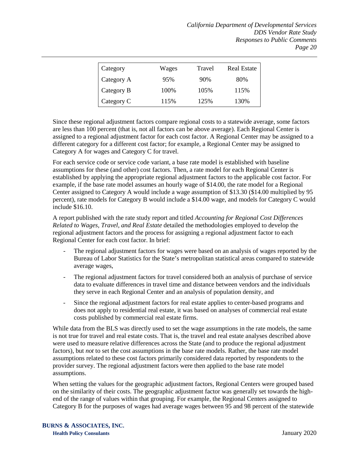| Category   | Wages | Travel | <b>Real Estate</b> |
|------------|-------|--------|--------------------|
| Category A | 95%   | 90%    | 80%                |
| Category B | 100%  | 105%   | 115%               |
| Category C | 115%  | 125%   | 130%               |

Since these regional adjustment factors compare regional costs to a statewide average, some factors are less than 100 percent (that is, not all factors can be above average). Each Regional Center is assigned to a regional adjustment factor for each cost factor. A Regional Center may be assigned to a different category for a different cost factor; for example, a Regional Center may be assigned to Category A for wages and Category C for travel.

For each service code or service code variant, a base rate model is established with baseline assumptions for these (and other) cost factors. Then, a rate model for each Regional Center is established by applying the appropriate regional adjustment factors to the applicable cost factor. For example, if the base rate model assumes an hourly wage of \$14.00, the rate model for a Regional Center assigned to Category A would include a wage assumption of \$13.30 (\$14.00 multiplied by 95 percent), rate models for Category B would include a \$14.00 wage, and models for Category C would include \$16.10.

A report published with the rate study report and titled *Accounting for Regional Cost Differences Related to Wages, Travel, and Real Estate* detailed the methodologies employed to develop the regional adjustment factors and the process for assigning a regional adjustment factor to each Regional Center for each cost factor. In brief:

- The regional adjustment factors for wages were based on an analysis of wages reported by the Bureau of Labor Statistics for the State's metropolitan statistical areas compared to statewide average wages,
- The regional adjustment factors for travel considered both an analysis of purchase of service data to evaluate differences in travel time and distance between vendors and the individuals they serve in each Regional Center and an analysis of population density, and
- Since the regional adjustment factors for real estate applies to center-based programs and does not apply to residential real estate, it was based on analyses of commercial real estate costs published by commercial real estate firms.

While data from the BLS was directly used to set the wage assumptions in the rate models, the same is not true for travel and real estate costs. That is, the travel and real estate analyses described above were used to measure relative differences across the State (and to produce the regional adjustment factors), but *not* to set the cost assumptions in the base rate models. Rather, the base rate model assumptions related to these cost factors primarily considered data reported by respondents to the provider survey. The regional adjustment factors were then applied to the base rate model assumptions.

When setting the values for the geographic adjustment factors, Regional Centers were grouped based on the similarity of their costs. The geographic adjustment factor was generally set towards the highend of the range of values within that grouping. For example, the Regional Centers assigned to Category B for the purposes of wages had average wages between 95 and 98 percent of the statewide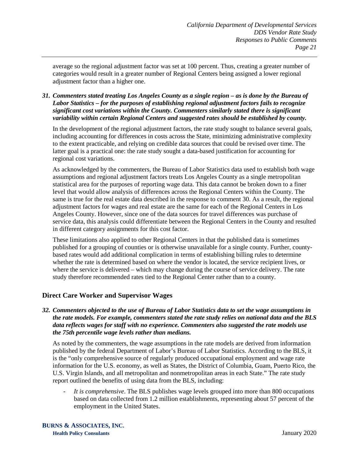average so the regional adjustment factor was set at 100 percent. Thus, creating a greater number of categories would result in a greater number of Regional Centers being assigned a lower regional adjustment factor than a higher one.

*31. Commenters stated treating Los Angeles County as a single region – as is done by the Bureau of Labor Statistics – for the purposes of establishing regional adjustment factors fails to recognize significant cost variations within the County. Commenters similarly stated there is significant variability within certain Regional Centers and suggested rates should be established by county.*

In the development of the regional adjustment factors, the rate study sought to balance several goals, including accounting for differences in costs across the State, minimizing administrative complexity to the extent practicable, and relying on credible data sources that could be revised over time. The latter goal is a practical one: the rate study sought a data-based justification for accounting for regional cost variations.

As acknowledged by the commenters, the Bureau of Labor Statistics data used to establish both wage assumptions and regional adjustment factors treats Los Angeles County as a single metropolitan statistical area for the purposes of reporting wage data. This data cannot be broken down to a finer level that would allow analysis of differences across the Regional Centers within the County. The same is true for the real estate data described in the response to comment 30. As a result, the regional adjustment factors for wages and real estate are the same for each of the Regional Centers in Los Angeles County. However, since one of the data sources for travel differences was purchase of service data, this analysis could differentiate between the Regional Centers in the County and resulted in different category assignments for this cost factor.

These limitations also applied to other Regional Centers in that the published data is sometimes published for a grouping of counties or is otherwise unavailable for a single county. Further, countybased rates would add additional complication in terms of establishing billing rules to determine whether the rate is determined based on where the vendor is located, the service recipient lives, or where the service is delivered – which may change during the course of service delivery. The rate study therefore recommended rates tied to the Regional Center rather than to a county.

# <span id="page-23-0"></span>**Direct Care Worker and Supervisor Wages**

*32. Commenters objected to the use of Bureau of Labor Statistics data to set the wage assumptions in the rate models. For example, commenters stated the rate study relies on national data and the BLS data reflects wages for staff with no experience. Commenters also suggested the rate models use the 75th percentile wage levels rather than medians.*

As noted by the commenters, the wage assumptions in the rate models are derived from information published by the federal Department of Labor's Bureau of Labor Statistics. According to the BLS, it is the "only comprehensive source of regularly produced occupational employment and wage rate information for the U.S. economy, as well as States, the District of Columbia, Guam, Puerto Rico, the U.S. Virgin Islands, and all metropolitan and nonmetropolitan areas in each State." The rate study report outlined the benefits of using data from the BLS, including:

- *It is comprehensive*. The BLS publishes wage levels grouped into more than 800 occupations based on data collected from 1.2 million establishments, representing about 57 percent of the employment in the United States.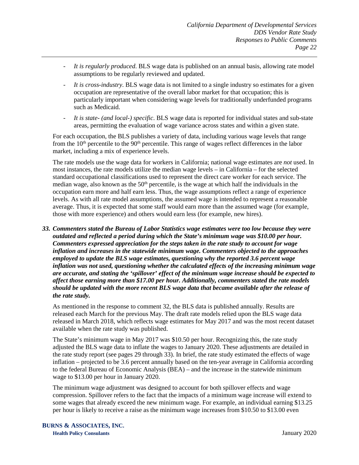- *It is regularly produced*. BLS wage data is published on an annual basis, allowing rate model assumptions to be regularly reviewed and updated.
- *It is cross-industry*. BLS wage data is not limited to a single industry so estimates for a given occupation are representative of the overall labor market for that occupation; this is particularly important when considering wage levels for traditionally underfunded programs such as Medicaid.
- *It is state- (and local-) specific*. BLS wage data is reported for individual states and sub-state areas, permitting the evaluation of wage variance across states and within a given state.

For each occupation, the BLS publishes a variety of data, including various wage levels that range from the  $10<sup>th</sup>$  percentile to the  $90<sup>th</sup>$  percentile. This range of wages reflect differences in the labor market, including a mix of experience levels.

The rate models use the wage data for workers in California; national wage estimates are *not* used. In most instances, the rate models utilize the median wage levels – in California – for the selected standard occupational classifications used to represent the direct care worker for each service. The median wage, also known as the  $50<sup>th</sup>$  percentile, is the wage at which half the individuals in the occupation earn more and half earn less. Thus, the wage assumptions reflect a range of experience levels. As with all rate model assumptions, the assumed wage is intended to represent a reasonable average. Thus, it is expected that some staff would earn more than the assumed wage (for example, those with more experience) and others would earn less (for example, new hires).

*33. Commenters stated the Bureau of Labor Statistics wage estimates were too low because they were outdated and reflected a period during which the State's minimum wage was \$10.00 per hour. Commenters expressed appreciation for the steps taken in the rate study to account for wage inflation and increases in the statewide minimum wage. Commenters objected to the approaches employed to update the BLS wage estimates, questioning why the reported 3.6 percent wage inflation was not used, questioning whether the calculated effects of the increasing minimum wage are accurate, and stating the 'spillover' effect of the minimum wage increase should be expected to affect those earning more than \$17.00 per hour. Additionally, commenters stated the rate models should be updated with the more recent BLS wage data that became available after the release of the rate study.*

As mentioned in the response to comment 32, the BLS data is published annually. Results are released each March for the previous May. The draft rate models relied upon the BLS wage data released in March 2018, which reflects wage estimates for May 2017 and was the most recent dataset available when the rate study was published.

The State's minimum wage in May 2017 was \$10.50 per hour. Recognizing this, the rate study adjusted the BLS wage data to inflate the wages to January 2020. These adjustments are detailed in the rate study report (see pages 29 through 33). In brief, the rate study estimated the effects of wage inflation – projected to be 3.6 percent annually based on the ten-year average in California according to the federal Bureau of Economic Analysis (BEA) – and the increase in the statewide minimum wage to \$13.00 per hour in January 2020.

The minimum wage adjustment was designed to account for both spillover effects and wage compression. Spillover refers to the fact that the impacts of a minimum wage increase will extend to some wages that already exceed the new minimum wage. For example, an individual earning \$13.25 per hour is likely to receive a raise as the minimum wage increases from \$10.50 to \$13.00 even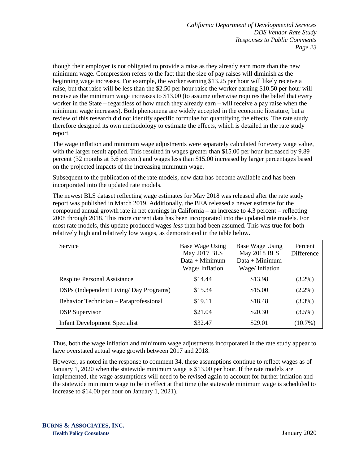though their employer is not obligated to provide a raise as they already earn more than the new minimum wage. Compression refers to the fact that the size of pay raises will diminish as the beginning wage increases. For example, the worker earning \$13.25 per hour will likely receive a raise, but that raise will be less than the \$2.50 per hour raise the worker earning \$10.50 per hour will receive as the minimum wage increases to \$13.00 (to assume otherwise requires the belief that every worker in the State – regardless of how much they already earn – will receive a pay raise when the minimum wage increases). Both phenomena are widely accepted in the economic literature, but a review of this research did not identify specific formulae for quantifying the effects. The rate study therefore designed its own methodology to estimate the effects, which is detailed in the rate study report.

The wage inflation and minimum wage adjustments were separately calculated for every wage value, with the larger result applied. This resulted in wages greater than \$15.00 per hour increased by 9.89 percent (32 months at 3.6 percent) and wages less than \$15.00 increased by larger percentages based on the projected impacts of the increasing minimum wage.

Subsequent to the publication of the rate models, new data has become available and has been incorporated into the updated rate models.

The newest BLS dataset reflecting wage estimates for May 2018 was released after the rate study report was published in March 2019. Additionally, the BEA released a newer estimate for the compound annual growth rate in net earnings in California – an increase to 4.3 percent – reflecting 2008 through 2018. This more current data has been incorporated into the updated rate models. For most rate models, this update produced wages *less* than had been assumed. This was true for both relatively high and relatively low wages, as demonstrated in the table below.

| Service                                | <b>Base Wage Using</b><br>May 2017 BLS<br>$Data + Minimum$<br>Wage/Inflation | Base Wage Using<br><b>May 2018 BLS</b><br>$Data + Minimum$<br>Wage/Inflation | Percent<br>Difference |
|----------------------------------------|------------------------------------------------------------------------------|------------------------------------------------------------------------------|-----------------------|
| Respite/Personal Assistance            | \$14.44                                                                      | \$13.98                                                                      | $(3.2\%)$             |
| DSPs (Independent Living/Day Programs) | \$15.34                                                                      | \$15.00                                                                      | $(2.2\%)$             |
| Behavior Technician – Paraprofessional | \$19.11                                                                      | \$18.48                                                                      | $(3.3\%)$             |
| <b>DSP</b> Supervisor                  | \$21.04                                                                      | \$20.30                                                                      | $(3.5\%)$             |
| <b>Infant Development Specialist</b>   | \$32.47                                                                      | \$29.01                                                                      | $(10.7\%)$            |

Thus, both the wage inflation and minimum wage adjustments incorporated in the rate study appear to have overstated actual wage growth between 2017 and 2018.

However, as noted in the response to comment 34, these assumptions continue to reflect wages as of January 1, 2020 when the statewide minimum wage is \$13.00 per hour. If the rate models are implemented, the wage assumptions will need to be revised again to account for further inflation and the statewide minimum wage to be in effect at that time (the statewide minimum wage is scheduled to increase to \$14.00 per hour on January 1, 2021).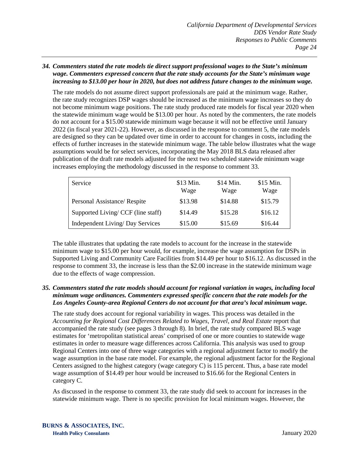#### *34. Commenters stated the rate models tie direct support professional wages to the State's minimum wage. Commenters expressed concern that the rate study accounts for the State's minimum wage increasing to \$13.00 per hour in 2020, but does not address future changes to the minimum wage.*

The rate models do not assume direct support professionals are paid at the minimum wage. Rather, the rate study recognizes DSP wages should be increased as the minimum wage increases so they do not become minimum wage positions. The rate study produced rate models for fiscal year 2020 when the statewide minimum wage would be \$13.00 per hour. As noted by the commenters, the rate models do not account for a \$15.00 statewide minimum wage because it will not be effective until January 2022 (in fiscal year 2021-22). However, as discussed in the response to comment 5, the rate models are designed so they can be updated over time in order to account for changes in costs, including the effects of further increases in the statewide minimum wage. The table below illustrates what the wage assumptions would be for select services, incorporating the May 2018 BLS data released after publication of the draft rate models adjusted for the next two scheduled statewide minimum wage increases employing the methodology discussed in the response to comment 33.

| Service                            | \$13 Min.<br>Wage | \$14 Min.<br>Wage | \$15 Min.<br>Wage |
|------------------------------------|-------------------|-------------------|-------------------|
| Personal Assistance/Respite        | \$13.98           | \$14.88           | \$15.79           |
| Supported Living/ CCF (line staff) | \$14.49           | \$15.28           | \$16.12           |
| Independent Living/ Day Services   | \$15.00           | \$15.69           | \$16.44           |

The table illustrates that updating the rate models to account for the increase in the statewide minimum wage to \$15.00 per hour would, for example, increase the wage assumption for DSPs in Supported Living and Community Care Facilities from \$14.49 per hour to \$16.12. As discussed in the response to comment 33, the increase is less than the \$2.00 increase in the statewide minimum wage due to the effects of wage compression.

#### *35. Commenters stated the rate models should account for regional variation in wages, including local minimum wage ordinances. Commenters expressed specific concern that the rate models for the Los Angeles County-area Regional Centers do not account for that area's local minimum wage.*

The rate study does account for regional variability in wages. This process was detailed in the Accounting for Regional Cost Differences Related to Wages, Travel, and Real Estate report that accompanied the rate study (see pages 3 through 8). In brief, the rate study compared BLS wage estimates for 'metropolitan statistical areas' comprised of one or more counties to statewide wage estimates in order to measure wage differences across California. This analysis was used to group Regional Centers into one of three wage categories with a regional adjustment factor to modify the wage assumption in the base rate model. For example, the regional adjustment factor for the Regional Centers assigned to the highest category (wage category C) is 115 percent. Thus, a base rate model wage assumption of \$14.49 per hour would be increased to \$16.66 for the Regional Centers in category C.

As discussed in the response to comment 33, the rate study did seek to account for increases in the statewide minimum wage. There is no specific provision for local minimum wages. However, the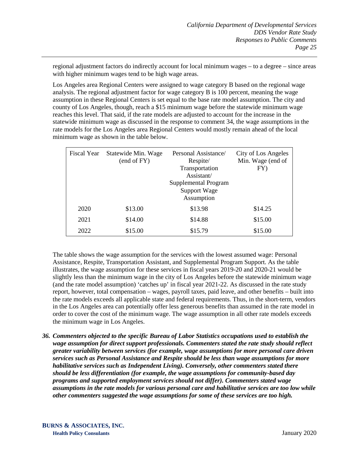regional adjustment factors do indirectly account for local minimum wages – to a degree – since areas with higher minimum wages tend to be high wage areas.

Los Angeles area Regional Centers were assigned to wage category B based on the regional wage analysis. The regional adjustment factor for wage category B is 100 percent, meaning the wage assumption in these Regional Centers is set equal to the base rate model assumption. The city and county of Los Angeles, though, reach a \$15 minimum wage before the statewide minimum wage reaches this level. That said, if the rate models are adjusted to account for the increase in the statewide minimum wage as discussed in the response to comment 34, the wage assumptions in the rate models for the Los Angeles area Regional Centers would mostly remain ahead of the local minimum wage as shown in the table below.

| Fiscal Year | Statewide Min. Wage<br>(end of FY) | Personal Assistance/<br>Respite/<br>Transportation<br>Assistant/<br>Supplemental Program<br><b>Support Wage</b><br>Assumption | City of Los Angeles<br>Min. Wage (end of<br>FY) |
|-------------|------------------------------------|-------------------------------------------------------------------------------------------------------------------------------|-------------------------------------------------|
| 2020        | \$13.00                            | \$13.98                                                                                                                       | \$14.25                                         |
| 2021        | \$14.00                            | \$14.88                                                                                                                       | \$15.00                                         |
| 2022        | \$15.00                            | \$15.79                                                                                                                       | \$15.00                                         |

The table shows the wage assumption for the services with the lowest assumed wage: Personal Assistance, Respite, Transportation Assistant, and Supplemental Program Support. As the table illustrates, the wage assumption for these services in fiscal years 2019-20 and 2020-21 would be slightly less than the minimum wage in the city of Los Angeles before the statewide minimum wage (and the rate model assumption) 'catches up' in fiscal year 2021-22. As discussed in the rate study report, however, total compensation – wages, payroll taxes, paid leave, and other benefits – built into the rate models exceeds all applicable state and federal requirements. Thus, in the short-term, vendors in the Los Angeles area can potentially offer less generous benefits than assumed in the rate model in order to cover the cost of the minimum wage. The wage assumption in all other rate models exceeds the minimum wage in Los Angeles.

*36. Commenters objected to the specific Bureau of Labor Statistics occupations used to establish the wage assumption for direct support professionals. Commenters stated the rate study should reflect greater variability between services (for example, wage assumptions for more personal care driven services such as Personal Assistance and Respite should be less than wage assumptions for more habilitative services such as Independent Living). Conversely, other commenters stated there should be less differentiation (for example, the wage assumptions for community-based day programs and supported employment services should not differ). Commenters stated wage assumptions in the rate models for various personal care and habilitative services are too low while other commenters suggested the wage assumptions for some of these services are too high.*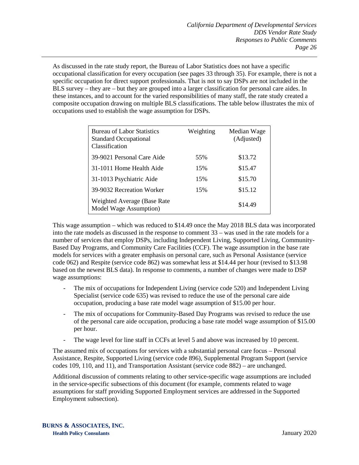As discussed in the rate study report, the Bureau of Labor Statistics does not have a specific occupational classification for every occupation (see pages 33 through 35). For example, there is not a specific occupation for direct support professionals. That is not to say DSPs are not included in the BLS survey – they are – but they are grouped into a larger classification for personal care aides. In these instances, and to account for the varied responsibilities of many staff, the rate study created a composite occupation drawing on multiple BLS classifications. The table below illustrates the mix of occupations used to establish the wage assumption for DSPs.

| <b>Bureau of Labor Statistics</b><br><b>Standard Occupational</b><br>Classification | Weighting | Median Wage<br>(Adjusted) |
|-------------------------------------------------------------------------------------|-----------|---------------------------|
| 39-9021 Personal Care Aide                                                          | 55%       | \$13.72                   |
| 31-1011 Home Health Aide                                                            | 15%       | \$15.47                   |
| 31-1013 Psychiatric Aide                                                            | 15%       | \$15.70                   |
| 39-9032 Recreation Worker                                                           | 15%       | \$15.12                   |
| Weighted Average (Base Rate)<br>Model Wage Assumption)                              |           | \$14.49                   |

This wage assumption – which was reduced to \$14.49 once the May 2018 BLS data was incorporated into the rate models as discussed in the response to comment 33 – was used in the rate models for a number of services that employ DSPs, including Independent Living, Supported Living, Community-Based Day Programs, and Community Care Facilities (CCF). The wage assumption in the base rate models for services with a greater emphasis on personal care, such as Personal Assistance (service code 062) and Respite (service code 862) was somewhat less at \$14.44 per hour (revised to \$13.98 based on the newest BLS data). In response to comments, a number of changes were made to DSP wage assumptions:

- The mix of occupations for Independent Living (service code 520) and Independent Living Specialist (service code 635) was revised to reduce the use of the personal care aide occupation, producing a base rate model wage assumption of \$15.00 per hour.
- The mix of occupations for Community-Based Day Programs was revised to reduce the use of the personal care aide occupation, producing a base rate model wage assumption of \$15.00 per hour.
- The wage level for line staff in CCFs at level 5 and above was increased by 10 percent.

The assumed mix of occupations for services with a substantial personal care focus – Personal Assistance, Respite, Supported Living (service code 896), Supplemental Program Support (service codes 109, 110, and 11), and Transportation Assistant (service code 882) – are unchanged.

Additional discussion of comments relating to other service-specific wage assumptions are included in the service-specific subsections of this document (for example, comments related to wage assumptions for staff providing Supported Employment services are addressed in the Supported Employment subsection).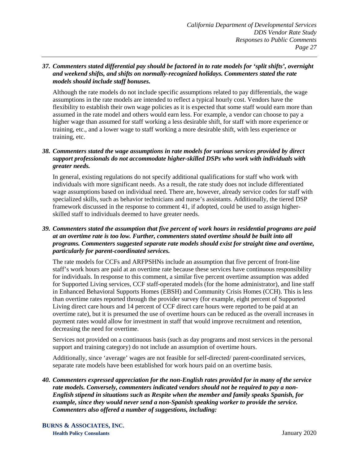#### *37. Commenters stated differential pay should be factored in to rate models for 'split shifts', overnight and weekend shifts, and shifts on normally-recognized holidays. Commenters stated the rate models should include staff bonuses.*

Although the rate models do not include specific assumptions related to pay differentials, the wage assumptions in the rate models are intended to reflect a typical hourly cost. Vendors have the flexibility to establish their own wage policies as it is expected that some staff would earn more than assumed in the rate model and others would earn less. For example, a vendor can choose to pay a higher wage than assumed for staff working a less desirable shift, for staff with more experience or training, etc., and a lower wage to staff working a more desirable shift, with less experience or training, etc.

# *38. Commenters stated the wage assumptions in rate models for various services provided by direct support professionals do not accommodate higher-skilled DSPs who work with individuals with greater needs.*

In general, existing regulations do not specify additional qualifications for staff who work with individuals with more significant needs. As a result, the rate study does not include differentiated wage assumptions based on individual need. There are, however, already service codes for staff with specialized skills, such as behavior technicians and nurse's assistants. Additionally, the tiered DSP framework discussed in the response to comment 41, if adopted, could be used to assign higherskilled staff to individuals deemed to have greater needs.

# *39. Commenters stated the assumption that five percent of work hours in residential programs are paid at an overtime rate is too low. Further, commenters stated overtime should be built into all programs. Commenters suggested separate rate models should exist for straight time and overtime, particularly for parent-coordinated services.*

The rate models for CCFs and ARFPSHNs include an assumption that five percent of front-line staff's work hours are paid at an overtime rate because these services have continuous responsibility for individuals. In response to this comment, a similar five percent overtime assumption was added for Supported Living services, CCF staff-operated models (for the home administrator), and line staff in Enhanced Behavioral Supports Homes (EBSH) and Community Crisis Homes (CCH). This is less than overtime rates reported through the provider survey (for example, eight percent of Supported Living direct care hours and 14 percent of CCF direct care hours were reported to be paid at an overtime rate), but it is presumed the use of overtime hours can be reduced as the overall increases in payment rates would allow for investment in staff that would improve recruitment and retention, decreasing the need for overtime.

Services not provided on a continuous basis (such as day programs and most services in the personal support and training category) do not include an assumption of overtime hours.

Additionally, since 'average' wages are not feasible for self-directed/ parent-coordinated services, separate rate models have been established for work hours paid on an overtime basis.

*40. Commenters expressed appreciation for the non-English rates provided for in many of the service rate models. Conversely, commenters indicated vendors should not be required to pay a non-English stipend in situations such as Respite when the member and family speaks Spanish, for example, since they would never send a non-Spanish speaking worker to provide the service. Commenters also offered a number of suggestions, including:*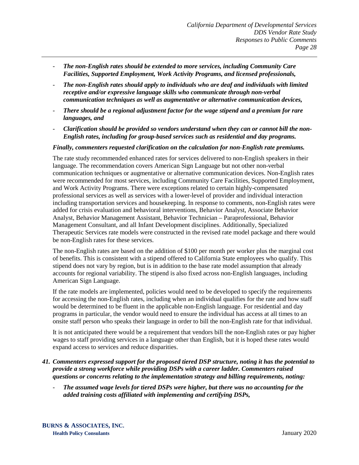- *The non-English rates should be extended to more services, including Community Care Facilities, Supported Employment, Work Activity Programs, and licensed professionals,*
- *The non-English rates should apply to individuals who are deaf and individuals with limited receptive and/or expressive language skills who communicate through non-verbal communication techniques as well as augmentative or alternative communication devices,*
- *There should be a regional adjustment factor for the wage stipend and a premium for rare languages, and*
- *Clarification should be provided so vendors understand when they can or cannot bill the non-English rates, including for group-based services such as residential and day programs.*

#### *Finally, commenters requested clarification on the calculation for non-English rate premiums.*

The rate study recommended enhanced rates for services delivered to non-English speakers in their language. The recommendation covers American Sign Language but not other non-verbal communication techniques or augmentative or alternative communication devices. Non-English rates were recommended for most services, including Community Care Facilities, Supported Employment, and Work Activity Programs. There were exceptions related to certain highly-compensated professional services as well as services with a lower-level of provider and individual interaction including transportation services and housekeeping. In response to comments, non-English rates were added for crisis evaluation and behavioral interventions, Behavior Analyst, Associate Behavior Analyst, Behavior Management Assistant, Behavior Technician – Paraprofessional, Behavior Management Consultant, and all Infant Development disciplines. Additionally, Specialized Therapeutic Services rate models were constructed in the revised rate model package and there would be non-English rates for these services.

The non-English rates are based on the addition of \$100 per month per worker plus the marginal cost of benefits. This is consistent with a stipend offered to California State employees who qualify. This stipend does not vary by region, but is in addition to the base rate model assumption that already accounts for regional variability. The stipend is also fixed across non-English languages, including American Sign Language.

If the rate models are implemented, policies would need to be developed to specify the requirements for accessing the non-English rates, including when an individual qualifies for the rate and how staff would be determined to be fluent in the applicable non-English language. For residential and day programs in particular, the vendor would need to ensure the individual has access at all times to an onsite staff person who speaks their language in order to bill the non-English rate for that individual.

It is not anticipated there would be a requirement that vendors bill the non-English rates or pay higher wages to staff providing services in a language other than English, but it is hoped these rates would expand access to services and reduce disparities.

#### *41. Commenters expressed support for the proposed tiered DSP structure, noting it has the potential to provide a strong workforce while providing DSPs with a career ladder. Commenters raised questions or concerns relating to the implementation strategy and billing requirements, noting:*

- *The assumed wage levels for tiered DSPs were higher, but there was no accounting for the added training costs affiliated with implementing and certifying DSPs,*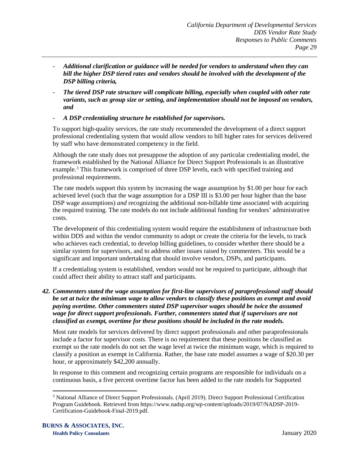- *Additional clarification or guidance will be needed for vendors to understand when they can bill the higher DSP tiered rates and vendors should be involved with the development of the DSP billing criteria,*
- *The tiered DSP rate structure will complicate billing, especially when coupled with other rate variants, such as group size or setting, and implementation should not be imposed on vendors, and*
- *A DSP credentialing structure be established for supervisors.*

To support high-quality services, the rate study recommended the development of a direct support professional credentialing system that would allow vendors to bill higher rates for services delivered by staff who have demonstrated competency in the field.

Although the rate study does not presuppose the adoption of any particular credentialing model, the framework established by the National Alliance for Direct Support Professionals is an illustrative example.<sup>[3](#page-31-0)</sup> This framework is comprised of three DSP levels, each with specified training and professional requirements.

The rate models support this system by increasing the wage assumption by \$1.00 per hour for each achieved level (such that the wage assumption for a DSP III is \$3.00 per hour higher than the base DSP wage assumptions) *and* recognizing the additional non-billable time associated with acquiring the required training. The rate models do not include additional funding for vendors' administrative costs.

The development of this credentialing system would require the establishment of infrastructure both within DDS and within the vendor community to adopt or create the criteria for the levels, to track who achieves each credential, to develop billing guidelines, to consider whether there should be a similar system for supervisors, and to address other issues raised by commenters. This would be a significant and important undertaking that should involve vendors, DSPs, and participants.

If a credentialing system is established, vendors would not be required to participate, although that could affect their ability to attract staff and participants.

*42. Commenters stated the wage assumption for first-line supervisors of paraprofessional staff should be set at twice the minimum wage to allow vendors to classify these positions as exempt and avoid paying overtime. Other commenters stated DSP supervisor wages should be twice the assumed wage for direct support professionals. Further, commenters stated that if supervisors are not classified as exempt, overtime for these positions should be included in the rate models.*

Most rate models for services delivered by direct support professionals and other paraprofessionals include a factor for supervisor costs. There is no requirement that these positions be classified as exempt so the rate models do not set the wage level at twice the minimum wage, which is required to classify a position as exempt in California. Rather, the base rate model assumes a wage of \$20.30 per hour, or approximately \$42,200 annually.

In response to this comment and recognizing certain programs are responsible for individuals on a continuous basis, a five percent overtime factor has been added to the rate models for Supported

<span id="page-31-0"></span><sup>&</sup>lt;sup>3</sup> National Alliance of Direct Support Professionals. (April 2019). Direct Support Professional Certification Program Guidebook. Retrieved from https://www.nadsp.org/wp-content/uploads/2019/07/NADSP-2019- Certification-Guidebook-Final-2019.pdf.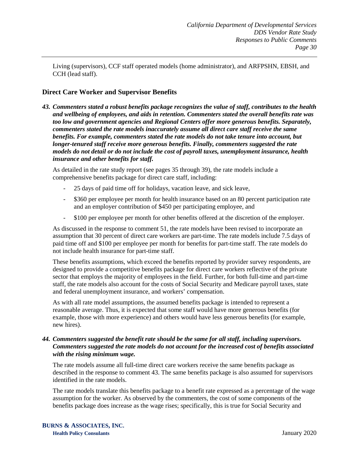Living (supervisors), CCF staff operated models (home administrator), and ARFPSHN, EBSH, and CCH (lead staff).

# <span id="page-32-0"></span>**Direct Care Worker and Supervisor Benefits**

*43. Commenters stated a robust benefits package recognizes the value of staff, contributes to the health and wellbeing of employees, and aids in retention. Commenters stated the overall benefits rate was too low and government agencies and Regional Centers offer more generous benefits. Separately, commenters stated the rate models inaccurately assume all direct care staff receive the same benefits. For example, commenters stated the rate models do not take tenure into account, but longer-tenured staff receive more generous benefits. Finally, commenters suggested the rate models do not detail or do not include the cost of payroll taxes, unemployment insurance, health insurance and other benefits for staff.*

As detailed in the rate study report (see pages 35 through 39), the rate models include a comprehensive benefits package for direct care staff, including:

- 25 days of paid time off for holidays, vacation leave, and sick leave,
- \$360 per employee per month for health insurance based on an 80 percent participation rate and an employer contribution of \$450 per participating employee, and
- \$100 per employee per month for other benefits offered at the discretion of the employer.

As discussed in the response to comment 51, the rate models have been revised to incorporate an assumption that 30 percent of direct care workers are part-time. The rate models include 7.5 days of paid time off and \$100 per employee per month for benefits for part-time staff. The rate models do not include health insurance for part-time staff.

These benefits assumptions, which exceed the benefits reported by provider survey respondents, are designed to provide a competitive benefits package for direct care workers reflective of the private sector that employs the majority of employees in the field. Further, for both full-time and part-time staff, the rate models also account for the costs of Social Security and Medicare payroll taxes, state and federal unemployment insurance, and workers' compensation.

As with all rate model assumptions, the assumed benefits package is intended to represent a reasonable average. Thus, it is expected that some staff would have more generous benefits (for example, those with more experience) and others would have less generous benefits (for example, new hires).

#### *44. Commenters suggested the benefit rate should be the same for all staff, including supervisors. Commenters suggested the rate models do not account for the increased cost of benefits associated with the rising minimum wage.*

The rate models assume all full-time direct care workers receive the same benefits package as described in the response to comment 43. The same benefits package is also assumed for supervisors identified in the rate models.

The rate models translate this benefits package to a benefit rate expressed as a percentage of the wage assumption for the worker. As observed by the commenters, the cost of some components of the benefits package does increase as the wage rises; specifically, this is true for Social Security and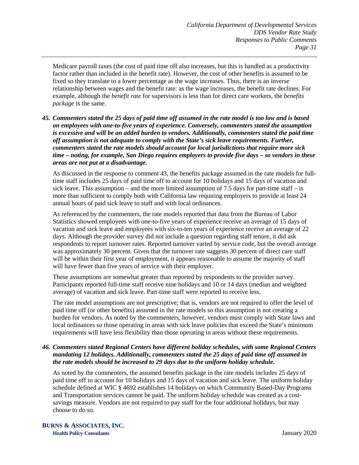Medicare payroll taxes (the cost of paid time off also increases, but this is handled as a productivity factor rather than included in the benefit rate). However, the cost of other benefits is assumed to be fixed so they translate to a lower percentage as the wage increases. Thus, there is an inverse relationship between wages and the benefit rate: as the wage increases, the benefit rate declines. For example, although the *benefit rate* for supervisors is less than for direct care workers, the *benefits package* is the same.

*45. Commenters stated the 25 days of paid time off assumed in the rate model is too low and is based on employees with one-to-five years of experience. Conversely, commenters stated the assumption is excessive and will be an added burden to vendors. Additionally, commenters stated the paid time off assumption is not adequate to comply with the State's sick leave requirements. Further, commenters stated the rate models should account for local jurisdictions that require more sick time – noting, for example, San Diego requires employers to provide five days – so vendors in these areas are not put at a disadvantage.* 

As discussed in the response to comment 43, the benefits package assumed in the rate models for fulltime staff includes 25 days of paid time off to account for 10 holidays and 15 days of vacation and sick leave. This assumption – and the more limited assumption of 7.5 days for part-time staff – is more than sufficient to comply both with California law requiring employers to provide at least 24 annual hours of paid sick leave to staff and with local ordinances.

As referenced by the commenters, the rate models reported that data from the Bureau of Labor Statistics showed employees with one-to-five years of experience receive an average of 15 days of vacation and sick leave and employees with six-to-ten years of experience receive an average of 22 days. Although the provider survey did not include a question regarding staff tenure, it did ask respondents to report turnover rates. Reported turnover varied by service code, but the overall average was approximately 30 percent. Given that the turnover rate suggests 30 percent of direct care staff will be within their first year of employment, it appears reasonable to assume the majority of staff will have fewer than five years of service with their employer.

These assumptions are somewhat greater than reported by respondents to the provider survey. Participants reported full-time staff receive nine holidays and 10 or 14 days (median and weighted average) of vacation and sick leave. Part-time staff were reported to receive less.

The rate model assumptions are not prescriptive; that is, vendors are not required to offer the level of paid time off (or other benefits) assumed in the rate models so this assumption is not creating a burden for vendors. As noted by the commenters, however, vendors must comply with State laws and local ordinances so those operating in areas with sick leave policies that exceed the State's minimum requirements will have less flexibility than those operating in areas without these requirements.

#### *46. Commenters stated Regional Centers have different holiday schedules, with some Regional Centers mandating 12 holidays. Additionally, commenters stated the 25 days of paid time off assumed in the rate models should be increased to 29 days due to the uniform holiday schedule.*

As noted by the commenters, the assumed benefits package in the rate models includes 25 days of paid time off to account for 10 holidays and 15 days of vacation and sick leave. The uniform holiday schedule defined at WIC § 4692 establishes 14 holidays on which Community Based-Day Programs and Transportation services cannot be paid. The uniform holiday schedule was created as a costsavings measure. Vendors are not required to pay staff for the four additional holidays, but may choose to do so.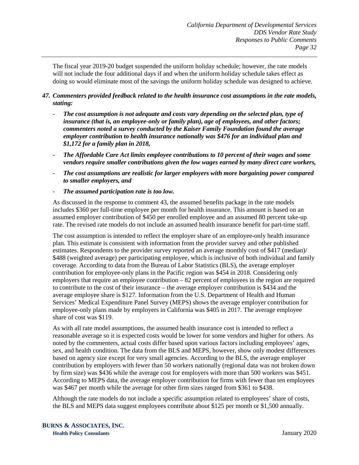The fiscal year 2019-20 budget suspended the uniform holiday schedule; however, the rate models will not include the four additional days if and when the uniform holiday schedule takes effect as doing so would eliminate most of the savings the uniform holiday schedule was designed to achieve.

# *47. Commenters provided feedback related to the health insurance cost assumptions in the rate models, stating:*

- *The cost assumption is not adequate and costs vary depending on the selected plan, type of insurance (that is, an employee-only or family plan), age of employees, and other factors; commenters noted a survey conducted by the Kaiser Family Foundation found the average employer contribution to health insurance nationally was \$476 for an individual plan and \$1,172 for a family plan in 2018,*
- *The Affordable Care Act limits employee contributions to 10 percent of their wages and some vendors require smaller contributions given the low wages earned by many direct care workers,*
- *The cost assumptions are realistic for larger employers with more bargaining power compared to smaller employers, and*
- *The assumed participation rate is too low.*

As discussed in the response to comment 43, the assumed benefits package in the rate models includes \$360 per full-time employee per month for health insurance. This amount is based on an assumed employer contribution of \$450 per enrolled employee and an assumed 80 percent take-up rate. The revised rate models do not include an assumed health insurance benefit for part-time staff.

The cost assumption is intended to reflect the employer share of an employee-only health insurance plan. This estimate is consistent with information from the provider survey and other published estimates. Respondents to the provider survey reported an average monthly cost of \$417 (median)/ \$488 (weighted average) per participating employee, which is inclusive of both individual and family coverage. According to data from the Bureau of Labor Statistics (BLS), the average employer contribution for employee-only plans in the Pacific region was \$454 in 2018. Considering only employers that require an employee contribution – 82 percent of employees in the region are required to contribute to the cost of their insurance – the average employer contribution is \$434 and the average employee share is \$127. Information from the U.S. Department of Health and Human Services' Medical Expenditure Panel Survey (MEPS) shows the average employer contribution for employee-only plans made by employers in California was \$405 in 2017. The average employee share of cost was \$119.

As with all rate model assumptions, the assumed health insurance cost is intended to reflect a reasonable average so it is expected costs would be lower for some vendors and higher for others. As noted by the commenters, actual costs differ based upon various factors including employees' ages, sex, and health condition. The data from the BLS and MEPS, however, show only modest differences based on agency size except for very small agencies. According to the BLS, the average employer contribution by employers with fewer than 50 workers nationally (regional data was not broken down by firm size) was \$436 while the average cost for employers with more than 500 workers was \$451. According to MEPS data, the average employer contribution for firms with fewer than ten employees was \$467 per month while the average for other firm sizes ranged from \$361 to \$438.

Although the rate models do not include a specific assumption related to employees' share of costs, the BLS and MEPS data suggest employees contribute about \$125 per month or \$1,500 annually.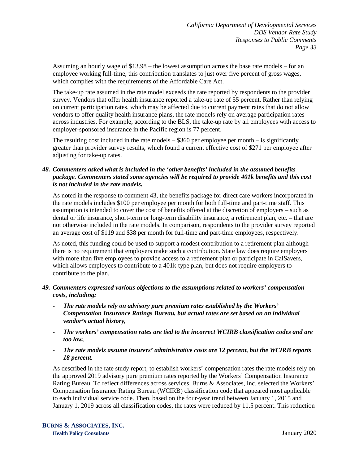Assuming an hourly wage of \$13.98 – the lowest assumption across the base rate models – for an employee working full-time, this contribution translates to just over five percent of gross wages, which complies with the requirements of the Affordable Care Act.

The take-up rate assumed in the rate model exceeds the rate reported by respondents to the provider survey. Vendors that offer health insurance reported a take-up rate of 55 percent. Rather than relying on current participation rates, which may be affected due to current payment rates that do not allow vendors to offer quality health insurance plans, the rate models rely on average participation rates across industries. For example, according to the BLS, the take-up rate by all employees with access to employer-sponsored insurance in the Pacific region is 77 percent.

The resulting cost included in the rate models  $-$  \$360 per employee per month  $-$  is significantly greater than provider survey results, which found a current effective cost of \$271 per employee after adjusting for take-up rates.

# *48. Commenters asked what is included in the 'other benefits' included in the assumed benefits package. Commenters stated some agencies will be required to provide 401k benefits and this cost is not included in the rate models.*

As noted in the response to comment 43, the benefits package for direct care workers incorporated in the rate models includes \$100 per employee per month for both full-time and part-time staff. This assumption is intended to cover the cost of benefits offered at the discretion of employers – such as dental or life insurance, short-term or long-term disability insurance, a retirement plan, etc. – that are not otherwise included in the rate models. In comparison, respondents to the provider survey reported an average cost of \$119 and \$38 per month for full-time and part-time employees, respectively.

As noted, this funding could be used to support a modest contribution to a retirement plan although there is no requirement that employers make such a contribution. State law does require employers with more than five employees to provide access to a retirement plan or participate in CalSavers, which allows employees to contribute to a 401k-type plan, but does not require employers to contribute to the plan.

# *49. Commenters expressed various objections to the assumptions related to workers' compensation costs, including:*

- The rate models rely on advisory pure premium rates established by the Workers' *Compensation Insurance Ratings Bureau, but actual rates are set based on an individual vendor's actual history,*
- *The workers' compensation rates are tied to the incorrect WCIRB classification codes and are too low,*
- *The rate models assume insurers' administrative costs are 12 percent, but the WCIRB reports 18 percent.*

As described in the rate study report, to establish workers' compensation rates the rate models rely on the approved 2019 advisory pure premium rates reported by the Workers' Compensation Insurance Rating Bureau. To reflect differences across services, Burns & Associates, Inc. selected the Workers' Compensation Insurance Rating Bureau (WCIRB) classification code that appeared most applicable to each individual service code. Then, based on the four-year trend between January 1, 2015 and January 1, 2019 across all classification codes, the rates were reduced by 11.5 percent. This reduction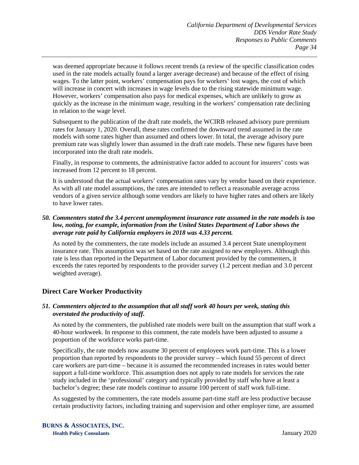was deemed appropriate because it follows recent trends (a review of the specific classification codes used in the rate models actually found a larger average decrease) and because of the effect of rising wages. To the latter point, workers' compensation pays for workers' lost wages, the cost of which will increase in concert with increases in wage levels due to the rising statewide minimum wage. However, workers' compensation also pays for medical expenses, which are unlikely to grow as quickly as the increase in the minimum wage, resulting in the workers' compensation rate declining in relation to the wage level.

Subsequent to the publication of the draft rate models, the WCIRB released advisory pure premium rates for January 1, 2020. Overall, these rates confirmed the downward trend assumed in the rate models with some rates higher than assumed and others lower. In total, the average advisory pure premium rate was slightly lower than assumed in the draft rate models. These new figures have been incorporated into the draft rate models.

Finally, in response to comments, the administrative factor added to account for insurers' costs was increased from 12 percent to 18 percent.

It is understood that the actual workers' compensation rates vary by vendor based on their experience. As with all rate model assumptions, the rates are intended to reflect a reasonable average across vendors of a given service although some vendors are likely to have higher rates and others are likely to have lower rates.

## *50. Commenters stated the 3.4 percent unemployment insurance rate assumed in the rate models is too low, noting, for example, information from the United States Department of Labor shows the average rate paid by California employers in 2018 was 4.33 percent.*

As noted by the commenters, the rate models include an assumed 3.4 percent State unemployment insurance rate. This assumption was set based on the rate assigned to new employers. Although this rate is less than reported in the Department of Labor document provided by the commenters, it exceeds the rates reported by respondents to the provider survey (1.2 percent median and 3.0 percent weighted average).

# **Direct Care Worker Productivity**

## *51. Commenters objected to the assumption that all staff work 40 hours per week, stating this overstated the productivity of staff.*

As noted by the commenters, the published rate models were built on the assumption that staff work a 40-hour workweek. In response to this comment, the rate models have been adjusted to assume a proportion of the workforce works part-time.

Specifically, the rate models now assume 30 percent of employees work part-time. This is a lower proportion than reported by respondents to the provider survey – which found 55 percent of direct care workers are part-time – because it is assumed the recommended increases in rates would better support a full-time workforce. This assumption does not apply to rate models for services the rate study included in the 'professional' category and typically provided by staff who have at least a bachelor's degree; these rate models continue to assume 100 percent of staff work full-time.

As suggested by the commenters, the rate models assume part-time staff are less productive because certain productivity factors, including training and supervision and other employer time, are assumed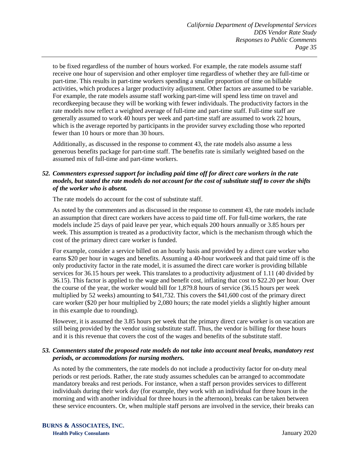to be fixed regardless of the number of hours worked. For example, the rate models assume staff receive one hour of supervision and other employer time regardless of whether they are full-time or part-time. This results in part-time workers spending a smaller proportion of time on billable activities, which produces a larger productivity adjustment. Other factors are assumed to be variable. For example, the rate models assume staff working part-time will spend less time on travel and recordkeeping because they will be working with fewer individuals. The productivity factors in the rate models now reflect a weighted average of full-time and part-time staff. Full-time staff are generally assumed to work 40 hours per week and part-time staff are assumed to work 22 hours, which is the average reported by participants in the provider survey excluding those who reported fewer than 10 hours or more than 30 hours.

Additionally, as discussed in the response to comment 43, the rate models also assume a less generous benefits package for part-time staff. The benefits rate is similarly weighted based on the assumed mix of full-time and part-time workers.

# *52. Commenters expressed support for including paid time off for direct care workers in the rate models, but stated the rate models do not account for the cost of substitute staff to cover the shifts of the worker who is absent.*

The rate models do account for the cost of substitute staff.

As noted by the commenters and as discussed in the response to comment 43, the rate models include an assumption that direct care workers have access to paid time off. For full-time workers, the rate models include 25 days of paid leave per year, which equals 200 hours annually or 3.85 hours per week. This assumption is treated as a productivity factor, which is the mechanism through which the cost of the primary direct care worker is funded.

For example, consider a service billed on an hourly basis and provided by a direct care worker who earns \$20 per hour in wages and benefits. Assuming a 40-hour workweek and that paid time off is the only productivity factor in the rate model, it is assumed the direct care worker is providing billable services for 36.15 hours per week. This translates to a productivity adjustment of 1.11 (40 divided by 36.15). This factor is applied to the wage and benefit cost, inflating that cost to \$22.20 per hour. Over the course of the year, the worker would bill for 1,879.8 hours of service (36.15 hours per week multiplied by 52 weeks) amounting to \$41,732. This covers the \$41,600 cost of the primary direct care worker (\$20 per hour multiplied by 2,080 hours; the rate model yields a slightly higher amount in this example due to rounding).

However, it is assumed the 3.85 hours per week that the primary direct care worker is on vacation are still being provided by the vendor using substitute staff. Thus, the vendor is billing for these hours and it is this revenue that covers the cost of the wages and benefits of the substitute staff.

#### *53. Commenters stated the proposed rate models do not take into account meal breaks, mandatory rest periods, or accommodations for nursing mothers.*

As noted by the commenters, the rate models do not include a productivity factor for on-duty meal periods or rest periods. Rather, the rate study assumes schedules can be arranged to accommodate mandatory breaks and rest periods. For instance, when a staff person provides services to different individuals during their work day (for example, they work with an individual for three hours in the morning and with another individual for three hours in the afternoon), breaks can be taken between these service encounters. Or, when multiple staff persons are involved in the service, their breaks can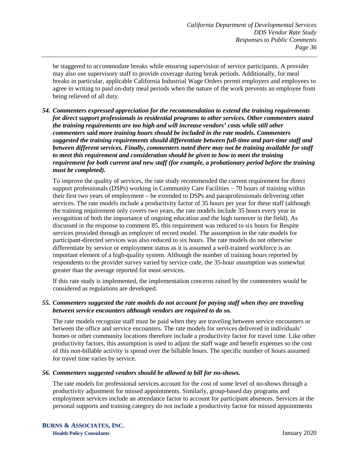be staggered to accommodate breaks while ensuring supervision of service participants. A provider may also use supervisory staff to provide coverage during break periods. Additionally, for meal breaks in particular, applicable California Industrial Wage Orders permit employers and employees to agree in writing to paid on-duty meal periods when the nature of the work prevents an employee from being relieved of all duty.

*54. Commenters expressed appreciation for the recommendation to extend the training requirements for direct support professionals in residential programs to other services. Other commenters stated the training requirements are too high and will increase vendors' costs while still other commenters said more training hours should be included in the rate models. Commenters suggested the training requirements should differentiate between full-time and part-time staff and between different services. Finally, commenters noted there may not be training available for staff to meet this requirement and consideration should be given to how to meet the training requirement for both current and new staff (for example, a probationary period before the training must be completed).*

To improve the quality of services, the rate study recommended the current requirement for direct support professionals (DSPs) working in Community Care Facilities – 70 hours of training within their first two years of employment – be extended to DSPs and paraprofessionals delivering other services. The rate models include a productivity factor of 35 hours per year for these staff (although the training requirement only covers two years, the rate models include 35 hours every year in recognition of both the importance of ongoing education and the high turnover in the field). As discussed in the response to comment 85, this requirement was reduced to six hours for Respite services provided through an employer of record model. The assumption in the rate models for participant-directed services was also reduced to six hours. The rate models do not otherwise differentiate by service or employment status as it is assumed a well-trained workforce is an important element of a high-quality system. Although the number of training hours reported by respondents to the provider survey varied by service code, the 35-hour assumption was somewhat greater than the average reported for most services.

If this rate study is implemented, the implementation concerns raised by the commenters would be considered as regulations are developed.

#### *55. Commenters suggested the rate models do not account for paying staff when they are traveling between service encounters although vendors are required to do so.*

The rate models recognize staff must be paid when they are traveling between service encounters or between the office and service encounters. The rate models for services delivered in individuals' homes or other community locations therefore include a productivity factor for travel time. Like other productivity factors, this assumption is used to adjust the staff wage and benefit expenses so the cost of this non-billable activity is spread over the billable hours. The specific number of hours assumed for travel time varies by service.

#### *56. Commenters suggested vendors should be allowed to bill for no-shows.*

The rate models for professional services account for the cost of some level of no-shows through a productivity adjustment for missed appointments. Similarly, group-based day programs and employment services include an attendance factor to account for participant absences. Services in the personal supports and training category do not include a productivity factor for missed appointments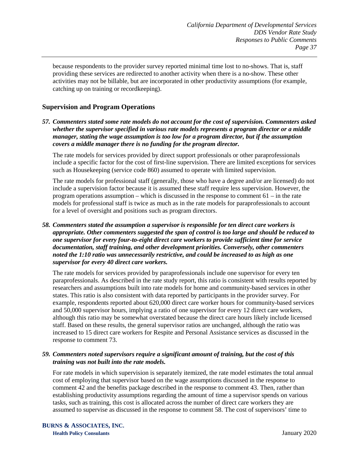because respondents to the provider survey reported minimal time lost to no-shows. That is, staff providing these services are redirected to another activity when there is a no-show. These other activities may not be billable, but are incorporated in other productivity assumptions (for example, catching up on training or recordkeeping).

# **Supervision and Program Operations**

*57. Commenters stated some rate models do not account for the cost of supervision. Commenters asked whether the supervisor specified in various rate models represents a program director or a middle manager, stating the wage assumption is too low for a program director, but if the assumption covers a middle manager there is no funding for the program director.* 

The rate models for services provided by direct support professionals or other paraprofessionals include a specific factor for the cost of first-line supervision. There are limited exceptions for services such as Housekeeping (service code 860) assumed to operate with limited supervision.

The rate models for professional staff (generally, those who have a degree and/or are licensed) do not include a supervision factor because it is assumed these staff require less supervision. However, the program operations assumption – which is discussed in the response to comment  $61 - in$  the rate models for professional staff is twice as much as in the rate models for paraprofessionals to account for a level of oversight and positions such as program directors.

*58. Commenters stated the assumption a supervisor is responsible for ten direct care workers is appropriate. Other commenters suggested the span of control is too large and should be reduced to one supervisor for every four-to-eight direct care workers to provide sufficient time for service documentation, staff training, and other development priorities. Conversely, other commenters noted the 1:10 ratio was unnecessarily restrictive, and could be increased to as high as one supervisor for every 40 direct care workers.*

The rate models for services provided by paraprofessionals include one supervisor for every ten paraprofessionals. As described in the rate study report, this ratio is consistent with results reported by researchers and assumptions built into rate models for home and community-based services in other states. This ratio is also consistent with data reported by participants in the provider survey. For example, respondents reported about 620,000 direct care worker hours for community-based services and 50,000 supervisor hours, implying a ratio of one supervisor for every 12 direct care workers, although this ratio may be somewhat overstated because the direct care hours likely include licensed staff. Based on these results, the general supervisor ratios are unchanged, although the ratio was increased to 15 direct care workers for Respite and Personal Assistance services as discussed in the response to comment 73.

## *59. Commenters noted supervisors require a significant amount of training, but the cost of this training was not built into the rate models.*

For rate models in which supervision is separately itemized, the rate model estimates the total annual cost of employing that supervisor based on the wage assumptions discussed in the response to comment 42 and the benefits package described in the response to comment 43. Then, rather than establishing productivity assumptions regarding the amount of time a supervisor spends on various tasks, such as training, this cost is allocated across the number of direct care workers they are assumed to supervise as discussed in the response to comment 58. The cost of supervisors' time to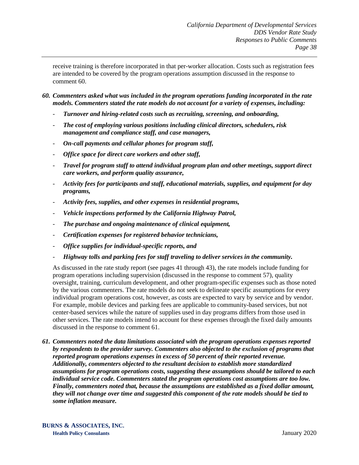receive training is therefore incorporated in that per-worker allocation. Costs such as registration fees are intended to be covered by the program operations assumption discussed in the response to comment 60.

- *60. Commenters asked what was included in the program operations funding incorporated in the rate models. Commenters stated the rate models do not account for a variety of expenses, including:*
	- *Turnover and hiring-related costs such as recruiting, screening, and onboarding,*
	- *The cost of employing various positions including clinical directors, schedulers, risk management and compliance staff, and case managers,*
	- *On-call payments and cellular phones for program staff,*
	- *Office space for direct care workers and other staff,*
	- *Travel for program staff to attend individual program plan and other meetings, support direct care workers, and perform quality assurance,*
	- *Activity fees for participants and staff, educational materials, supplies, and equipment for day programs,*
	- *Activity fees, supplies, and other expenses in residential programs,*
	- *Vehicle inspections performed by the California Highway Patrol,*
	- *The purchase and ongoing maintenance of clinical equipment,*
	- *Certification expenses for registered behavior technicians,*
	- *Office supplies for individual-specific reports, and*
	- *Highway tolls and parking fees for staff traveling to deliver services in the community.*

As discussed in the rate study report (see pages 41 through 43), the rate models include funding for program operations including supervision (discussed in the response to comment 57), quality oversight, training, curriculum development, and other program-specific expenses such as those noted by the various commenters. The rate models do not seek to delineate specific assumptions for every individual program operations cost, however, as costs are expected to vary by service and by vendor. For example, mobile devices and parking fees are applicable to community-based services, but not center-based services while the nature of supplies used in day programs differs from those used in other services. The rate models intend to account for these expenses through the fixed daily amounts discussed in the response to comment 61.

*61. Commenters noted the data limitations associated with the program operations expenses reported by respondents to the provider survey. Commenters also objected to the exclusion of programs that reported program operations expenses in excess of 50 percent of their reported revenue. Additionally, commenters objected to the resultant decision to establish more standardized assumptions for program operations costs, suggesting these assumptions should be tailored to each individual service code. Commenters stated the program operations cost assumptions are too low. Finally, commenters noted that, because the assumptions are established as a fixed dollar amount, they will not change over time and suggested this component of the rate models should be tied to some inflation measure.*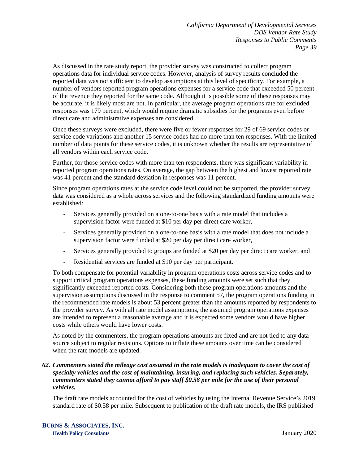As discussed in the rate study report, the provider survey was constructed to collect program operations data for individual service codes. However, analysis of survey results concluded the reported data was not sufficient to develop assumptions at this level of specificity. For example, a number of vendors reported program operations expenses for a service code that exceeded 50 percent of the revenue they reported for the same code. Although it is possible some of these responses may be accurate, it is likely most are not. In particular, the average program operations rate for excluded responses was 179 percent, which would require dramatic subsidies for the programs even before direct care and administrative expenses are considered.

Once these surveys were excluded, there were five or fewer responses for 29 of 69 service codes or service code variations and another 15 service codes had no more than ten responses. With the limited number of data points for these service codes, it is unknown whether the results are representative of all vendors within each service code.

Further, for those service codes with more than ten respondents, there was significant variability in reported program operations rates. On average, the gap between the highest and lowest reported rate was 41 percent and the standard deviation in responses was 11 percent.

Since program operations rates at the service code level could not be supported, the provider survey data was considered as a whole across services and the following standardized funding amounts were established:

- Services generally provided on a one-to-one basis with a rate model that includes a supervision factor were funded at \$10 per day per direct care worker,
- Services generally provided on a one-to-one basis with a rate model that does not include a supervision factor were funded at \$20 per day per direct care worker,
- Services generally provided to groups are funded at \$20 per day per direct care worker, and
- Residential services are funded at \$10 per day per participant.

To both compensate for potential variability in program operations costs across service codes and to support critical program operations expenses, these funding amounts were set such that they significantly exceeded reported costs. Considering both these program operations amounts and the supervision assumptions discussed in the response to comment 57, the program operations funding in the recommended rate models is about 53 percent greater than the amounts reported by respondents to the provider survey. As with all rate model assumptions, the assumed program operations expenses are intended to represent a reasonable average and it is expected some vendors would have higher costs while others would have lower costs.

As noted by the commenters, the program operations amounts are fixed and are not tied to any data source subject to regular revisions. Options to inflate these amounts over time can be considered when the rate models are updated.

## *62. Commenters stated the mileage cost assumed in the rate models is inadequate to cover the cost of specialty vehicles and the cost of maintaining, insuring, and replacing such vehicles. Separately, commenters stated they cannot afford to pay staff \$0.58 per mile for the use of their personal vehicles.*

The draft rate models accounted for the cost of vehicles by using the Internal Revenue Service's 2019 standard rate of \$0.58 per mile. Subsequent to publication of the draft rate models, the IRS published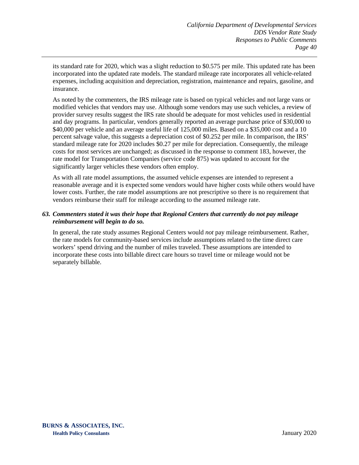its standard rate for 2020, which was a slight reduction to \$0.575 per mile. This updated rate has been incorporated into the updated rate models. The standard mileage rate incorporates all vehicle-related expenses, including acquisition and depreciation, registration, maintenance and repairs, gasoline, and insurance.

As noted by the commenters, the IRS mileage rate is based on typical vehicles and not large vans or modified vehicles that vendors may use. Although some vendors may use such vehicles, a review of provider survey results suggest the IRS rate should be adequate for most vehicles used in residential and day programs. In particular, vendors generally reported an average purchase price of \$30,000 to \$40,000 per vehicle and an average useful life of 125,000 miles. Based on a \$35,000 cost and a 10 percent salvage value, this suggests a depreciation cost of \$0.252 per mile. In comparison, the IRS' standard mileage rate for 2020 includes \$0.27 per mile for depreciation. Consequently, the mileage costs for most services are unchanged; as discussed in the response to comment 183, however, the rate model for Transportation Companies (service code 875) was updated to account for the significantly larger vehicles these vendors often employ.

As with all rate model assumptions, the assumed vehicle expenses are intended to represent a reasonable average and it is expected some vendors would have higher costs while others would have lower costs. Further, the rate model assumptions are not prescriptive so there is no requirement that vendors reimburse their staff for mileage according to the assumed mileage rate.

# *63. Commenters stated it was their hope that Regional Centers that currently do not pay mileage reimbursement will begin to do so.*

In general, the rate study assumes Regional Centers would *not* pay mileage reimbursement. Rather, the rate models for community-based services include assumptions related to the time direct care workers' spend driving and the number of miles traveled. These assumptions are intended to incorporate these costs into billable direct care hours so travel time or mileage would not be separately billable.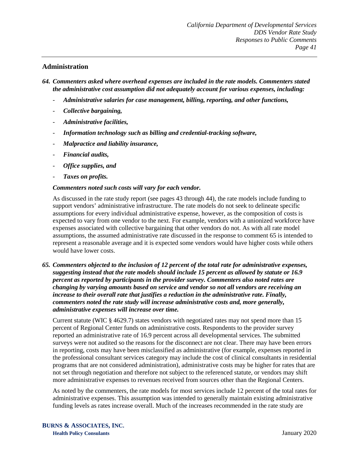# **Administration**

*64. Commenters asked where overhead expenses are included in the rate models. Commenters stated the administrative cost assumption did not adequately account for various expenses, including:*

- *Administrative salaries for case management, billing, reporting, and other functions,*
- *Collective bargaining,*
- *Administrative facilities,*
- *Information technology such as billing and credential-tracking software,*
- *Malpractice and liability insurance,*
- *Financial audits,*
- *Office supplies, and*
- *Taxes on profits.*

#### *Commenters noted such costs will vary for each vendor.*

As discussed in the rate study report (see pages 43 through 44), the rate models include funding to support vendors' administrative infrastructure. The rate models do not seek to delineate specific assumptions for every individual administrative expense, however, as the composition of costs is expected to vary from one vendor to the next. For example, vendors with a unionized workforce have expenses associated with collective bargaining that other vendors do not. As with all rate model assumptions, the assumed administrative rate discussed in the response to comment 65 is intended to represent a reasonable average and it is expected some vendors would have higher costs while others would have lower costs.

*65. Commenters objected to the inclusion of 12 percent of the total rate for administrative expenses, suggesting instead that the rate models should include 15 percent as allowed by statute or 16.9 percent as reported by participants in the provider survey. Commenters also noted rates are changing by varying amounts based on service and vendor so not all vendors are receiving an increase to their overall rate that justifies a reduction in the administrative rate. Finally, commenters noted the rate study will increase administrative costs and, more generally, administrative expenses will increase over time.*

Current statute (WIC § 4629.7) states vendors with negotiated rates may not spend more than 15 percent of Regional Center funds on administrative costs. Respondents to the provider survey reported an administrative rate of 16.9 percent across all developmental services. The submitted surveys were not audited so the reasons for the disconnect are not clear. There may have been errors in reporting, costs may have been misclassified as administrative (for example, expenses reported in the professional consultant services category may include the cost of clinical consultants in residential programs that are not considered administration), administrative costs may be higher for rates that are not set through negotiation and therefore not subject to the referenced statute, or vendors may shift more administrative expenses to revenues received from sources other than the Regional Centers.

As noted by the commenters, the rate models for most services include 12 percent of the total rates for administrative expenses. This assumption was intended to generally maintain existing administrative funding levels as rates increase overall. Much of the increases recommended in the rate study are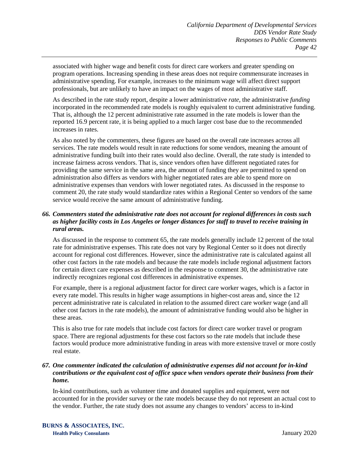associated with higher wage and benefit costs for direct care workers and greater spending on program operations. Increasing spending in these areas does not require commensurate increases in administrative spending. For example, increases to the minimum wage will affect direct support professionals, but are unlikely to have an impact on the wages of most administrative staff.

As described in the rate study report, despite a lower administrative *rate*, the administrative *funding* incorporated in the recommended rate models is roughly equivalent to current administrative funding. That is, although the 12 percent administrative rate assumed in the rate models is lower than the reported 16.9 percent rate, it is being applied to a much larger cost base due to the recommended increases in rates.

As also noted by the commenters, these figures are based on the overall rate increases across all services. The rate models would result in rate reductions for some vendors, meaning the amount of administrative funding built into their rates would also decline. Overall, the rate study is intended to increase fairness across vendors. That is, since vendors often have different negotiated rates for providing the same service in the same area, the amount of funding they are permitted to spend on administration also differs as vendors with higher negotiated rates are able to spend more on administrative expenses than vendors with lower negotiated rates. As discussed in the response to comment 20, the rate study would standardize rates within a Regional Center so vendors of the same service would receive the same amount of administrative funding.

# *66. Commenters stated the administrative rate does not account for regional differences in costs such as higher facility costs in Los Angeles or longer distances for staff to travel to receive training in rural areas.*

As discussed in the response to comment 65, the rate models generally include 12 percent of the total rate for administrative expenses. This rate does not vary by Regional Center so it does not directly account for regional cost differences. However, since the administrative rate is calculated against all other cost factors in the rate models and because the rate models include regional adjustment factors for certain direct care expenses as described in the response to comment 30, the administrative rate indirectly recognizes regional cost differences in administrative expenses.

For example, there is a regional adjustment factor for direct care worker wages, which is a factor in every rate model. This results in higher wage assumptions in higher-cost areas and, since the 12 percent administrative rate is calculated in relation to the assumed direct care worker wage (and all other cost factors in the rate models), the amount of administrative funding would also be higher in these areas.

This is also true for rate models that include cost factors for direct care worker travel or program space. There are regional adjustments for these cost factors so the rate models that include these factors would produce more administrative funding in areas with more extensive travel or more costly real estate.

### *67. One commenter indicated the calculation of administrative expenses did not account for in-kind contributions or the equivalent cost of office space when vendors operate their business from their home.*

In-kind contributions, such as volunteer time and donated supplies and equipment, were not accounted for in the provider survey or the rate models because they do not represent an actual cost to the vendor. Further, the rate study does not assume any changes to vendors' access to in-kind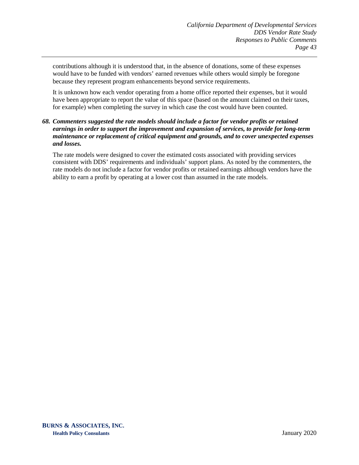contributions although it is understood that, in the absence of donations, some of these expenses would have to be funded with vendors' earned revenues while others would simply be foregone because they represent program enhancements beyond service requirements.

It is unknown how each vendor operating from a home office reported their expenses, but it would have been appropriate to report the value of this space (based on the amount claimed on their taxes, for example) when completing the survey in which case the cost would have been counted.

## *68. Commenters suggested the rate models should include a factor for vendor profits or retained earnings in order to support the improvement and expansion of services, to provide for long-term maintenance or replacement of critical equipment and grounds, and to cover unexpected expenses and losses.*

The rate models were designed to cover the estimated costs associated with providing services consistent with DDS' requirements and individuals' support plans. As noted by the commenters, the rate models do not include a factor for vendor profits or retained earnings although vendors have the ability to earn a profit by operating at a lower cost than assumed in the rate models.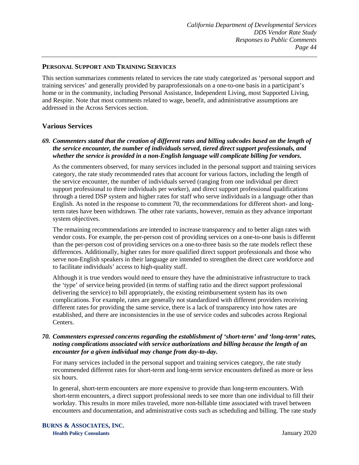## **PERSONAL SUPPORT AND TRAINING SERVICES**

This section summarizes comments related to services the rate study categorized as 'personal support and training services' and generally provided by paraprofessionals on a one-to-one basis in a participant's home or in the community, including Personal Assistance, Independent Living, most Supported Living, and Respite. Note that most comments related to wage, benefit, and administrative assumptions are addressed in the Across Services section.

# **Various Services**

# *69. Commenters stated that the creation of different rates and billing subcodes based on the length of the service encounter, the number of individuals served, tiered direct support professionals, and whether the service is provided in a non-English language will complicate billing for vendors.*

As the commenters observed, for many services included in the personal support and training services category, the rate study recommended rates that account for various factors, including the length of the service encounter, the number of individuals served (ranging from one individual per direct support professional to three individuals per worker), and direct support professional qualifications through a tiered DSP system and higher rates for staff who serve individuals in a language other than English. As noted in the response to comment 70, the recommendations for different short- and longterm rates have been withdrawn. The other rate variants, however, remain as they advance important system objectives.

The remaining recommendations are intended to increase transparency and to better align rates with vendor costs. For example, the per-person cost of providing services on a one-to-one basis is different than the per-person cost of providing services on a one-to-three basis so the rate models reflect these differences. Additionally, higher rates for more qualified direct support professionals and those who serve non-English speakers in their language are intended to strengthen the direct care workforce and to facilitate individuals' access to high-quality staff.

Although it is true vendors would need to ensure they have the administrative infrastructure to track the 'type' of service being provided (in terms of staffing ratio and the direct support professional delivering the service) to bill appropriately, the existing reimbursement system has its own complications. For example, rates are generally not standardized with different providers receiving different rates for providing the same service, there is a lack of transparency into how rates are established, and there are inconsistencies in the use of service codes and subcodes across Regional Centers.

### *70. Commenters expressed concerns regarding the establishment of 'short-term' and 'long-term' rates, noting complications associated with service authorizations and billing because the length of an encounter for a given individual may change from day-to-day.*

For many services included in the personal support and training services category, the rate study recommended different rates for short-term and long-term service encounters defined as more or less six hours.

In general, short-term encounters are more expensive to provide than long-term encounters. With short-term encounters, a direct support professional needs to see more than one individual to fill their workday. This results in more miles traveled, more non-billable time associated with travel between encounters and documentation, and administrative costs such as scheduling and billing. The rate study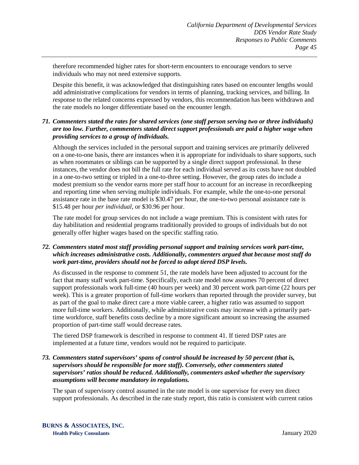therefore recommended higher rates for short-term encounters to encourage vendors to serve individuals who may not need extensive supports.

Despite this benefit, it was acknowledged that distinguishing rates based on encounter lengths would add administrative complications for vendors in terms of planning, tracking services, and billing. In response to the related concerns expressed by vendors, this recommendation has been withdrawn and the rate models no longer differentiate based on the encounter length.

# *71. Commenters stated the rates for shared services (one staff person serving two or three individuals) are too low. Further, commenters stated direct support professionals are paid a higher wage when providing services to a group of individuals.*

Although the services included in the personal support and training services are primarily delivered on a one-to-one basis, there are instances when it is appropriate for individuals to share supports, such as when roommates or siblings can be supported by a single direct support professional. In these instances, the vendor does not bill the full rate for each individual served as its costs have not doubled in a one-to-two setting or tripled in a one-to-three setting. However, the group rates do include a modest premium so the vendor earns more per staff hour to account for an increase in recordkeeping and reporting time when serving multiple individuals. For example, while the one-to-one personal assistance rate in the base rate model is \$30.47 per hour, the one-to-two personal assistance rate is \$15.48 per hour *per individual*, or \$30.96 per hour.

The rate model for group services do not include a wage premium. This is consistent with rates for day habilitation and residential programs traditionally provided to groups of individuals but do not generally offer higher wages based on the specific staffing ratio.

# *72. Commenters stated most staff providing personal support and training services work part-time, which increases administrative costs. Additionally, commenters argued that because most staff do work part-time, providers should not be forced to adopt tiered DSP levels.*

As discussed in the response to comment 51, the rate models have been adjusted to account for the fact that many staff work part-time. Specifically, each rate model now assumes 70 percent of direct support professionals work full-time (40 hours per week) and 30 percent work part-time (22 hours per week). This is a greater proportion of full-time workers than reported through the provider survey, but as part of the goal to make direct care a more viable career, a higher ratio was assumed to support more full-time workers. Additionally, while administrative costs may increase with a primarily parttime workforce, staff benefits costs decline by a more significant amount so increasing the assumed proportion of part-time staff would decrease rates.

The tiered DSP framework is described in response to comment 41. If tiered DSP rates are implemented at a future time, vendors would not be required to participate.

### *73. Commenters stated supervisors' spans of control should be increased by 50 percent (that is, supervisors should be responsible for more staff). Conversely, other commenters stated supervisors' ratios should be reduced. Additionally, commenters asked whether the supervisory assumptions will become mandatory in regulations.*

The span of supervisory control assumed in the rate model is one supervisor for every ten direct support professionals. As described in the rate study report, this ratio is consistent with current ratios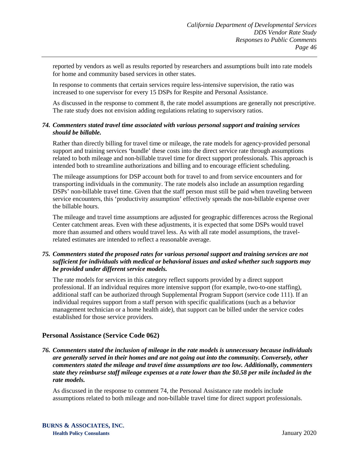reported by vendors as well as results reported by researchers and assumptions built into rate models for home and community based services in other states.

In response to comments that certain services require less-intensive supervision, the ratio was increased to one supervisor for every 15 DSPs for Respite and Personal Assistance.

As discussed in the response to comment 8, the rate model assumptions are generally not prescriptive. The rate study does not envision adding regulations relating to supervisory ratios.

#### *74. Commenters stated travel time associated with various personal support and training services should be billable.*

Rather than directly billing for travel time or mileage, the rate models for agency-provided personal support and training services 'bundle' these costs into the direct service rate through assumptions related to both mileage and non-billable travel time for direct support professionals. This approach is intended both to streamline authorizations and billing and to encourage efficient scheduling.

The mileage assumptions for DSP account both for travel to and from service encounters and for transporting individuals in the community. The rate models also include an assumption regarding DSPs' non-billable travel time. Given that the staff person must still be paid when traveling between service encounters, this 'productivity assumption' effectively spreads the non-billable expense over the billable hours.

The mileage and travel time assumptions are adjusted for geographic differences across the Regional Center catchment areas. Even with these adjustments, it is expected that some DSPs would travel more than assumed and others would travel less. As with all rate model assumptions, the travelrelated estimates are intended to reflect a reasonable average.

### *75. Commenters stated the proposed rates for various personal support and training services are not sufficient for individuals with medical or behavioral issues and asked whether such supports may be provided under different service models.*

The rate models for services in this category reflect supports provided by a direct support professional. If an individual requires more intensive support (for example, two-to-one staffing), additional staff can be authorized through Supplemental Program Support (service code 111). If an individual requires support from a staff person with specific qualifications (such as a behavior management technician or a home health aide), that support can be billed under the service codes established for those service providers.

# **Personal Assistance (Service Code 062)**

*76. Commenters stated the inclusion of mileage in the rate models is unnecessary because individuals are generally served in their homes and are not going out into the community. Conversely, other commenters stated the mileage and travel time assumptions are too low. Additionally, commenters state they reimburse staff mileage expenses at a rate lower than the \$0.58 per mile included in the rate models.*

As discussed in the response to comment 74, the Personal Assistance rate models include assumptions related to both mileage and non-billable travel time for direct support professionals.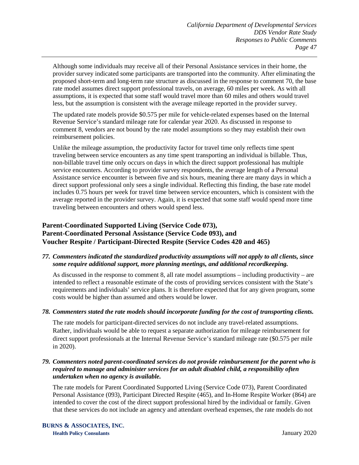Although some individuals may receive all of their Personal Assistance services in their home, the provider survey indicated some participants are transported into the community. After eliminating the proposed short-term and long-term rate structure as discussed in the response to comment 70, the base rate model assumes direct support professional travels, on average, 60 miles per week. As with all assumptions, it is expected that some staff would travel more than 60 miles and others would travel less, but the assumption is consistent with the average mileage reported in the provider survey.

The updated rate models provide \$0.575 per mile for vehicle-related expenses based on the Internal Revenue Service's standard mileage rate for calendar year 2020. As discussed in response to comment 8, vendors are not bound by the rate model assumptions so they may establish their own reimbursement policies.

Unlike the mileage assumption, the productivity factor for travel time only reflects time spent traveling between service encounters as any time spent transporting an individual is billable. Thus, non-billable travel time only occurs on days in which the direct support professional has multiple service encounters. According to provider survey respondents, the average length of a Personal Assistance service encounter is between five and six hours, meaning there are many days in which a direct support professional only sees a single individual. Reflecting this finding, the base rate model includes 0.75 hours per week for travel time between service encounters, which is consistent with the average reported in the provider survey. Again, it is expected that some staff would spend more time traveling between encounters and others would spend less.

# **Parent-Coordinated Supported Living (Service Code 073), Parent-Coordinated Personal Assistance (Service Code 093), and Voucher Respite / Participant-Directed Respite (Service Codes 420 and 465)**

## *77. Commenters indicated the standardized productivity assumptions will not apply to all clients, since some require additional support, more planning meetings, and additional recordkeeping.*

As discussed in the response to comment 8, all rate model assumptions – including productivity – are intended to reflect a reasonable estimate of the costs of providing services consistent with the State's requirements and individuals' service plans. It is therefore expected that for any given program, some costs would be higher than assumed and others would be lower.

# *78. Commenters stated the rate models should incorporate funding for the cost of transporting clients.*

The rate models for participant-directed services do not include any travel-related assumptions. Rather, individuals would be able to request a separate authorization for mileage reimbursement for direct support professionals at the Internal Revenue Service's standard mileage rate (\$0.575 per mile in 2020).

### *79. Commenters noted parent-coordinated services do not provide reimbursement for the parent who is required to manage and administer services for an adult disabled child, a responsibility often undertaken when no agency is available.*

The rate models for Parent Coordinated Supported Living (Service Code 073), Parent Coordinated Personal Assistance (093), Participant Directed Respite (465), and In-Home Respite Worker (864) are intended to cover the cost of the direct support professional hired by the individual or family. Given that these services do not include an agency and attendant overhead expenses, the rate models do not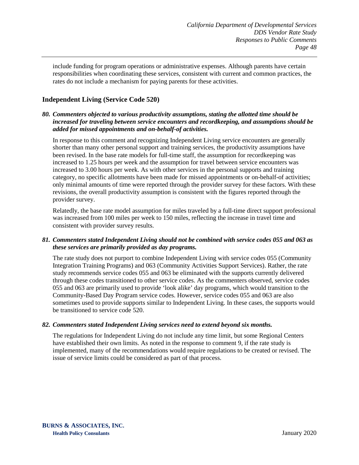include funding for program operations or administrative expenses. Although parents have certain responsibilities when coordinating these services, consistent with current and common practices, the rates do not include a mechanism for paying parents for these activities.

# **Independent Living (Service Code 520)**

#### *80. Commenters objected to various productivity assumptions, stating the allotted time should be increased for traveling between service encounters and recordkeeping, and assumptions should be added for missed appointments and on-behalf-of activities.*

In response to this comment and recognizing Independent Living service encounters are generally shorter than many other personal support and training services, the productivity assumptions have been revised. In the base rate models for full-time staff, the assumption for recordkeeping was increased to 1.25 hours per week and the assumption for travel between service encounters was increased to 3.00 hours per week. As with other services in the personal supports and training category, no specific allotments have been made for missed appointments or on-behalf-of activities; only minimal amounts of time were reported through the provider survey for these factors. With these revisions, the overall productivity assumption is consistent with the figures reported through the provider survey.

Relatedly, the base rate model assumption for miles traveled by a full-time direct support professional was increased from 100 miles per week to 150 miles, reflecting the increase in travel time and consistent with provider survey results.

## *81. Commenters stated Independent Living should not be combined with service codes 055 and 063 as these services are primarily provided as day programs.*

The rate study does not purport to combine Independent Living with service codes 055 (Community Integration Training Programs) and 063 (Community Activities Support Services). Rather, the rate study recommends service codes 055 and 063 be eliminated with the supports currently delivered through these codes transitioned to other service codes. As the commenters observed, service codes 055 and 063 are primarily used to provide 'look alike' day programs, which would transition to the Community-Based Day Program service codes. However, service codes 055 and 063 are also sometimes used to provide supports similar to Independent Living. In these cases, the supports would be transitioned to service code 520.

#### *82. Commenters stated Independent Living services need to extend beyond six months.*

The regulations for Independent Living do not include any time limit, but some Regional Centers have established their own limits. As noted in the response to comment 9, if the rate study is implemented, many of the recommendations would require regulations to be created or revised. The issue of service limits could be considered as part of that process.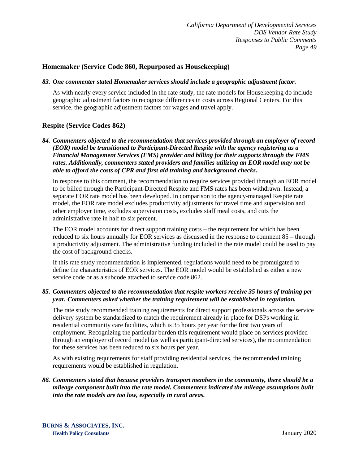# **Homemaker (Service Code 860, Repurposed as Housekeeping)**

#### *83. One commenter stated Homemaker services should include a geographic adjustment factor.*

As with nearly every service included in the rate study, the rate models for Housekeeping do include geographic adjustment factors to recognize differences in costs across Regional Centers. For this service, the geographic adjustment factors for wages and travel apply.

# **Respite (Service Codes 862)**

*84. Commenters objected to the recommendation that services provided through an employer of record (EOR) model be transitioned to Participant-Directed Respite with the agency registering as a Financial Management Services (FMS) provider and billing for their supports through the FMS rates. Additionally, commenters stated providers and families utilizing an EOR model may not be able to afford the costs of CPR and first aid training and background checks.*

In response to this comment, the recommendation to require services provided through an EOR model to be billed through the Participant-Directed Respite and FMS rates has been withdrawn. Instead, a separate EOR rate model has been developed. In comparison to the agency-managed Respite rate model, the EOR rate model excludes productivity adjustments for travel time and supervision and other employer time, excludes supervision costs, excludes staff meal costs, and cuts the administrative rate in half to six percent.

The EOR model accounts for direct support training costs – the requirement for which has been reduced to six hours annually for EOR services as discussed in the response to comment 85 – through a productivity adjustment. The administrative funding included in the rate model could be used to pay the cost of background checks.

If this rate study recommendation is implemented, regulations would need to be promulgated to define the characteristics of EOR services. The EOR model would be established as either a new service code or as a subcode attached to service code 862.

#### *85. Commenters objected to the recommendation that respite workers receive 35 hours of training per year. Commenters asked whether the training requirement will be established in regulation.*

The rate study recommended training requirements for direct support professionals across the service delivery system be standardized to match the requirement already in place for DSPs working in residential community care facilities, which is 35 hours per year for the first two years of employment. Recognizing the particular burden this requirement would place on services provided through an employer of record model (as well as participant-directed services), the recommendation for these services has been reduced to six hours per year.

As with existing requirements for staff providing residential services, the recommended training requirements would be established in regulation.

#### *86. Commenters stated that because providers transport members in the community, there should be a mileage component built into the rate model. Commenters indicated the mileage assumptions built into the rate models are too low, especially in rural areas.*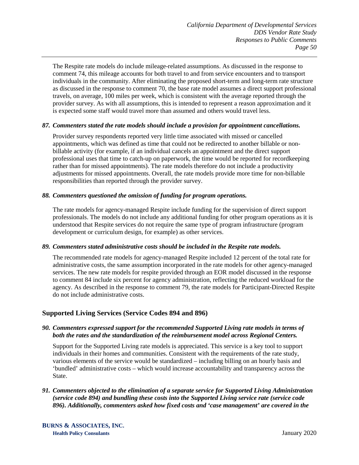The Respite rate models do include mileage-related assumptions. As discussed in the response to comment 74, this mileage accounts for both travel to and from service encounters and to transport individuals in the community. After eliminating the proposed short-term and long-term rate structure as discussed in the response to comment 70, the base rate model assumes a direct support professional travels, on average, 100 miles per week, which is consistent with the average reported through the provider survey. As with all assumptions, this is intended to represent a reason approximation and it is expected some staff would travel more than assumed and others would travel less.

#### *87. Commenters stated the rate models should include a provision for appointment cancellations.*

Provider survey respondents reported very little time associated with missed or cancelled appointments, which was defined as time that could not be redirected to another billable or nonbillable activity (for example, if an individual cancels an appointment and the direct support professional uses that time to catch-up on paperwork, the time would be reported for recordkeeping rather than for missed appointments). The rate models therefore do not include a productivity adjustments for missed appointments. Overall, the rate models provide more time for non-billable responsibilities than reported through the provider survey.

#### *88. Commenters questioned the omission of funding for program operations.*

The rate models for agency-managed Respite include funding for the supervision of direct support professionals. The models do not include any additional funding for other program operations as it is understood that Respite services do not require the same type of program infrastructure (program development or curriculum design, for example) as other services.

#### *89. Commenters stated administrative costs should be included in the Respite rate models.*

The recommended rate models for agency-managed Respite included 12 percent of the total rate for administrative costs, the same assumption incorporated in the rate models for other agency-managed services. The new rate models for respite provided through an EOR model discussed in the response to comment 84 include six percent for agency administration, reflecting the reduced workload for the agency. As described in the response to comment 79, the rate models for Participant-Directed Respite do not include administrative costs.

# **Supported Living Services (Service Codes 894 and 896)**

## *90. Commenters expressed support for the recommended Supported Living rate models in terms of both the rates and the standardization of the reimbursement model across Regional Centers.*

Support for the Supported Living rate models is appreciated. This service is a key tool to support individuals in their homes and communities. Consistent with the requirements of the rate study, various elements of the service would be standardized – including billing on an hourly basis and 'bundled' administrative costs – which would increase accountability and transparency across the State.

### *91. Commenters objected to the elimination of a separate service for Supported Living Administration (service code 894) and bundling these costs into the Supported Living service rate (service code 896). Additionally, commenters asked how fixed costs and 'case management' are covered in the*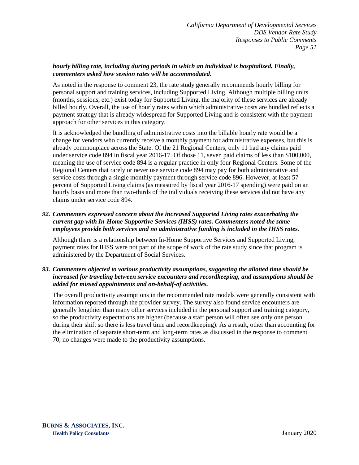# *hourly billing rate, including during periods in which an individual is hospitalized. Finally, commenters asked how session rates will be accommodated.*

As noted in the response to comment 23, the rate study generally recommends hourly billing for personal support and training services, including Supported Living. Although multiple billing units (months, sessions, etc.) exist today for Supported Living, the majority of these services are already billed hourly. Overall, the use of hourly rates within which administrative costs are bundled reflects a payment strategy that is already widespread for Supported Living and is consistent with the payment approach for other services in this category.

It is acknowledged the bundling of administrative costs into the billable hourly rate would be a change for vendors who currently receive a monthly payment for administrative expenses, but this is already commonplace across the State. Of the 21 Regional Centers, only 11 had any claims paid under service code 894 in fiscal year 2016-17. Of those 11, seven paid claims of less than \$100,000, meaning the use of service code 894 is a regular practice in only four Regional Centers. Some of the Regional Centers that rarely or never use service code 894 may pay for both administrative and service costs through a single monthly payment through service code 896. However, at least 57 percent of Supported Living claims (as measured by fiscal year 2016-17 spending) were paid on an hourly basis and more than two-thirds of the individuals receiving these services did not have any claims under service code 894.

# *92. Commenters expressed concern about the increased Supported Living rates exacerbating the current gap with In-Home Supportive Services (IHSS) rates. Commenters noted the same employees provide both services and no administrative funding is included in the IHSS rates.*

Although there is a relationship between In-Home Supportive Services and Supported Living, payment rates for IHSS were not part of the scope of work of the rate study since that program is administered by the Department of Social Services.

# *93. Commenters objected to various productivity assumptions, suggesting the allotted time should be increased for traveling between service encounters and recordkeeping, and assumptions should be added for missed appointments and on-behalf-of activities.*

The overall productivity assumptions in the recommended rate models were generally consistent with information reported through the provider survey. The survey also found service encounters are generally lengthier than many other services included in the personal support and training category, so the productivity expectations are higher (because a staff person will often see only one person during their shift so there is less travel time and recordkeeping). As a result, other than accounting for the elimination of separate short-term and long-term rates as discussed in the response to comment 70, no changes were made to the productivity assumptions.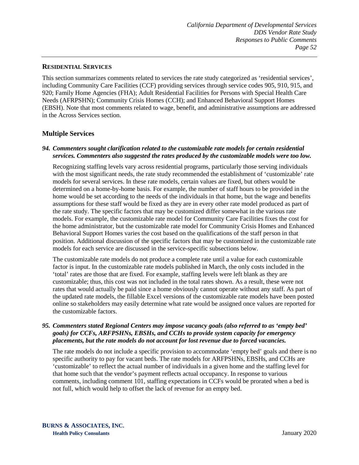#### **RESIDENTIAL SERVICES**

This section summarizes comments related to services the rate study categorized as 'residential services', including Community Care Facilities (CCF) providing services through service codes 905, 910, 915, and 920; Family Home Agencies (FHA); Adult Residential Facilities for Persons with Special Health Care Needs (AFRPSHN); Community Crisis Homes (CCH); and Enhanced Behavioral Support Homes (EBSH). Note that most comments related to wage, benefit, and administrative assumptions are addressed in the Across Services section.

# **Multiple Services**

## *94. Commenters sought clarification related to the customizable rate models for certain residential services. Commenters also suggested the rates produced by the customizable models were too low.*

Recognizing staffing levels vary across residential programs, particularly those serving individuals with the most significant needs, the rate study recommended the establishment of 'customizable' rate models for several services. In these rate models, certain values are fixed, but others would be determined on a home-by-home basis. For example, the number of staff hours to be provided in the home would be set according to the needs of the individuals in that home, but the wage and benefits assumptions for these staff would be fixed as they are in every other rate model produced as part of the rate study. The specific factors that may be customized differ somewhat in the various rate models. For example, the customizable rate model for Community Care Facilities fixes the cost for the home administrator, but the customizable rate model for Community Crisis Homes and Enhanced Behavioral Support Homes varies the cost based on the qualifications of the staff person in that position. Additional discussion of the specific factors that may be customized in the customizable rate models for each service are discussed in the service-specific subsections below.

The customizable rate models do not produce a complete rate until a value for each customizable factor is input. In the customizable rate models published in March, the only costs included in the 'total' rates are those that are fixed. For example, staffing levels were left blank as they are customizable; thus, this cost was not included in the total rates shown. As a result, these were not rates that would actually be paid since a home obviously cannot operate without any staff. As part of the updated rate models, the fillable Excel versions of the customizable rate models have been posted online so stakeholders may easily determine what rate would be assigned once values are reported for the customizable factors.

#### *95. Commenters stated Regional Centers may impose vacancy goals (also referred to as 'empty bed' goals) for CCFs, ARFPSHNs, EBSHs, and CCHs to provide system capacity for emergency placements, but the rate models do not account for lost revenue due to forced vacancies.*

The rate models do not include a specific provision to accommodate 'empty bed' goals and there is no specific authority to pay for vacant beds. The rate models for ARFPSHNs, EBSHs, and CCHs are 'customizable' to reflect the actual number of individuals in a given home and the staffing level for that home such that the vendor's payment reflects actual occupancy. In response to various comments, including comment 101, staffing expectations in CCFs would be prorated when a bed is not full, which would help to offset the lack of revenue for an empty bed.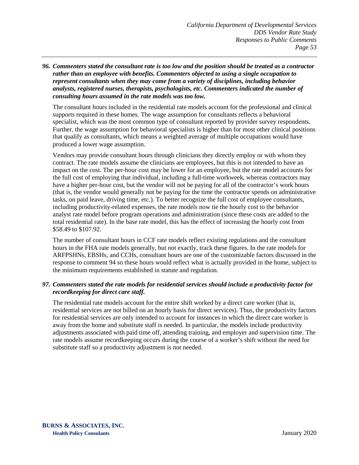*96. Commenters stated the consultant rate is too low and the position should be treated as a contractor rather than an employee with benefits. Commenters objected to using a single occupation to represent consultants when they may come from a variety of disciplines, including behavior analysts, registered nurses, therapists, psychologists, etc. Commenters indicated the number of consulting hours assumed in the rate models was too low.*

The consultant hours included in the residential rate models account for the professional and clinical supports required in these homes. The wage assumption for consultants reflects a behavioral specialist, which was the most common type of consultant reported by provider survey respondents. Further, the wage assumption for behavioral specialists is higher than for most other clinical positions that qualify as consultants, which means a weighted average of multiple occupations would have produced a lower wage assumption.

Vendors may provide consultant hours through clinicians they directly employ or with whom they contract. The rate models assume the clinicians are employees, but this is not intended to have an impact on the cost. The per-hour cost may be lower for an employee, but the rate model accounts for the full cost of employing that individual, including a full-time workweek, whereas contractors may have a higher per-hour cost, but the vendor will not be paying for all of the contractor's work hours (that is, the vendor would generally not be paying for the time the contractor spends on administrative tasks, on paid leave, driving time, etc.). To better recognize the full cost of employee consultants, including productivity-related expenses, the rate models now tie the hourly cost to the behavior analyst rate model before program operations and administration (since these costs are added to the total residential rate). In the base rate model, this has the effect of increasing the hourly cost from \$58.49 to \$107.92.

The number of consultant hours in CCF rate models reflect existing regulations and the consultant hours in the FHA rate models generally, but not exactly, track these figures. In the rate models for ARFPSHNs, EBSHs, and CCHs, consultant hours are one of the customizable factors discussed in the response to comment 94 so these hours would reflect what is actually provided in the home, subject to the minimum requirements established in statute and regulation.

## *97. Commenters stated the rate models for residential services should include a productivity factor for recordkeeping for direct care staff.*

The residential rate models account for the entire shift worked by a direct care worker (that is, residential services are not billed on an hourly basis for direct services). Thus, the productivity factors for residential services are only intended to account for instances in which the direct care worker is away from the home and substitute staff is needed. In particular, the models include productivity adjustments associated with paid time off, attending training, and employer and supervision time. The rate models assume recordkeeping occurs during the course of a worker's shift without the need for substitute staff so a productivity adjustment is not needed.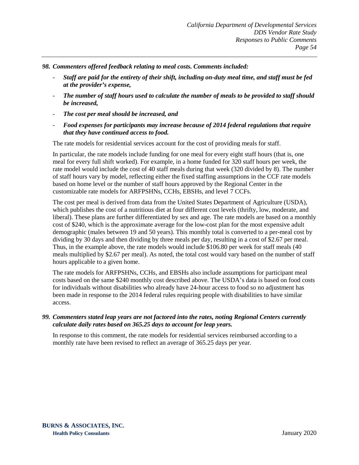*98. Commenters offered feedback relating to meal costs. Comments included:*

- *Staff are paid for the entirety of their shift, including on-duty meal time, and staff must be fed at the provider's expense,*
- *The number of staff hours used to calculate the number of meals to be provided to staff should be increased,*
- *The cost per meal should be increased, and*
- *Food expenses for participants may increase because of 2014 federal regulations that require that they have continued access to food.*

The rate models for residential services account for the cost of providing meals for staff.

In particular, the rate models include funding for one meal for every eight staff hours (that is, one meal for every full shift worked). For example, in a home funded for 320 staff hours per week, the rate model would include the cost of 40 staff meals during that week (320 divided by 8). The number of staff hours vary by model, reflecting either the fixed staffing assumptions in the CCF rate models based on home level or the number of staff hours approved by the Regional Center in the customizable rate models for ARFPSHNs, CCHs, EBSHs, and level 7 CCFs.

The cost per meal is derived from data from the United States Department of Agriculture (USDA), which publishes the cost of a nutritious diet at four different cost levels (thrifty, low, moderate, and liberal). These plans are further differentiated by sex and age. The rate models are based on a monthly cost of \$240, which is the approximate average for the low-cost plan for the most expensive adult demographic (males between 19 and 50 years). This monthly total is converted to a per-meal cost by dividing by 30 days and then dividing by three meals per day, resulting in a cost of \$2.67 per meal. Thus, in the example above, the rate models would include \$106.80 per week for staff meals (40 meals multiplied by \$2.67 per meal). As noted, the total cost would vary based on the number of staff hours applicable to a given home.

The rate models for ARFPSHNs, CCHs, and EBSHs also include assumptions for participant meal costs based on the same \$240 monthly cost described above. The USDA's data is based on food costs for individuals without disabilities who already have 24-hour access to food so no adjustment has been made in response to the 2014 federal rules requiring people with disabilities to have similar access.

#### *99. Commenters stated leap years are not factored into the rates, noting Regional Centers currently calculate daily rates based on 365.25 days to account for leap years.*

In response to this comment, the rate models for residential services reimbursed according to a monthly rate have been revised to reflect an average of 365.25 days per year.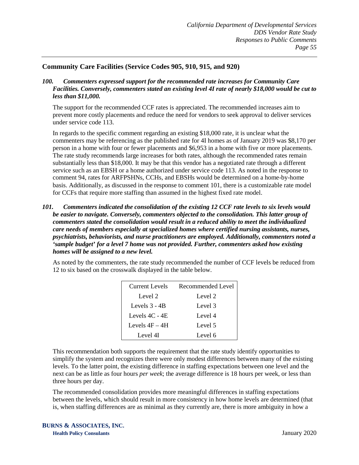# **Community Care Facilities (Service Codes 905, 910, 915, and 920)**

*100. Commenters expressed support for the recommended rate increases for Community Care Facilities. Conversely, commenters stated an existing level 4I rate of nearly \$18,000 would be cut to less than \$11,000.* 

The support for the recommended CCF rates is appreciated. The recommended increases aim to prevent more costly placements and reduce the need for vendors to seek approval to deliver services under service code 113.

In regards to the specific comment regarding an existing \$18,000 rate, it is unclear what the commenters may be referencing as the published rate for 4I homes as of January 2019 was \$8,170 per person in a home with four or fewer placements and \$6,953 in a home with five or more placements. The rate study recommends large increases for both rates, although the recommended rates remain substantially less than \$18,000. It may be that this vendor has a negotiated rate through a different service such as an EBSH or a home authorized under service code 113. As noted in the response to comment 94, rates for ARFPSHNs, CCHs, and EBSHs would be determined on a home-by-home basis. Additionally, as discussed in the response to comment 101, there is a customizable rate model for CCFs that require more staffing than assumed in the highest fixed rate model.

*101. Commenters indicated the consolidation of the existing 12 CCF rate levels to six levels would be easier to navigate. Conversely, commenters objected to the consolidation. This latter group of commenters stated the consolidation would result in a reduced ability to meet the individualized care needs of members especially at specialized homes where certified nursing assistants, nurses, psychiatrists, behaviorists, and nurse practitioners are employed. Additionally, commenters noted a 'sample budget' for a level 7 home was not provided. Further, commenters asked how existing homes will be assigned to a new level.*

As noted by the commenters, the rate study recommended the number of CCF levels be reduced from 12 to six based on the crosswalk displayed in the table below.

| Current Levels   | Recommended Level |
|------------------|-------------------|
| Level 2          | Level 2           |
| Levels 3 - 4B    | Level 3           |
| Levels $4C - 4E$ | Level 4           |
| Levels $4F - 4H$ | Level 5           |
| Level 4I         | Level 6           |

This recommendation both supports the requirement that the rate study identify opportunities to simplify the system and recognizes there were only modest differences between many of the existing levels. To the latter point, the existing difference in staffing expectations between one level and the next can be as little as four hours *per week*; the average difference is 18 hours per week, or less than three hours per day.

The recommended consolidation provides more meaningful differences in staffing expectations between the levels, which should result in more consistency in how home levels are determined (that is, when staffing differences are as minimal as they currently are, there is more ambiguity in how a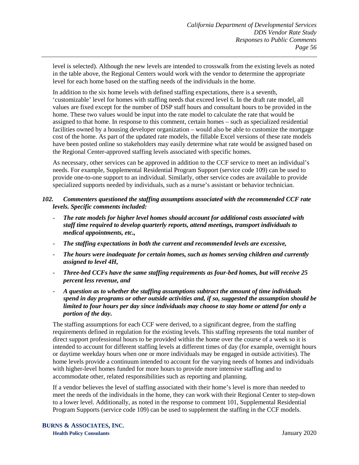level is selected). Although the new levels are intended to crosswalk from the existing levels as noted in the table above, the Regional Centers would work with the vendor to determine the appropriate level for each home based on the staffing needs of the individuals in the home.

In addition to the six home levels with defined staffing expectations, there is a seventh, 'customizable' level for homes with staffing needs that exceed level 6. In the draft rate model, all values are fixed except for the number of DSP staff hours and consultant hours to be provided in the home. These two values would be input into the rate model to calculate the rate that would be assigned to that home. In response to this comment, certain homes – such as specialized residential facilities owned by a housing developer organization – would also be able to customize the mortgage cost of the home. As part of the updated rate models, the fillable Excel versions of these rate models have been posted online so stakeholders may easily determine what rate would be assigned based on the Regional Center-approved staffing levels associated with specific homes.

As necessary, other services can be approved in addition to the CCF service to meet an individual's needs. For example, Supplemental Residential Program Support (service code 109) can be used to provide one-to-one support to an individual. Similarly, other service codes are available to provide specialized supports needed by individuals, such as a nurse's assistant or behavior technician.

## *102. Commenters questioned the staffing assumptions associated with the recommended CCF rate levels. Specific comments included:*

- *The rate models for higher level homes should account for additional costs associated with staff time required to develop quarterly reports, attend meetings, transport individuals to medical appointments, etc.,*
- *The staffing expectations in both the current and recommended levels are excessive,*
- *The hours were inadequate for certain homes, such as homes serving children and currently assigned to level 4H,*
- *Three-bed CCFs have the same staffing requirements as four-bed homes, but will receive 25 percent less revenue, and*
- *A question as to whether the staffing assumptions subtract the amount of time individuals spend in day programs or other outside activities and, if so, suggested the assumption should be limited to four hours per day since individuals may choose to stay home or attend for only a portion of the day.*

The staffing assumptions for each CCF were derived, to a significant degree, from the staffing requirements defined in regulation for the existing levels. This staffing represents the total number of direct support professional hours to be provided within the home over the course of a week so it is intended to account for different staffing levels at different times of day (for example, overnight hours or daytime weekday hours when one or more individuals may be engaged in outside activities). The home levels provide a continuum intended to account for the varying needs of homes and individuals with higher-level homes funded for more hours to provide more intensive staffing and to accommodate other, related responsibilities such as reporting and planning.

If a vendor believes the level of staffing associated with their home's level is more than needed to meet the needs of the individuals in the home, they can work with their Regional Center to step-down to a lower level. Additionally, as noted in the response to comment 101, Supplemental Residential Program Supports (service code 109) can be used to supplement the staffing in the CCF models.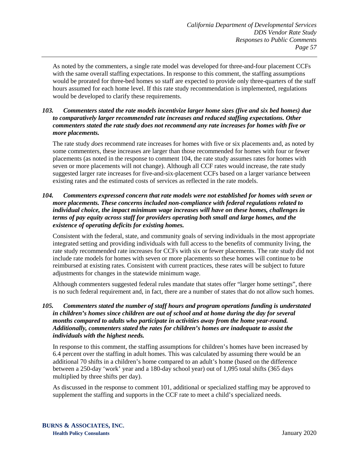As noted by the commenters, a single rate model was developed for three-and-four placement CCFs with the same overall staffing expectations. In response to this comment, the staffing assumptions would be prorated for three-bed homes so staff are expected to provide only three-quarters of the staff hours assumed for each home level. If this rate study recommendation is implemented, regulations would be developed to clarify these requirements.

### *103. Commenters stated the rate models incentivize larger home sizes (five and six bed homes) due to comparatively larger recommended rate increases and reduced staffing expectations. Other commenters stated the rate study does not recommend any rate increases for homes with five or more placements.*

The rate study *does* recommend rate increases for homes with five or six placements and, as noted by some commenters, these increases are larger than those recommended for homes with four or fewer placements (as noted in the response to comment 104, the rate study assumes rates for homes with seven or more placements will not change). Although all CCF rates would increase, the rate study suggested larger rate increases for five-and-six-placement CCFs based on a larger variance between existing rates and the estimated costs of services as reflected in the rate models.

### *104. Commenters expressed concern that rate models were not established for homes with seven or more placements. These concerns included non-compliance with federal regulations related to individual choice, the impact minimum wage increases will have on these homes, challenges in terms of pay equity across staff for providers operating both small and large homes, and the existence of operating deficits for existing homes.*

Consistent with the federal, state, and community goals of serving individuals in the most appropriate integrated setting and providing individuals with full access to the benefits of community living, the rate study recommended rate increases for CCFs with six or fewer placements. The rate study did not include rate models for homes with seven or more placements so these homes will continue to be reimbursed at existing rates. Consistent with current practices, these rates will be subject to future adjustments for changes in the statewide minimum wage.

Although commenters suggested federal rules mandate that states offer "larger home settings", there is no such federal requirement and, in fact, there are a number of states that do not allow such homes.

## *105. Commenters stated the number of staff hours and program operations funding is understated in children's homes since children are out of school and at home during the day for several months compared to adults who participate in activities away from the home year-round. Additionally, commenters stated the rates for children's homes are inadequate to assist the individuals with the highest needs.*

In response to this comment, the staffing assumptions for children's homes have been increased by 6.4 percent over the staffing in adult homes. This was calculated by assuming there would be an additional 70 shifts in a children's home compared to an adult's home (based on the difference between a 250-day 'work' year and a 180-day school year) out of 1,095 total shifts (365 days multiplied by three shifts per day).

As discussed in the response to comment 101, additional or specialized staffing may be approved to supplement the staffing and supports in the CCF rate to meet a child's specialized needs.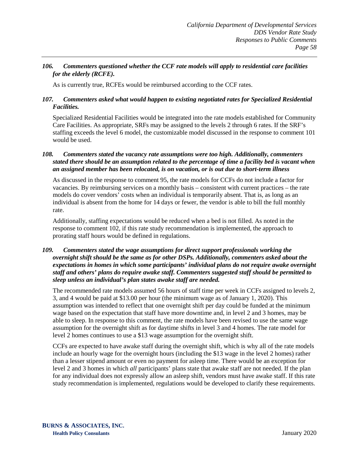# *106. Commenters questioned whether the CCF rate models will apply to residential care facilities for the elderly (RCFE).*

As is currently true, RCFEs would be reimbursed according to the CCF rates.

#### *107. Commenters asked what would happen to existing negotiated rates for Specialized Residential Facilities.*

Specialized Residential Facilities would be integrated into the rate models established for Community Care Facilities. As appropriate, SRFs may be assigned to the levels 2 through 6 rates. If the SRF's staffing exceeds the level 6 model, the customizable model discussed in the response to comment 101 would be used.

#### *108. Commenters stated the vacancy rate assumptions were too high. Additionally, commenters stated there should be an assumption related to the percentage of time a facility bed is vacant when an assigned member has been relocated, is on vacation, or is out due to short-term illness*

As discussed in the response to comment 95, the rate models for CCFs do not include a factor for vacancies. By reimbursing services on a monthly basis – consistent with current practices – the rate models do cover vendors' costs when an individual is temporarily absent. That is, as long as an individual is absent from the home for 14 days or fewer, the vendor is able to bill the full monthly rate.

Additionally, staffing expectations would be reduced when a bed is not filled. As noted in the response to comment 102, if this rate study recommendation is implemented, the approach to prorating staff hours would be defined in regulations.

### *109. Commenters stated the wage assumptions for direct support professionals working the overnight shift should be the same as for other DSPs. Additionally, commenters asked about the expectations in homes in which some participants' individual plans do not require awake overnight staff and others' plans do require awake staff. Commenters suggested staff should be permitted to sleep unless an individual's plan states awake staff are needed.*

The recommended rate models assumed 56 hours of staff time per week in CCFs assigned to levels 2, 3, and 4 would be paid at \$13.00 per hour (the minimum wage as of January 1, 2020). This assumption was intended to reflect that one overnight shift per day could be funded at the minimum wage based on the expectation that staff have more downtime and, in level 2 and 3 homes, may be able to sleep. In response to this comment, the rate models have been revised to use the same wage assumption for the overnight shift as for daytime shifts in level 3 and 4 homes. The rate model for level 2 homes continues to use a \$13 wage assumption for the overnight shift.

CCFs are expected to have awake staff during the overnight shift, which is why all of the rate models include an hourly wage for the overnight hours (including the \$13 wage in the level 2 homes) rather than a lesser stipend amount or even no payment for asleep time. There would be an exception for level 2 and 3 homes in which *all* participants' plans state that awake staff are not needed. If the plan for any individual does not expressly allow an asleep shift, vendors must have awake staff. If this rate study recommendation is implemented, regulations would be developed to clarify these requirements.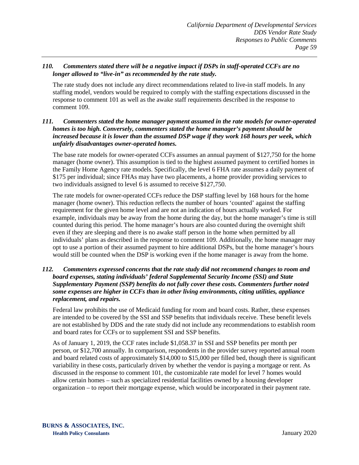# *110. Commenters stated there will be a negative impact if DSPs in staff-operated CCFs are no longer allowed to "live-in" as recommended by the rate study.*

The rate study does not include any direct recommendations related to live-in staff models. In any staffing model, vendors would be required to comply with the staffing expectations discussed in the response to comment 101 as well as the awake staff requirements described in the response to comment 109.

### *111. Commenters stated the home manager payment assumed in the rate models for owner-operated homes is too high. Conversely, commenters stated the home manager's payment should be increased because it is lower than the assumed DSP wage if they work 168 hours per week, which unfairly disadvantages owner-operated homes.*

The base rate models for owner-operated CCFs assumes an annual payment of \$127,750 for the home manager (home owner). This assumption is tied to the highest assumed payment to certified homes in the Family Home Agency rate models. Specifically, the level 6 FHA rate assumes a daily payment of \$175 per individual; since FHAs may have two placements, a home provider providing services to two individuals assigned to level 6 is assumed to receive \$127,750.

The rate models for owner-operated CCFs reduce the DSP staffing level by 168 hours for the home manager (home owner). This reduction reflects the number of hours 'counted' against the staffing requirement for the given home level and are not an indication of hours actually worked. For example, individuals may be away from the home during the day, but the home manager's time is still counted during this period. The home manager's hours are also counted during the overnight shift even if they are sleeping and there is no awake staff person in the home when permitted by all individuals' plans as described in the response to comment 109. Additionally, the home manager may opt to use a portion of their assumed payment to hire additional DSPs, but the home manager's hours would still be counted when the DSP is working even if the home manager is away from the home.

## *112. Commenters expressed concerns that the rate study did not recommend changes to room and board expenses, stating individuals' federal Supplemental Security Income (SSI) and State Supplementary Payment (SSP) benefits do not fully cover these costs. Commenters further noted some expenses are higher in CCFs than in other living environments, citing utilities, appliance replacement, and repairs.*

Federal law prohibits the use of Medicaid funding for room and board costs. Rather, these expenses are intended to be covered by the SSI and SSP benefits that individuals receive. These benefit levels are not established by DDS and the rate study did not include any recommendations to establish room and board rates for CCFs or to supplement SSI and SSP benefits.

As of January 1, 2019, the CCF rates include \$1,058.37 in SSI and SSP benefits per month per person, or \$12,700 annually. In comparison, respondents in the provider survey reported annual room and board related costs of approximately \$14,000 to \$15,000 per filled bed, though there is significant variability in these costs, particularly driven by whether the vendor is paying a mortgage or rent. As discussed in the response to comment 101, the customizable rate model for level 7 homes would allow certain homes – such as specialized residential facilities owned by a housing developer organization – to report their mortgage expense, which would be incorporated in their payment rate.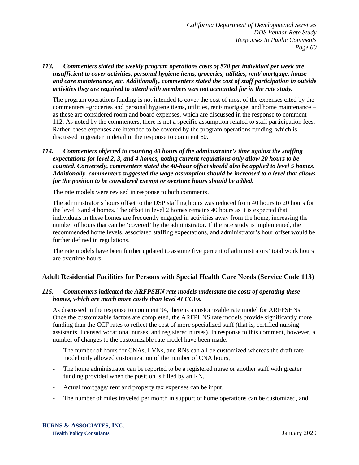#### *113. Commenters stated the weekly program operations costs of \$70 per individual per week are insufficient to cover activities, personal hygiene items, groceries, utilities, rent/ mortgage, house and care maintenance, etc. Additionally, commenters stated the cost of staff participation in outside activities they are required to attend with members was not accounted for in the rate study.*

The program operations funding is not intended to cover the cost of most of the expenses cited by the commenters –groceries and personal hygiene items, utilities, rent/ mortgage, and home maintenance – as these are considered room and board expenses, which are discussed in the response to comment 112. As noted by the commenters, there is not a specific assumption related to staff participation fees. Rather, these expenses are intended to be covered by the program operations funding, which is discussed in greater in detail in the response to comment 60.

### *114. Commenters objected to counting 40 hours of the administrator's time against the staffing expectations for level 2, 3, and 4 homes, noting current regulations only allow 20 hours to be counted. Conversely, commenters stated the 40-hour offset should also be applied to level 5 homes. Additionally, commenters suggested the wage assumption should be increased to a level that allows for the position to be considered exempt or overtime hours should be added.*

The rate models were revised in response to both comments.

The administrator's hours offset to the DSP staffing hours was reduced from 40 hours to 20 hours for the level 3 and 4 homes. The offset in level 2 homes remains 40 hours as it is expected that individuals in these homes are frequently engaged in activities away from the home, increasing the number of hours that can be 'covered' by the administrator. If the rate study is implemented, the recommended home levels, associated staffing expectations, and administrator's hour offset would be further defined in regulations.

The rate models have been further updated to assume five percent of administrators' total work hours are overtime hours.

# **Adult Residential Facilities for Persons with Special Health Care Needs (Service Code 113)**

#### *115. Commenters indicated the ARFPSHN rate models understate the costs of operating these homes, which are much more costly than level 4I CCFs.*

As discussed in the response to comment 94, there is a customizable rate model for ARFPSHNs. Once the customizable factors are completed, the ARFPHNS rate models provide significantly more funding than the CCF rates to reflect the cost of more specialized staff (that is, certified nursing assistants, licensed vocational nurses, and registered nurses). In response to this comment, however, a number of changes to the customizable rate model have been made:

- The number of hours for CNAs, LVNs, and RNs can all be customized whereas the draft rate model only allowed customization of the number of CNA hours,
- The home administrator can be reported to be a registered nurse or another staff with greater funding provided when the position is filled by an RN,
- Actual mortgage/ rent and property tax expenses can be input,
- The number of miles traveled per month in support of home operations can be customized, and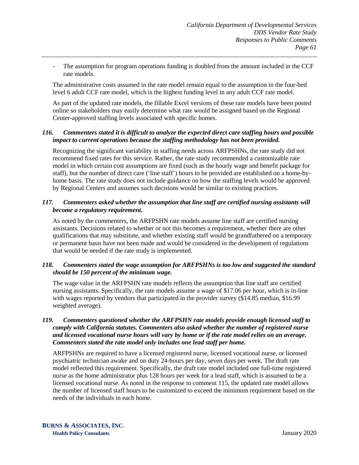The assumption for program operations funding is doubled from the amount included in the CCF rate models.

The administrative costs assumed in the rate model remain equal to the assumption in the four-bed level 6 adult CCF rate model, which is the highest funding level in any adult CCF rate model.

As part of the updated rate models, the fillable Excel versions of these rate models have been posted online so stakeholders may easily determine what rate would be assigned based on the Regional Center-approved staffing levels associated with specific homes.

### *116. Commenters stated it is difficult to analyze the expected direct care staffing hours and possible impact to current operations because the staffing methodology has not been provided.*

Recognizing the significant variability in staffing needs across ARFPSHNs, the rate study did not recommend fixed rates for this service. Rather, the rate study recommended a customizable rate model in which certain cost assumptions are fixed (such as the hourly wage and benefit package for staff), but the number of direct care ('line staff') hours to be provided are established on a home-byhome basis. The rate study does not include guidance on how the staffing levels would be approved by Regional Centers and assumes such decisions would be similar to existing practices.

## *117. Commenters asked whether the assumption that line staff are certified nursing assistants will become a regulatory requirement.*

As noted by the commenters, the ARFPSHN rate models assume line staff are certified nursing assistants. Decisions related to whether or not this becomes a requirement, whether there are other qualifications that may substitute, and whether existing staff would be grandfathered on a temporary or permanent basis have not been made and would be considered in the development of regulations that would be needed if the rate study is implemented.

# *118. Commenters stated the wage assumption for ARFPSHNs is too low and suggested the standard should be 150 percent of the minimum wage.*

The wage value in the ARFPSHN rate models reflects the assumption that line staff are certified nursing assistants. Specifically, the rate models assume a wage of \$17.06 per hour, which is in-line with wages reported by vendors that participated in the provider survey (\$14.85 median, \$16.99 weighted average).

### *119. Commenters questioned whether the ARFPSHN rate models provide enough licensed staff to comply with California statutes. Commenters also asked whether the number of registered nurse and licensed vocational nurse hours will vary by home or if the rate model relies on an average. Commenters stated the rate model only includes one lead staff per home.*

ARFPSHNs are required to have a licensed registered nurse, licensed vocational nurse, or licensed psychiatric technician awake and on duty 24-hours per day, seven days per week. The draft rate model reflected this requirement. Specifically, the draft rate model included one full-time registered nurse as the home administrator plus 128 hours per week for a lead staff, which is assumed to be a licensed vocational nurse. As noted in the response to comment 115, the updated rate model allows the number of licensed staff hours to be customized to exceed the minimum requirement based on the needs of the individuals in each home.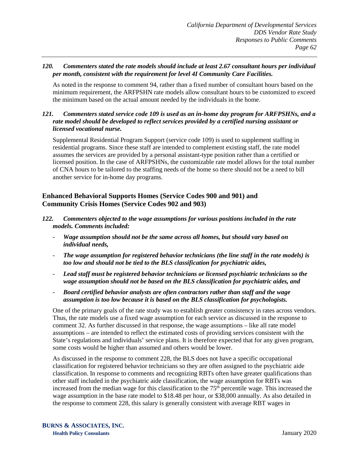### *120. Commenters stated the rate models should include at least 2.67 consultant hours per individual per month, consistent with the requirement for level 4I Community Care Facilities.*

As noted in the response to comment 94, rather than a fixed number of consultant hours based on the minimum requirement, the ARFPSHN rate models allow consultant hours to be customized to exceed the minimum based on the actual amount needed by the individuals in the home.

#### *121. Commenters stated service code 109 is used as an in-home day program for ARFPSHNs, and a rate model should be developed to reflect services provided by a certified nursing assistant or licensed vocational nurse.*

Supplemental Residential Program Support (service code 109) is used to supplement staffing in residential programs. Since these staff are intended to complement existing staff, the rate model assumes the services are provided by a personal assistant-type position rather than a certified or licensed position. In the case of ARFPSHNs, the customizable rate model allows for the total number of CNA hours to be tailored to the staffing needs of the home so there should not be a need to bill another service for in-home day programs.

# **Enhanced Behavioral Supports Homes (Service Codes 900 and 901) and Community Crisis Homes (Service Codes 902 and 903)**

- *122. Commenters objected to the wage assumptions for various positions included in the rate models. Comments included:*
	- *Wage assumption should not be the same across all homes, but should vary based on individual needs,*
	- *The wage assumption for registered behavior technicians (the line staff in the rate models) is too low and should not be tied to the BLS classification for psychiatric aides,*
	- *Lead staff must be registered behavior technicians or licensed psychiatric technicians so the wage assumption should not be based on the BLS classification for psychiatric aides, and*
	- *Board certified behavior analysts are often contractors rather than staff and the wage assumption is too low because it is based on the BLS classification for psychologists.*

One of the primary goals of the rate study was to establish greater consistency in rates across vendors. Thus, the rate models use a fixed wage assumption for each service as discussed in the response to comment 32. As further discussed in that response, the wage assumptions – like all rate model assumptions – are intended to reflect the estimated costs of providing services consistent with the State's regulations and individuals' service plans. It is therefore expected that for any given program, some costs would be higher than assumed and others would be lower.

As discussed in the response to comment 228, the BLS does not have a specific occupational classification for registered behavior technicians so they are often assigned to the psychiatric aide classification. In response to comments and recognizing RBTs often have greater qualifications than other staff included in the psychiatric aide classification, the wage assumption for RBTs was increased from the median wage for this classification to the  $75<sup>th</sup>$  percentile wage. This increased the wage assumption in the base rate model to \$18.48 per hour, or \$38,000 annually. As also detailed in the response to comment 228, this salary is generally consistent with average RBT wages in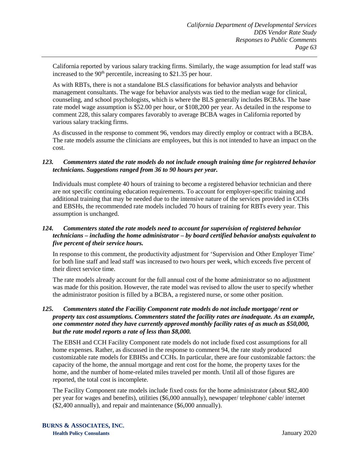California reported by various salary tracking firms. Similarly, the wage assumption for lead staff was increased to the  $90<sup>th</sup>$  percentile, increasing to \$21.35 per hour.

As with RBTs, there is not a standalone BLS classifications for behavior analysts and behavior management consultants. The wage for behavior analysts was tied to the median wage for clinical, counseling, and school psychologists, which is where the BLS generally includes BCBAs. The base rate model wage assumption is \$52.00 per hour, or \$108,200 per year. As detailed in the response to comment 228, this salary compares favorably to average BCBA wages in California reported by various salary tracking firms.

As discussed in the response to comment 96, vendors may directly employ or contract with a BCBA. The rate models assume the clinicians are employees, but this is not intended to have an impact on the cost.

## *123. Commenters stated the rate models do not include enough training time for registered behavior technicians. Suggestions ranged from 36 to 90 hours per year.*

Individuals must complete 40 hours of training to become a registered behavior technician and there are not specific continuing education requirements. To account for employer-specific training and additional training that may be needed due to the intensive nature of the services provided in CCHs and EBSHs, the recommended rate models included 70 hours of training for RBTs every year. This assumption is unchanged.

# *124. Commenters stated the rate models need to account for supervision of registered behavior technicians – including the home administrator – by board certified behavior analysts equivalent to five percent of their service hours.*

In response to this comment, the productivity adjustment for 'Supervision and Other Employer Time' for both line staff and lead staff was increased to two hours per week, which exceeds five percent of their direct service time.

The rate models already account for the full annual cost of the home administrator so no adjustment was made for this position. However, the rate model was revised to allow the user to specify whether the administrator position is filled by a BCBA, a registered nurse, or some other position.

## *125. Commenters stated the Facility Component rate models do not include mortgage/ rent or property tax cost assumptions. Commenters stated the facility rates are inadequate. As an example, one commenter noted they have currently approved monthly facility rates of as much as \$50,000, but the rate model reports a rate of less than \$8,000.*

The EBSH and CCH Facility Component rate models do not include fixed cost assumptions for all home expenses. Rather, as discussed in the response to comment 94, the rate study produced customizable rate models for EBHSs and CCHs. In particular, there are four customizable factors: the capacity of the home, the annual mortgage and rent cost for the home, the property taxes for the home, and the number of home-related miles traveled per month. Until all of those figures are reported, the total cost is incomplete.

The Facility Component rate models include fixed costs for the home administrator (about \$82,400 per year for wages and benefits), utilities (\$6,000 annually), newspaper/ telephone/ cable/ internet (\$2,400 annually), and repair and maintenance (\$6,000 annually).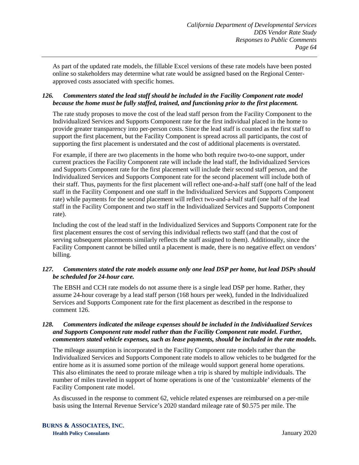As part of the updated rate models, the fillable Excel versions of these rate models have been posted online so stakeholders may determine what rate would be assigned based on the Regional Centerapproved costs associated with specific homes.

# *126. Commenters stated the lead staff should be included in the Facility Component rate model because the home must be fully staffed, trained, and functioning prior to the first placement.*

The rate study proposes to move the cost of the lead staff person from the Facility Component to the Individualized Services and Supports Component rate for the first individual placed in the home to provide greater transparency into per-person costs. Since the lead staff is counted as the first staff to support the first placement, but the Facility Component is spread across all participants, the cost of supporting the first placement is understated and the cost of additional placements is overstated.

For example, if there are two placements in the home who both require two-to-one support, under current practices the Facility Component rate will include the lead staff, the Individualized Services and Supports Component rate for the first placement will include their second staff person, and the Individualized Services and Supports Component rate for the second placement will include both of their staff. Thus, payments for the first placement will reflect one-and-a-half staff (one half of the lead staff in the Facility Component and one staff in the Individualized Services and Supports Component rate) while payments for the second placement will reflect two-and-a-half staff (one half of the lead staff in the Facility Component and two staff in the Individualized Services and Supports Component rate).

Including the cost of the lead staff in the Individualized Services and Supports Component rate for the first placement ensures the cost of serving this individual reflects two staff (and that the cost of serving subsequent placements similarly reflects the staff assigned to them). Additionally, since the Facility Component cannot be billed until a placement is made, there is no negative effect on vendors' billing.

## *127. Commenters stated the rate models assume only one lead DSP per home, but lead DSPs should be scheduled for 24-hour care.*

The EBSH and CCH rate models do not assume there is a single lead DSP per home. Rather, they assume 24-hour coverage by a lead staff person (168 hours per week), funded in the Individualized Services and Supports Component rate for the first placement as described in the response to comment 126.

#### *128. Commenters indicated the mileage expenses should be included in the Individualized Services and Supports Component rate model rather than the Facility Component rate model. Further, commenters stated vehicle expenses, such as lease payments, should be included in the rate models.*

The mileage assumption is incorporated in the Facility Component rate models rather than the Individualized Services and Supports Component rate models to allow vehicles to be budgeted for the entire home as it is assumed some portion of the mileage would support general home operations. This also eliminates the need to prorate mileage when a trip is shared by multiple individuals. The number of miles traveled in support of home operations is one of the 'customizable' elements of the Facility Component rate model.

As discussed in the response to comment 62, vehicle related expenses are reimbursed on a per-mile basis using the Internal Revenue Service's 2020 standard mileage rate of \$0.575 per mile. The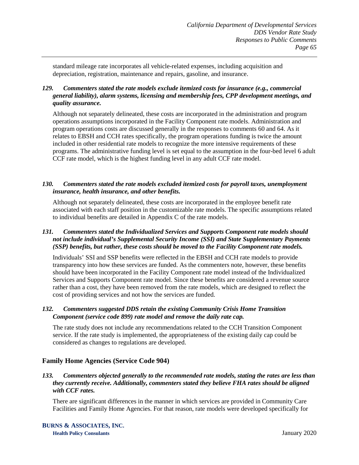standard mileage rate incorporates all vehicle-related expenses, including acquisition and depreciation, registration, maintenance and repairs, gasoline, and insurance.

# *129. Commenters stated the rate models exclude itemized costs for insurance (e.g., commercial general liability), alarm systems, licensing and membership fees, CPP development meetings, and quality assurance.*

Although not separately delineated, these costs are incorporated in the administration and program operations assumptions incorporated in the Facility Component rate models. Administration and program operations costs are discussed generally in the responses to comments 60 and 64. As it relates to EBSH and CCH rates specifically, the program operations funding is twice the amount included in other residential rate models to recognize the more intensive requirements of these programs. The administrative funding level is set equal to the assumption in the four-bed level 6 adult CCF rate model, which is the highest funding level in any adult CCF rate model.

## *130. Commenters stated the rate models excluded itemized costs for payroll taxes, unemployment insurance, health insurance, and other benefits.*

Although not separately delineated, these costs are incorporated in the employee benefit rate associated with each staff position in the customizable rate models. The specific assumptions related to individual benefits are detailed in Appendix C of the rate models.

# *131. Commenters stated the Individualized Services and Supports Component rate models should not include individual's Supplemental Security Income (SSI) and State Supplementary Payments (SSP) benefits, but rather, these costs should be moved to the Facility Component rate models.*

Individuals' SSI and SSP benefits were reflected in the EBSH and CCH rate models to provide transparency into how these services are funded. As the commenters note, however, these benefits should have been incorporated in the Facility Component rate model instead of the Individualized Services and Supports Component rate model. Since these benefits are considered a revenue source rather than a cost, they have been removed from the rate models, which are designed to reflect the cost of providing services and not how the services are funded.

## *132. Commenters suggested DDS retain the existing Community Crisis Home Transition Component (service code 899) rate model and remove the daily rate cap.*

The rate study does not include any recommendations related to the CCH Transition Component service. If the rate study is implemented, the appropriateness of the existing daily cap could be considered as changes to regulations are developed.

# **Family Home Agencies (Service Code 904)**

# *133. Commenters objected generally to the recommended rate models, stating the rates are less than they currently receive. Additionally, commenters stated they believe FHA rates should be aligned with CCF rates.*

There are significant differences in the manner in which services are provided in Community Care Facilities and Family Home Agencies. For that reason, rate models were developed specifically for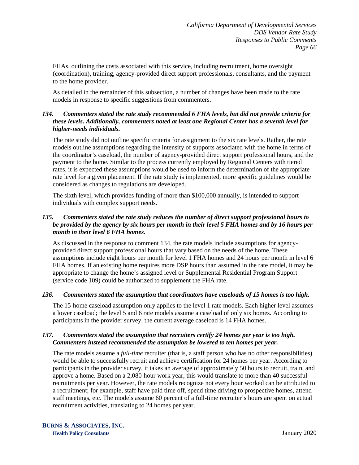FHAs, outlining the costs associated with this service, including recruitment, home oversight (coordination), training, agency-provided direct support professionals, consultants, and the payment to the home provider.

As detailed in the remainder of this subsection, a number of changes have been made to the rate models in response to specific suggestions from commenters.

### *134. Commenters stated the rate study recommended 6 FHA levels, but did not provide criteria for these levels. Additionally, commenters noted at least one Regional Center has a seventh level for higher-needs individuals.*

The rate study did not outline specific criteria for assignment to the six rate levels. Rather, the rate models outline assumptions regarding the intensity of supports associated with the home in terms of the coordinator's caseload, the number of agency-provided direct support professional hours, and the payment to the home. Similar to the process currently employed by Regional Centers with tiered rates, it is expected these assumptions would be used to inform the determination of the appropriate rate level for a given placement. If the rate study is implemented, more specific guidelines would be considered as changes to regulations are developed.

The sixth level, which provides funding of more than \$100,000 annually, is intended to support individuals with complex support needs.

## *135. Commenters stated the rate study reduces the number of direct support professional hours to be provided by the agency by six hours per month in their level 5 FHA homes and by 16 hours per month in their level 6 FHA homes.*

As discussed in the response to comment 134, the rate models include assumptions for agencyprovided direct support professional hours that vary based on the needs of the home. These assumptions include eight hours per month for level 1 FHA homes and 24 hours per month in level 6 FHA homes. If an existing home requires more DSP hours than assumed in the rate model, it may be appropriate to change the home's assigned level or Supplemental Residential Program Support (service code 109) could be authorized to supplement the FHA rate.

#### *136. Commenters stated the assumption that coordinators have caseloads of 15 homes is too high.*

The 15-home caseload assumption only applies to the level 1 rate models. Each higher level assumes a lower caseload; the level 5 and 6 rate models assume a caseload of only six homes. According to participants in the provider survey, the current average caseload is 14 FHA homes.

#### *137. Commenters stated the assumption that recruiters certify 24 homes per year is too high. Commenters instead recommended the assumption be lowered to ten homes per year.*

The rate models assume a *full-time* recruiter (that is, a staff person who has no other responsibilities) would be able to successfully recruit and achieve certification for 24 homes per year. According to participants in the provider survey, it takes an average of approximately 50 hours to recruit, train, and approve a home. Based on a 2,080-hour work year, this would translate to more than 40 successful recruitments per year. However, the rate models recognize not every hour worked can be attributed to a recruitment; for example, staff have paid time off, spend time driving to prospective homes, attend staff meetings, etc. The models assume 60 percent of a full-time recruiter's hours are spent on actual recruitment activities, translating to 24 homes per year.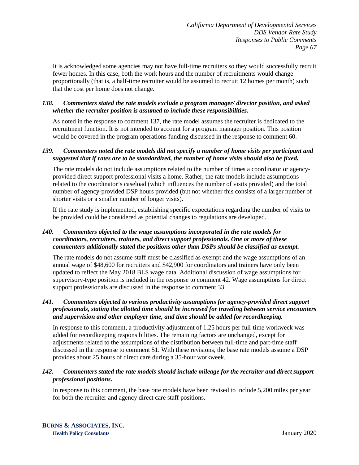It is acknowledged some agencies may not have full-time recruiters so they would successfully recruit fewer homes. In this case, both the work hours and the number of recruitments would change proportionally (that is, a half-time recruiter would be assumed to recruit 12 homes per month) such that the cost per home does not change.

## *138. Commenters stated the rate models exclude a program manager/ director position, and asked whether the recruiter position is assumed to include these responsibilities.*

As noted in the response to comment 137, the rate model assumes the recruiter is dedicated to the recruitment function. It is not intended to account for a program manager position. This position would be covered in the program operations funding discussed in the response to comment 60.

### *139. Commenters noted the rate models did not specify a number of home visits per participant and suggested that if rates are to be standardized, the number of home visits should also be fixed.*

The rate models do not include assumptions related to the number of times a coordinator or agencyprovided direct support professional visits a home. Rather, the rate models include assumptions related to the coordinator's caseload (which influences the number of visits provided) and the total number of agency-provided DSP hours provided (but not whether this consists of a larger number of shorter visits or a smaller number of longer visits).

If the rate study is implemented, establishing specific expectations regarding the number of visits to be provided could be considered as potential changes to regulations are developed.

### *140. Commenters objected to the wage assumptions incorporated in the rate models for coordinators, recruiters, trainers, and direct support professionals. One or more of these commenters additionally stated the positions other than DSPs should be classified as exempt.*

The rate models do not assume staff must be classified as exempt and the wage assumptions of an annual wage of \$48,600 for recruiters and \$42,900 for coordinators and trainers have only been updated to reflect the May 2018 BLS wage data. Additional discussion of wage assumptions for supervisory-type position is included in the response to comment 42. Wage assumptions for direct support professionals are discussed in the response to comment 33.

### *141. Commenters objected to various productivity assumptions for agency-provided direct support professionals, stating the allotted time should be increased for traveling between service encounters and supervision and other employer time, and time should be added for recordkeeping.*

In response to this comment, a productivity adjustment of 1.25 hours per full-time workweek was added for recordkeeping responsibilities. The remaining factors are unchanged, except for adjustments related to the assumptions of the distribution between full-time and part-time staff discussed in the response to comment 51. With these revisions, the base rate models assume a DSP provides about 25 hours of direct care during a 35-hour workweek.

## *142. Commenters stated the rate models should include mileage for the recruiter and direct support professional positions.*

In response to this comment, the base rate models have been revised to include 5,200 miles per year for both the recruiter and agency direct care staff positions.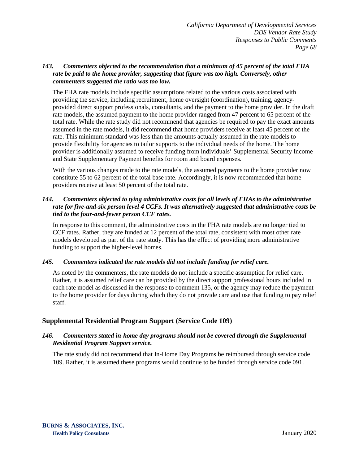#### *143. Commenters objected to the recommendation that a minimum of 45 percent of the total FHA rate be paid to the home provider, suggesting that figure was too high. Conversely, other commenters suggested the ratio was too low.*

The FHA rate models include specific assumptions related to the various costs associated with providing the service, including recruitment, home oversight (coordination), training, agencyprovided direct support professionals, consultants, and the payment to the home provider. In the draft rate models, the assumed payment to the home provider ranged from 47 percent to 65 percent of the total rate. While the rate study did not recommend that agencies be required to pay the exact amounts assumed in the rate models, it did recommend that home providers receive at least 45 percent of the rate. This minimum standard was less than the amounts actually assumed in the rate models to provide flexibility for agencies to tailor supports to the individual needs of the home. The home provider is additionally assumed to receive funding from individuals' Supplemental Security Income and State Supplementary Payment benefits for room and board expenses.

With the various changes made to the rate models, the assumed payments to the home provider now constitute 55 to 62 percent of the total base rate. Accordingly, it is now recommended that home providers receive at least 50 percent of the total rate.

# *144. Commenters objected to tying administrative costs for all levels of FHAs to the administrative rate for five-and-six person level 4 CCFs. It was alternatively suggested that administrative costs be tied to the four-and-fewer person CCF rates.*

In response to this comment, the administrative costs in the FHA rate models are no longer tied to CCF rates. Rather, they are funded at 12 percent of the total rate, consistent with most other rate models developed as part of the rate study. This has the effect of providing more administrative funding to support the higher-level homes.

# *145. Commenters indicated the rate models did not include funding for relief care.*

As noted by the commenters, the rate models do not include a specific assumption for relief care. Rather, it is assumed relief care can be provided by the direct support professional hours included in each rate model as discussed in the response to comment 135, or the agency may reduce the payment to the home provider for days during which they do not provide care and use that funding to pay relief staff.

# **Supplemental Residential Program Support (Service Code 109)**

## *146. Commenters stated in-home day programs should not be covered through the Supplemental Residential Program Support service.*

The rate study did not recommend that In-Home Day Programs be reimbursed through service code 109. Rather, it is assumed these programs would continue to be funded through service code 091.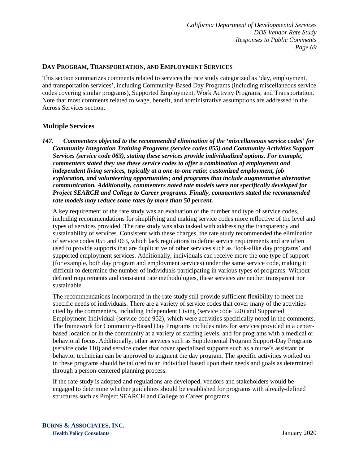### **DAY PROGRAM, TRANSPORTATION, AND EMPLOYMENT SERVICES**

This section summarizes comments related to services the rate study categorized as 'day, employment, and transportation services', including Community-Based Day Programs (including miscellaneous service codes covering similar programs), Supported Employment, Work Activity Programs, and Transportation. Note that most comments related to wage, benefit, and administrative assumptions are addressed in the Across Services section.

# **Multiple Services**

*147. Commenters objected to the recommended elimination of the 'miscellaneous service codes' for Community Integration Training Programs (service codes 055) and Community Activities Support Services (service code 063), stating these services provide individualized options. For example, commenters stated they use these service codes to offer a combination of employment and independent living services, typically at a one-to-one ratio; customized employment, job exploration, and volunteering opportunities; and programs that include augmentative alternative communication. Additionally, commenters noted rate models were not specifically developed for Project SEARCH and College to Career programs. Finally, commenters stated the recommended rate models may reduce some rates by more than 50 percent.*

A key requirement of the rate study was an evaluation of the number and type of service codes, including recommendations for simplifying and making service codes more reflective of the level and types of services provided. The rate study was also tasked with addressing the transparency and sustainability of services. Consistent with these charges, the rate study recommended the elimination of service codes 055 and 063, which lack regulations to define service requirements and are often used to provide supports that are duplicative of other services such as 'look-alike day programs' and supported employment services. Additionally, individuals can receive more the one type of support (for example, both day program and employment services) under the same service code, making it difficult to determine the number of individuals participating in various types of programs. Without defined requirements and consistent rate methodologies, these services are neither transparent nor sustainable.

The recommendations incorporated in the rate study still provide sufficient flexibility to meet the specific needs of individuals. There are a variety of service codes that cover many of the activities cited by the commenters, including Independent Living (service code 520) and Supported Employment-Individual (service code 952), which were activities specifically noted in the comments. The framework for Community-Based Day Programs includes rates for services provided in a centerbased location or in the community at a variety of staffing levels, and for programs with a medical or behavioral focus. Additionally, other services such as Supplemental Program Support-Day Programs (service code 110) and service codes that cover specialized supports such as a nurse's assistant or behavior technician can be approved to augment the day program. The specific activities worked on in these programs should be tailored to an individual based upon their needs and goals as determined through a person-centered planning process.

If the rate study is adopted and regulations are developed, vendors and stakeholders would be engaged to determine whether guidelines should be established for programs with already-defined structures such as Project SEARCH and College to Career programs.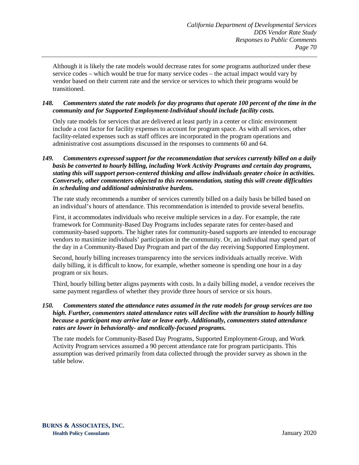Although it is likely the rate models would decrease rates for *some* programs authorized under these service codes – which would be true for many service codes – the actual impact would vary by vendor based on their current rate and the service or services to which their programs would be transitioned.

#### *148. Commenters stated the rate models for day programs that operate 100 percent of the time in the community and for Supported Employment-Individual should include facility costs.*

Only rate models for services that are delivered at least partly in a center or clinic environment include a cost factor for facility expenses to account for program space. As with all services, other facility-related expenses such as staff offices are incorporated in the program operations and administrative cost assumptions discussed in the responses to comments 60 and 64.

#### *149. Commenters expressed support for the recommendation that services currently billed on a daily basis be converted to hourly billing, including Work Activity Programs and certain day programs, stating this will support person-centered thinking and allow individuals greater choice in activities. Conversely, other commenters objected to this recommendation, stating this will create difficulties in scheduling and additional administrative burdens.*

The rate study recommends a number of services currently billed on a daily basis be billed based on an individual's hours of attendance. This recommendation is intended to provide several benefits.

First, it accommodates individuals who receive multiple services in a day. For example, the rate framework for Community-Based Day Programs includes separate rates for center-based and community-based supports. The higher rates for community-based supports are intended to encourage vendors to maximize individuals' participation in the community. Or, an individual may spend part of the day in a Community-Based Day Program and part of the day receiving Supported Employment.

Second, hourly billing increases transparency into the services individuals actually receive. With daily billing, it is difficult to know, for example, whether someone is spending one hour in a day program or six hours.

Third, hourly billing better aligns payments with costs. In a daily billing model, a vendor receives the same payment regardless of whether they provide three hours of service or six hours.

### *150. Commenters stated the attendance rates assumed in the rate models for group services are too high. Further, commenters stated attendance rates will decline with the transition to hourly billing because a participant may arrive late or leave early. Additionally, commenters stated attendance rates are lower in behaviorally- and medically-focused programs.*

The rate models for Community-Based Day Programs, Supported Employment-Group, and Work Activity Program services assumed a 90 percent attendance rate for program participants. This assumption was derived primarily from data collected through the provider survey as shown in the table below.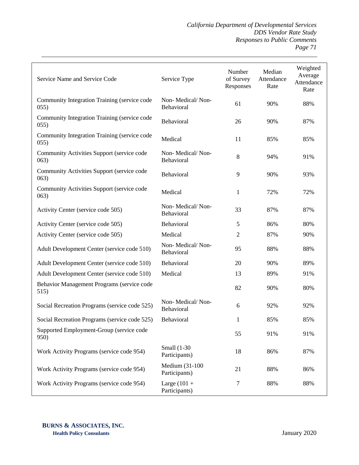*California Department of Developmental Services DDS Vendor Rate Study Responses to Public Comments Page 71*

| Service Name and Service Code                        | Service Type                    | Number<br>of Survey<br>Responses | Median<br>Attendance<br>Rate | Weighted<br>Average<br>Attendance<br>Rate |
|------------------------------------------------------|---------------------------------|----------------------------------|------------------------------|-------------------------------------------|
| Community Integration Training (service code<br>055) | Non-Medical/Non-<br>Behavioral  | 61                               | 90%                          | 88%                                       |
| Community Integration Training (service code<br>055) | Behavioral                      | 26                               | 90%                          | 87%                                       |
| Community Integration Training (service code<br>055) | Medical                         | 11                               | 85%                          | 85%                                       |
| Community Activities Support (service code<br>(063)  | Non-Medical/Non-<br>Behavioral  | 8                                | 94%                          | 91%                                       |
| Community Activities Support (service code<br>(063)  | Behavioral                      | 9                                | 90%                          | 93%                                       |
| Community Activities Support (service code<br>063)   | Medical                         | 1                                | 72%                          | 72%                                       |
| Activity Center (service code 505)                   | Non-Medical/Non-<br>Behavioral  | 33                               | 87%                          | 87%                                       |
| Activity Center (service code 505)                   | Behavioral                      | 5                                | 86%                          | 80%                                       |
| Activity Center (service code 505)                   | Medical                         | $\overline{c}$                   | 87%                          | 90%                                       |
| Adult Development Center (service code 510)          | Non-Medical/Non-<br>Behavioral  | 95                               | 88%                          | 88%                                       |
| Adult Development Center (service code 510)          | Behavioral                      | 20                               | 90%                          | 89%                                       |
| Adult Development Center (service code 510)          | Medical                         | 13                               | 89%                          | 91%                                       |
| Behavior Management Programs (service code<br>515)   |                                 | 82                               | 90%                          | 80%                                       |
| Social Recreation Programs (service code 525)        | Non-Medical/Non-<br>Behavioral  | 6                                | 92%                          | 92%                                       |
| Social Recreation Programs (service code 525)        | Behavioral                      | 1                                | 85%                          | 85%                                       |
| Supported Employment-Group (service code<br>950)     |                                 | 55                               | 91%                          | 91%                                       |
| Work Activity Programs (service code 954)            | Small (1-30<br>Participants)    | 18                               | 86%                          | 87%                                       |
| Work Activity Programs (service code 954)            | Medium (31-100<br>Participants) | 21                               | 88%                          | 86%                                       |
| Work Activity Programs (service code 954)            | Large $(101 +$<br>Participants) | 7                                | 88%                          | 88%                                       |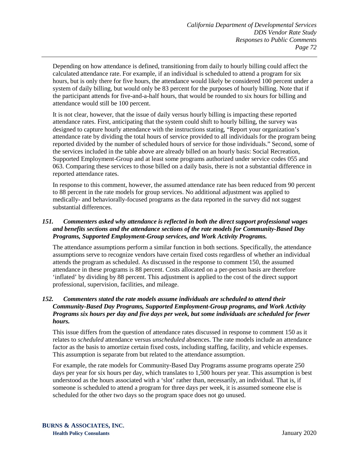Depending on how attendance is defined, transitioning from daily to hourly billing could affect the calculated attendance rate. For example, if an individual is scheduled to attend a program for six hours, but is only there for five hours, the attendance would likely be considered 100 percent under a system of daily billing, but would only be 83 percent for the purposes of hourly billing. Note that if the participant attends for five-and-a-half hours, that would be rounded to six hours for billing and attendance would still be 100 percent.

It is not clear, however, that the issue of daily versus hourly billing is impacting these reported attendance rates. First, anticipating that the system could shift to hourly billing, the survey was designed to capture hourly attendance with the instructions stating, "Report your organization's attendance rate by dividing the total hours of service provided to all individuals for the program being reported divided by the number of scheduled hours of service for those individuals." Second, some of the services included in the table above are already billed on an hourly basis: Social Recreation, Supported Employment-Group and at least some programs authorized under service codes 055 and 063. Comparing these services to those billed on a daily basis, there is not a substantial difference in reported attendance rates.

In response to this comment, however, the assumed attendance rate has been reduced from 90 percent to 88 percent in the rate models for group services. No additional adjustment was applied to medically- and behaviorally-focused programs as the data reported in the survey did not suggest substantial differences.

## *151. Commenters asked why attendance is reflected in both the direct support professional wages and benefits sections and the attendance sections of the rate models for Community-Based Day Programs, Supported Employment-Group services, and Work Activity Programs.*

The attendance assumptions perform a similar function in both sections. Specifically, the attendance assumptions serve to recognize vendors have certain fixed costs regardless of whether an individual attends the program as scheduled. As discussed in the response to comment 150, the assumed attendance in these programs is 88 percent. Costs allocated on a per-person basis are therefore 'inflated' by dividing by 88 percent. This adjustment is applied to the cost of the direct support professional, supervision, facilities, and mileage.

#### *152. Commenters stated the rate models assume individuals are scheduled to attend their Community-Based Day Programs, Supported Employment-Group programs, and Work Activity Programs six hours per day and five days per week, but some individuals are scheduled for fewer hours.*

This issue differs from the question of attendance rates discussed in response to comment 150 as it relates to *scheduled* attendance versus *unscheduled* absences. The rate models include an attendance factor as the basis to amortize certain fixed costs, including staffing, facility, and vehicle expenses. This assumption is separate from but related to the attendance assumption.

For example, the rate models for Community-Based Day Programs assume programs operate 250 days per year for six hours per day, which translates to 1,500 hours per year. This assumption is best understood as the hours associated with a 'slot' rather than, necessarily, an individual. That is, if someone is scheduled to attend a program for three days per week, it is assumed someone else is scheduled for the other two days so the program space does not go unused.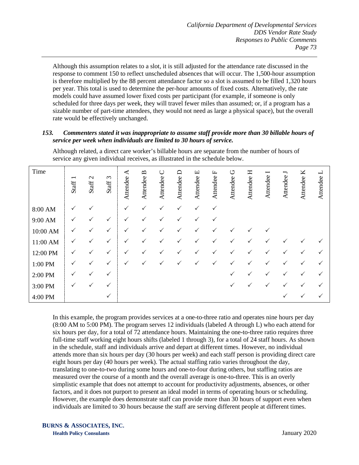Although this assumption relates to a slot, it is still adjusted for the attendance rate discussed in the response to comment 150 to reflect unscheduled absences that will occur. The 1,500-hour assumption is therefore multiplied by the 88 percent attendance factor so a slot is assumed to be filled 1,320 hours per year. This total is used to determine the per-hour amounts of fixed costs. Alternatively, the rate models could have assumed lower fixed costs per participant (for example, if someone is only scheduled for three days per week, they will travel fewer miles than assumed; or, if a program has a sizable number of part-time attendees, they would not need as large a physical space), but the overall rate would be effectively unchanged.

#### *153. Commenters stated it was inappropriate to assume staff provide more than 30 billable hours of service per week when individuals are limited to 30 hours of service.*

Although related, a direct care worker's billable hours are separate from the number of hours of service any given individual receives, as illustrated in the schedule below.

| Time     | −<br>Staff   | $\mathbf{\Omega}$<br>Staff <sup>:</sup> | Staff 3      | ⋖<br>Attendee | $\mathbf{a}$<br>Attendee | $\cup$<br>Attendee | $\Box$<br>Attendee | щ<br>Attendee | щ<br>Attendee | U<br>Attendee | Η<br>Attendee | $\overline{\phantom{0}}$<br>Attendee | J<br>Attendee | K<br>Attendee | ⊣<br>Attendee |
|----------|--------------|-----------------------------------------|--------------|---------------|--------------------------|--------------------|--------------------|---------------|---------------|---------------|---------------|--------------------------------------|---------------|---------------|---------------|
| 8:00 AM  | ✓            |                                         |              | $\checkmark$  | ✓                        | ✓                  |                    | ✓             | $\checkmark$  |               |               |                                      |               |               |               |
| 9:00 AM  | ✓            | ✓                                       | ✓            | ✓             | ✓                        | ✓                  |                    | ✓             | $\checkmark$  |               |               |                                      |               |               |               |
| 10:00 AM | ✓            | ✓                                       | $\checkmark$ | ✓             | ✓                        | ✓                  |                    | ✓             | $\checkmark$  | ✓             |               |                                      |               |               |               |
| 11:00 AM | ✓            | ✓                                       | ✓            | ✓             | ✓                        |                    |                    |               | ✓             | ✓             |               |                                      |               |               |               |
| 12:00 PM | ✓            | ✓                                       | ✓            | ✓             | ✓                        | ✓                  |                    |               | $\checkmark$  | ✓             |               |                                      | ✓             | ✓             |               |
| 1:00 PM  | ✓            |                                         | $\checkmark$ | ✓             | ✓                        |                    |                    |               | ✓             | ✓             |               |                                      |               | ✓             |               |
| 2:00 PM  | ✓            | ✓                                       | ✓            |               |                          |                    |                    |               |               | ✓             |               |                                      |               | ✓             |               |
| 3:00 PM  | $\checkmark$ | ✓                                       | ✓            |               |                          |                    |                    |               |               | ✓             |               |                                      |               | ✓             | ✓             |
| 4:00 PM  |              |                                         | $\checkmark$ |               |                          |                    |                    |               |               |               |               |                                      | ✓             | ✓             | ✓             |

In this example, the program provides services at a one-to-three ratio and operates nine hours per day (8:00 AM to 5:00 PM). The program serves 12 individuals (labeled A through L) who each attend for six hours per day, for a total of 72 attendance hours. Maintaining the one-to-three ratio requires three full-time staff working eight hours shifts (labeled 1 through 3), for a total of 24 staff hours. As shown in the schedule, staff and individuals arrive and depart at different times. However, no individual attends more than six hours per day (30 hours per week) and each staff person is providing direct care eight hours per day (40 hours per week). The actual staffing ratio varies throughout the day, translating to one-to-two during some hours and one-to-four during others, but staffing ratios are measured over the course of a month and the overall average is one-to-three. This is an overly simplistic example that does not attempt to account for productivity adjustments, absences, or other factors, and it does not purport to present an ideal model in terms of operating hours or scheduling. However, the example does demonstrate staff can provide more than 30 hours of support even when individuals are limited to 30 hours because the staff are serving different people at different times.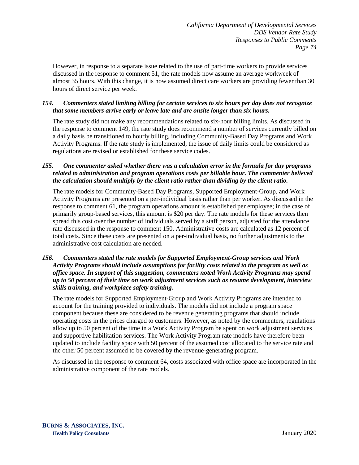However, in response to a separate issue related to the use of part-time workers to provide services discussed in the response to comment 51, the rate models now assume an average workweek of almost 35 hours. With this change, it is now assumed direct care workers are providing fewer than 30 hours of direct service per week.

#### *154. Commenters stated limiting billing for certain services to six hours per day does not recognize that some members arrive early or leave late and are onsite longer than six hours.*

The rate study did not make any recommendations related to six-hour billing limits. As discussed in the response to comment 149, the rate study does recommend a number of services currently billed on a daily basis be transitioned to hourly billing, including Community-Based Day Programs and Work Activity Programs. If the rate study is implemented, the issue of daily limits could be considered as regulations are revised or established for these service codes.

## *155. One commenter asked whether there was a calculation error in the formula for day programs related to administration and program operations costs per billable hour. The commenter believed the calculation should multiply by the client ratio rather than dividing by the client ratio.*

The rate models for Community-Based Day Programs, Supported Employment-Group, and Work Activity Programs are presented on a per-individual basis rather than per worker. As discussed in the response to comment 61, the program operations amount is established per employee; in the case of primarily group-based services, this amount is \$20 per day. The rate models for these services then spread this cost over the number of individuals served by a staff person, adjusted for the attendance rate discussed in the response to comment 150. Administrative costs are calculated as 12 percent of total costs. Since these costs are presented on a per-individual basis, no further adjustments to the administrative cost calculation are needed.

## *156. Commenters stated the rate models for Supported Employment-Group services and Work Activity Programs should include assumptions for facility costs related to the program as well as office space. In support of this suggestion, commenters noted Work Activity Programs may spend up to 50 percent of their time on work adjustment services such as resume development, interview skills training, and workplace safety training.*

The rate models for Supported Employment-Group and Work Activity Programs are intended to account for the training provided to individuals. The models did not include a program space component because these are considered to be revenue generating programs that should include operating costs in the prices charged to customers. However, as noted by the commenters, regulations allow up to 50 percent of the time in a Work Activity Program be spent on work adjustment services and supportive habilitation services. The Work Activity Program rate models have therefore been updated to include facility space with 50 percent of the assumed cost allocated to the service rate and the other 50 percent assumed to be covered by the revenue-generating program.

As discussed in the response to comment 64, costs associated with office space are incorporated in the administrative component of the rate models.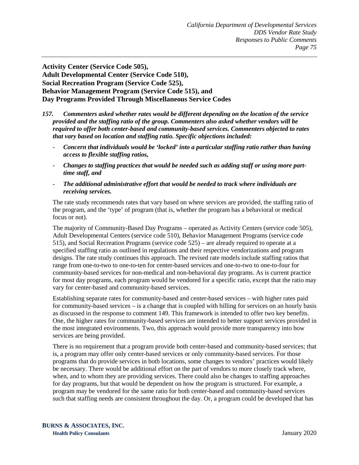**Activity Center (Service Code 505), Adult Developmental Center (Service Code 510), Social Recreation Program (Service Code 525), Behavior Management Program (Service Code 515), and Day Programs Provided Through Miscellaneous Service Codes**

- *157. Commenters asked whether rates would be different depending on the location of the service provided and the staffing ratio of the group. Commenters also asked whether vendors will be required to offer both center-based and community-based services. Commenters objected to rates that vary based on location and staffing ratio. Specific objections included:*
	- *Concern that individuals would be 'locked' into a particular staffing ratio rather than having access to flexible staffing ratios,*
	- *Changes to staffing practices that would be needed such as adding staff or using more parttime staff, and*
	- *The additional administrative effort that would be needed to track where individuals are receiving services.*

The rate study recommends rates that vary based on where services are provided, the staffing ratio of the program, and the 'type' of program (that is, whether the program has a behavioral or medical focus or not).

The majority of Community-Based Day Programs – operated as Activity Centers (service code 505), Adult Developmental Centers (service code 510), Behavior Management Programs (service code 515), and Social Recreation Programs (service code 525) – are already required to operate at a specified staffing ratio as outlined in regulations and their respective vendorizations and program designs. The rate study continues this approach. The revised rate models include staffing ratios that range from one-to-two to one-to-ten for center-based services and one-to-two to one-to-four for community-based services for non-medical and non-behavioral day programs. As is current practice for most day programs, each program would be vendored for a specific ratio, except that the ratio may vary for center-based and community-based services.

Establishing separate rates for community-based and center-based services – with higher rates paid for community-based services – is a change that is coupled with billing for services on an hourly basis as discussed in the response to comment 149. This framework is intended to offer two key benefits. One, the higher rates for community-based services are intended to better support services provided in the most integrated environments. Two, this approach would provide more transparency into how services are being provided.

There is no requirement that a program provide both center-based and community-based services; that is, a program may offer only center-based services or only community-based services. For those programs that do provide services in both locations, some changes to vendors' practices would likely be necessary. There would be additional effort on the part of vendors to more closely track where, when, and to whom they are providing services. There could also be changes to staffing approaches for day programs, but that would be dependent on how the program is structured. For example, a program may be vendored for the same ratio for both center-based and community-based services such that staffing needs are consistent throughout the day. Or, a program could be developed that has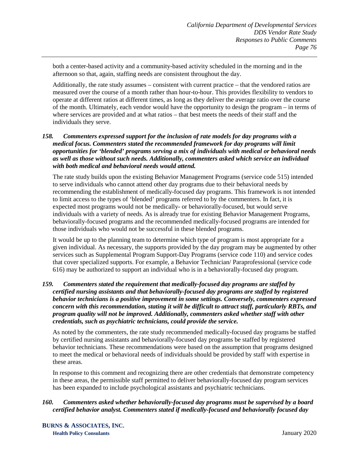both a center-based activity and a community-based activity scheduled in the morning and in the afternoon so that, again, staffing needs are consistent throughout the day.

Additionally, the rate study assumes – consistent with current practice – that the vendored ratios are measured over the course of a month rather than hour-to-hour. This provides flexibility to vendors to operate at different ratios at different times, as long as they deliver the average ratio over the course of the month. Ultimately, each vendor would have the opportunity to design the program – in terms of where services are provided and at what ratios – that best meets the needs of their staff and the individuals they serve.

### *158. Commenters expressed support for the inclusion of rate models for day programs with a medical focus. Commenters stated the recommended framework for day programs will limit opportunities for 'blended' programs serving a mix of individuals with medical or behavioral needs as well as those without such needs. Additionally, commenters asked which service an individual with both medical and behavioral needs would attend.*

The rate study builds upon the existing Behavior Management Programs (service code 515) intended to serve individuals who cannot attend other day programs due to their behavioral needs by recommending the establishment of medically-focused day programs. This framework is not intended to limit access to the types of 'blended' programs referred to by the commenters. In fact, it is expected most programs would not be medically- or behaviorally-focused, but would serve individuals with a variety of needs. As is already true for existing Behavior Management Programs, behaviorally-focused programs and the recommended medically-focused programs are intended for those individuals who would not be successful in these blended programs.

It would be up to the planning team to determine which type of program is most appropriate for a given individual. As necessary, the supports provided by the day program may be augmented by other services such as Supplemental Program Support-Day Programs (service code 110) and service codes that cover specialized supports. For example, a Behavior Technician/ Paraprofessional (service code 616) may be authorized to support an individual who is in a behaviorally-focused day program.

#### *159. Commenters stated the requirement that medically-focused day programs are staffed by certified nursing assistants and that behaviorally-focused day programs are staffed by registered behavior technicians is a positive improvement in some settings. Conversely, commenters expressed concern with this recommendation, stating it will be difficult to attract staff, particularly RBTs, and program quality will not be improved. Additionally, commenters asked whether staff with other credentials, such as psychiatric technicians, could provide the service.*

As noted by the commenters, the rate study recommended medically-focused day programs be staffed by certified nursing assistants and behaviorally-focused day programs be staffed by registered behavior technicians. These recommendations were based on the assumption that programs designed to meet the medical or behavioral needs of individuals should be provided by staff with expertise in these areas.

In response to this comment and recognizing there are other credentials that demonstrate competency in these areas, the permissible staff permitted to deliver behaviorally-focused day program services has been expanded to include psychological assistants and psychiatric technicians.

## *160. Commenters asked whether behaviorally-focused day programs must be supervised by a board certified behavior analyst. Commenters stated if medically-focused and behaviorally focused day*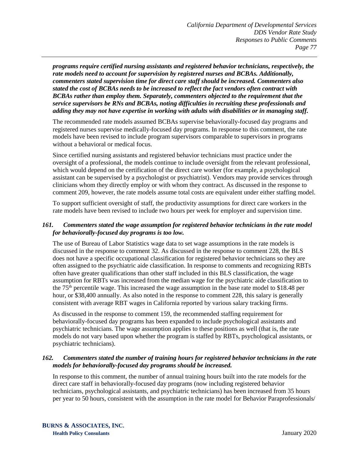*programs require certified nursing assistants and registered behavior technicians, respectively, the rate models need to account for supervision by registered nurses and BCBAs. Additionally, commenters stated supervision time for direct care staff should be increased. Commenters also stated the cost of BCBAs needs to be increased to reflect the fact vendors often contract with BCBAs rather than employ them. Separately, commenters objected to the requirement that the service supervisors be RNs and BCBAs, noting difficulties in recruiting these professionals and adding they may not have expertise in working with adults with disabilities or in managing staff.*

The recommended rate models assumed BCBAs supervise behaviorally-focused day programs and registered nurses supervise medically-focused day programs. In response to this comment, the rate models have been revised to include program supervisors comparable to supervisors in programs without a behavioral or medical focus.

Since certified nursing assistants and registered behavior technicians must practice under the oversight of a professional, the models continue to include oversight from the relevant professional, which would depend on the certification of the direct care worker (for example, a psychological assistant can be supervised by a psychologist or psychiatrist). Vendors may provide services through clinicians whom they directly employ or with whom they contract. As discussed in the response to comment 209, however, the rate models assume total costs are equivalent under either staffing model.

To support sufficient oversight of staff, the productivity assumptions for direct care workers in the rate models have been revised to include two hours per week for employer and supervision time.

## *161. Commenters stated the wage assumption for registered behavior technicians in the rate model for behaviorally-focused day programs is too low.*

The use of Bureau of Labor Statistics wage data to set wage assumptions in the rate models is discussed in the response to comment 32. As discussed in the response to comment 228, the BLS does not have a specific occupational classification for registered behavior technicians so they are often assigned to the psychiatric aide classification. In response to comments and recognizing RBTs often have greater qualifications than other staff included in this BLS classification, the wage assumption for RBTs was increased from the median wage for the psychiatric aide classification to the  $75<sup>th</sup>$  percentile wage. This increased the wage assumption in the base rate model to \$18.48 per hour, or \$38,400 annually. As also noted in the response to comment 228, this salary is generally consistent with average RBT wages in California reported by various salary tracking firms.

As discussed in the response to comment 159, the recommended staffing requirement for behaviorally-focused day programs has been expanded to include psychological assistants and psychiatric technicians. The wage assumption applies to these positions as well (that is, the rate models do not vary based upon whether the program is staffed by RBTs, psychological assistants, or psychiatric technicians).

#### *162. Commenters stated the number of training hours for registered behavior technicians in the rate models for behaviorally-focused day programs should be increased.*

In response to this comment, the number of annual training hours built into the rate models for the direct care staff in behaviorally-focused day programs (now including registered behavior technicians, psychological assistants, and psychiatric technicians) has been increased from 35 hours per year to 50 hours, consistent with the assumption in the rate model for Behavior Paraprofessionals/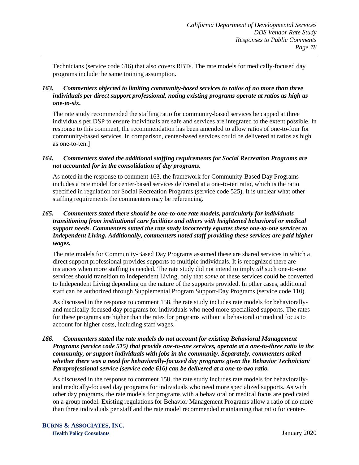Technicians (service code 616) that also covers RBTs. The rate models for medically-focused day programs include the same training assumption.

## *163. Commenters objected to limiting community-based services to ratios of no more than three individuals per direct support professional, noting existing programs operate at ratios as high as one-to-six.*

The rate study recommended the staffing ratio for community-based services be capped at three individuals per DSP to ensure individuals are safe and services are integrated to the extent possible. In response to this comment, the recommendation has been amended to allow ratios of one-to-four for community-based services. In comparison, center-based services could be delivered at ratios as high as one-to-ten.]

### *164. Commenters stated the additional staffing requirements for Social Recreation Programs are not accounted for in the consolidation of day programs.*

As noted in the response to comment 163, the framework for Community-Based Day Programs includes a rate model for center-based services delivered at a one-to-ten ratio, which is the ratio specified in regulation for Social Recreation Programs (service code 525). It is unclear what other staffing requirements the commenters may be referencing.

## *165. Commenters stated there should be one-to-one rate models, particularly for individuals transitioning from institutional care facilities and others with heightened behavioral or medical support needs. Commenters stated the rate study incorrectly equates these one-to-one services to Independent Living. Additionally, commenters noted staff providing these services are paid higher wages.*

The rate models for Community-Based Day Programs assumed these are shared services in which a direct support professional provides supports to multiple individuals. It is recognized there are instances when more staffing is needed. The rate study did not intend to imply *all* such one-to-one services should transition to Independent Living, only that *some* of these services could be converted to Independent Living depending on the nature of the supports provided. In other cases, additional staff can be authorized through Supplemental Program Support-Day Programs (service code 110).

As discussed in the response to comment 158, the rate study includes rate models for behaviorallyand medically-focused day programs for individuals who need more specialized supports. The rates for these programs are higher than the rates for programs without a behavioral or medical focus to account for higher costs, including staff wages.

#### *166. Commenters stated the rate models do not account for existing Behavioral Management Programs (service code 515) that provide one-to-one services, operate at a one-to-three ratio in the community, or support individuals with jobs in the community. Separately, commenters asked whether there was a need for behaviorally-focused day programs given the Behavior Technician/ Paraprofessional service (service code 616) can be delivered at a one-to-two ratio.*

As discussed in the response to comment 158, the rate study includes rate models for behaviorallyand medically-focused day programs for individuals who need more specialized supports. As with other day programs, the rate models for programs with a behavioral or medical focus are predicated on a group model. Existing regulations for Behavior Management Programs allow a ratio of no more than three individuals per staff and the rate model recommended maintaining that ratio for center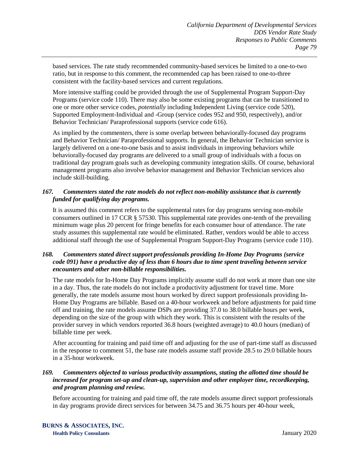based services. The rate study recommended community-based services be limited to a one-to-two ratio, but in response to this comment, the recommended cap has been raised to one-to-three consistent with the facility-based services and current regulations.

More intensive staffing could be provided through the use of Supplemental Program Support-Day Programs (service code 110). There may also be some existing programs that can be transitioned to one or more other service codes, *potentially* including Independent Living (service code 520), Supported Employment-Individual and -Group (service codes 952 and 950, respectively), and/or Behavior Technician/ Paraprofessional supports (service code 616).

As implied by the commenters, there is some overlap between behaviorally-focused day programs and Behavior Technician/ Paraprofessional supports. In general, the Behavior Technician service is largely delivered on a one-to-one basis and to assist individuals in improving behaviors while behaviorally-focused day programs are delivered to a small group of individuals with a focus on traditional day program goals such as developing community integration skills. Of course, behavioral management programs also involve behavior management and Behavior Technician services also include skill-building.

## *167. Commenters stated the rate models do not reflect non-mobility assistance that is currently funded for qualifying day programs.*

It is assumed this comment refers to the supplemental rates for day programs serving non-mobile consumers outlined in 17 CCR § 57530. This supplemental rate provides one-tenth of the prevailing minimum wage plus 20 percent for fringe benefits for each consumer hour of attendance. The rate study assumes this supplemental rate would be eliminated. Rather, vendors would be able to access additional staff through the use of Supplemental Program Support-Day Programs (service code 110).

#### *168. Commenters stated direct support professionals providing In-Home Day Programs (service code 091) have a productive day of less than 6 hours due to time spent traveling between service encounters and other non-billable responsibilities.*

The rate models for In-Home Day Programs implicitly assume staff do not work at more than one site in a day. Thus, the rate models do not include a productivity adjustment for travel time. More generally, the rate models assume most hours worked by direct support professionals providing In-Home Day Programs are billable. Based on a 40-hour workweek and before adjustments for paid time off and training, the rate models assume DSPs are providing 37.0 to 38.0 billable hours per week, depending on the size of the group with which they work. This is consistent with the results of the provider survey in which vendors reported 36.8 hours (weighted average) to 40.0 hours (median) of billable time per week.

After accounting for training and paid time off and adjusting for the use of part-time staff as discussed in the response to comment 51, the base rate models assume staff provide 28.5 to 29.0 billable hours in a 35-hour workweek.

## *169. Commenters objected to various productivity assumptions, stating the allotted time should be increased for program set-up and clean-up, supervision and other employer time, recordkeeping, and program planning and review.*

Before accounting for training and paid time off, the rate models assume direct support professionals in day programs provide direct services for between 34.75 and 36.75 hours per 40-hour week,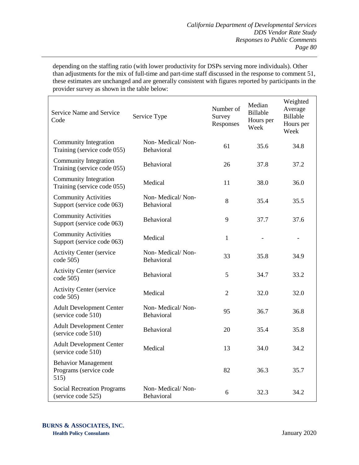depending on the staffing ratio (with lower productivity for DSPs serving more individuals). Other than adjustments for the mix of full-time and part-time staff discussed in the response to comment 51, these estimates are unchanged and are generally consistent with figures reported by participants in the provider survey as shown in the table below:

| Service Name and Service<br>Service Type<br>Code             |                                | Number of<br>Survey<br>Responses | Median<br>Billable<br>Hours per<br>Week | Weighted<br>Average<br>Billable<br>Hours per<br>Week |
|--------------------------------------------------------------|--------------------------------|----------------------------------|-----------------------------------------|------------------------------------------------------|
| Community Integration<br>Training (service code 055)         | Non-Medical/Non-<br>Behavioral | 61                               | 35.6                                    | 34.8                                                 |
| Community Integration<br>Training (service code 055)         | Behavioral                     | 26                               | 37.8                                    | 37.2                                                 |
| Community Integration<br>Training (service code 055)         | Medical                        | 11                               | 38.0                                    | 36.0                                                 |
| <b>Community Activities</b><br>Support (service code 063)    | Non-Medical/Non-<br>Behavioral | 8                                | 35.4                                    | 35.5                                                 |
| <b>Community Activities</b><br>Support (service code 063)    | Behavioral                     | 9                                | 37.7                                    | 37.6                                                 |
| <b>Community Activities</b><br>Support (service code 063)    | Medical                        | $\mathbf{1}$                     |                                         | $\overline{a}$                                       |
| <b>Activity Center (service</b><br>code 505)                 | Non-Medical/Non-<br>Behavioral | 33                               | 35.8                                    | 34.9                                                 |
| <b>Activity Center (service</b><br>code 505)                 | Behavioral                     | 5                                | 34.7                                    | 33.2                                                 |
| <b>Activity Center (service</b><br>code 505)                 | Medical                        | $\overline{2}$                   | 32.0                                    | 32.0                                                 |
| <b>Adult Development Center</b><br>(service code 510)        | Non-Medical/Non-<br>Behavioral | 95                               | 36.7                                    | 36.8                                                 |
| <b>Adult Development Center</b><br>(service code 510)        | Behavioral                     | 20                               | 35.4                                    | 35.8                                                 |
| <b>Adult Development Center</b><br>(service code 510)        | Medical                        | 13                               | 34.0                                    | 34.2                                                 |
| <b>Behavior Management</b><br>Programs (service code<br>515) |                                | 82                               | 36.3                                    | 35.7                                                 |
| <b>Social Recreation Programs</b><br>(service code 525)      | Non-Medical/Non-<br>Behavioral | 6                                | 32.3                                    | 34.2                                                 |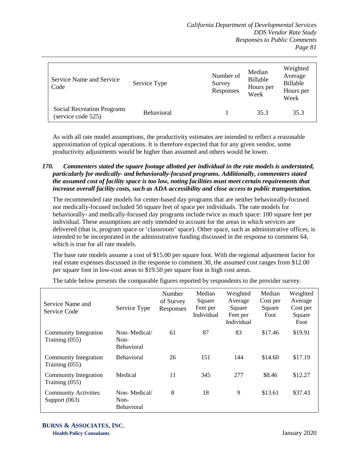| Service Name and Service<br>Code                        | Service Type      | Number of<br>Survey<br>Responses | Median<br>Billable<br>Hours per<br>Week | Weighted<br>Average<br><b>Billable</b><br>Hours per<br>Week |
|---------------------------------------------------------|-------------------|----------------------------------|-----------------------------------------|-------------------------------------------------------------|
| <b>Social Recreation Programs</b><br>(service code 525) | <b>Behavioral</b> |                                  | 35.3                                    | 35.3                                                        |

As with all rate model assumptions, the productivity estimates are intended to reflect a reasonable approximation of typical operations. It is therefore expected that for any given vendor, some productivity adjustments would be higher than assumed and others would be lower.

## *170. Commenters stated the square footage allotted per individual in the rate models is understated, particularly for medically- and behaviorally-focused programs. Additionally, commenters stated the assumed cost of facility space is too low, noting facilities must meet certain requirements that increase overall facility costs, such as ADA accessibility and close access to public transportation.*

The recommended rate models for center-based day programs that are neither behaviorally-focused nor medically-focused included 50 square feet of space per individuals. The rate models for behaviorally- and medically-focused day programs include twice as much space: 100 square feet per individual. These assumptions are only intended to account for the areas in which services are delivered (that is, program space or 'classroom' space). Other space, such as administrative offices, is intended to be incorporated in the administrative funding discussed in the response to comment 64, which is true for all rate models.

The base rate models assume a cost of \$15.00 per square foot. With the regional adjustment factor for real estate expenses discussed in the response to comment 30, the assumed cost ranges from \$12.00 per square foot in low-cost areas to \$19.50 per square foot in high cost areas.

| Service Name and<br>Service Code               | Service Type                              | Number<br>of Survey<br>Responses | Median<br>Square<br>Feet per<br>Individual | Weighted<br>Average<br>Square<br>Feet per<br>Individual | Median<br>Cost per<br>Square<br>Foot | Weighted<br>Average<br>Cost per<br>Square<br>Foot |
|------------------------------------------------|-------------------------------------------|----------------------------------|--------------------------------------------|---------------------------------------------------------|--------------------------------------|---------------------------------------------------|
| <b>Community Integration</b><br>Training (055) | Non-Medical/<br>Non-<br><b>Behavioral</b> | 61                               | 87                                         | 83                                                      | \$17.46                              | \$19.91                                           |
| Community Integration<br>Training (055)        | <b>Behavioral</b>                         | 26                               | 151                                        | 144                                                     | \$14.60                              | \$17.19                                           |
| Community Integration<br>Training (055)        | Medical                                   | 11                               | 345                                        | 277                                                     | \$8.46                               | \$12.27                                           |
| <b>Community Activities</b><br>Support $(063)$ | Non-Medical/<br>Non-<br><b>Behavioral</b> | 8                                | 18                                         | 9                                                       | \$13.61                              | \$37.43                                           |

The table below presents the comparable figures reported by respondents to the provider survey.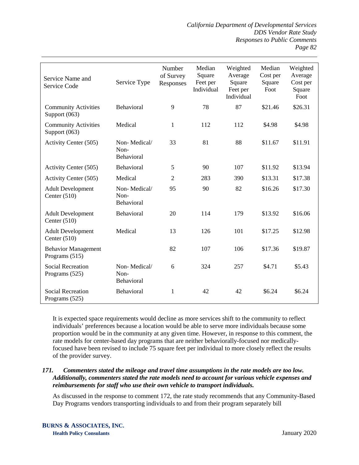*California Department of Developmental Services DDS Vendor Rate Study Responses to Public Comments Page 82*

| Service Name and<br><b>Service Code</b>      | Service Type                       | Number<br>of Survey<br>Responses | Median<br>Square<br>Feet per<br>Individual | Weighted<br>Average<br>Square<br>Feet per<br>Individual | Median<br>Cost per<br>Square<br>Foot | Weighted<br>Average<br>Cost per<br>Square<br>Foot |
|----------------------------------------------|------------------------------------|----------------------------------|--------------------------------------------|---------------------------------------------------------|--------------------------------------|---------------------------------------------------|
| <b>Community Activities</b><br>Support (063) | <b>Behavioral</b>                  | 9                                | 78                                         | 87                                                      | \$21.46                              | \$26.31                                           |
| <b>Community Activities</b><br>Support (063) | Medical                            | 1                                | 112                                        | 112                                                     | \$4.98                               | \$4.98                                            |
| Activity Center (505)                        | Non-Medical/<br>Non-<br>Behavioral | 33                               | 81                                         | 88                                                      | \$11.67                              | \$11.91                                           |
| Activity Center (505)                        | Behavioral                         | 5                                | 90                                         | 107                                                     | \$11.92                              | \$13.94                                           |
| Activity Center (505)                        | Medical                            | $\overline{2}$                   | 283                                        | 390                                                     | \$13.31                              | \$17.38                                           |
| <b>Adult Development</b><br>Center $(510)$   | Non-Medical/<br>Non-<br>Behavioral | 95                               | 90                                         | 82                                                      | \$16.26                              | \$17.30                                           |
| <b>Adult Development</b><br>Center $(510)$   | <b>Behavioral</b>                  | 20                               | 114                                        | 179                                                     | \$13.92                              | \$16.06                                           |
| <b>Adult Development</b><br>Center $(510)$   | Medical                            | 13                               | 126                                        | 101                                                     | \$17.25                              | \$12.98                                           |
| <b>Behavior Management</b><br>Programs (515) |                                    | 82                               | 107                                        | 106                                                     | \$17.36                              | \$19.87                                           |
| <b>Social Recreation</b><br>Programs (525)   | Non-Medical/<br>Non-<br>Behavioral | 6                                | 324                                        | 257                                                     | \$4.71                               | \$5.43                                            |
| <b>Social Recreation</b><br>Programs (525)   | Behavioral                         | 1                                | 42                                         | 42                                                      | \$6.24                               | \$6.24                                            |

It is expected space requirements would decline as more services shift to the community to reflect individuals' preferences because a location would be able to serve more individuals because some proportion would be in the community at any given time. However, in response to this comment, the rate models for center-based day programs that are neither behaviorally-focused nor medicallyfocused have been revised to include 75 square feet per individual to more closely reflect the results of the provider survey.

#### *171. Commenters stated the mileage and travel time assumptions in the rate models are too low. Additionally, commenters stated the rate models need to account for various vehicle expenses and reimbursements for staff who use their own vehicle to transport individuals.*

As discussed in the response to comment 172, the rate study recommends that any Community-Based Day Programs vendors transporting individuals to and from their program separately bill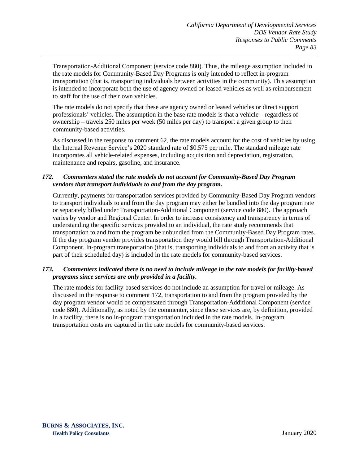Transportation-Additional Component (service code 880). Thus, the mileage assumption included in the rate models for Community-Based Day Programs is only intended to reflect in-program transportation (that is, transporting individuals between activities in the community). This assumption is intended to incorporate both the use of agency owned or leased vehicles as well as reimbursement to staff for the use of their own vehicles.

The rate models do not specify that these are agency owned or leased vehicles or direct support professionals' vehicles. The assumption in the base rate models is that a vehicle – regardless of ownership – travels 250 miles per week (50 miles per day) to transport a given group to their community-based activities.

As discussed in the response to comment 62, the rate models account for the cost of vehicles by using the Internal Revenue Service's 2020 standard rate of \$0.575 per mile. The standard mileage rate incorporates all vehicle-related expenses, including acquisition and depreciation, registration, maintenance and repairs, gasoline, and insurance.

### *172. Commenters stated the rate models do not account for Community-Based Day Program vendors that transport individuals to and from the day program.*

Currently, payments for transportation services provided by Community-Based Day Program vendors to transport individuals to and from the day program may either be bundled into the day program rate or separately billed under Transportation-Additional Component (service code 880). The approach varies by vendor and Regional Center. In order to increase consistency and transparency in terms of understanding the specific services provided to an individual, the rate study recommends that transportation to and from the program be unbundled from the Community-Based Day Program rates. If the day program vendor provides transportation they would bill through Transportation-Additional Component. In-program transportation (that is, transporting individuals to and from an activity that is part of their scheduled day) is included in the rate models for community-based services.

### *173. Commenters indicated there is no need to include mileage in the rate models for facility-based programs since services are only provided in a facility.*

The rate models for facility-based services do not include an assumption for travel or mileage. As discussed in the response to comment 172, transportation to and from the program provided by the day program vendor would be compensated through Transportation-Additional Component (service code 880). Additionally, as noted by the commenter, since these services are, by definition, provided in a facility, there is no in-program transportation included in the rate models. In-program transportation costs are captured in the rate models for community-based services.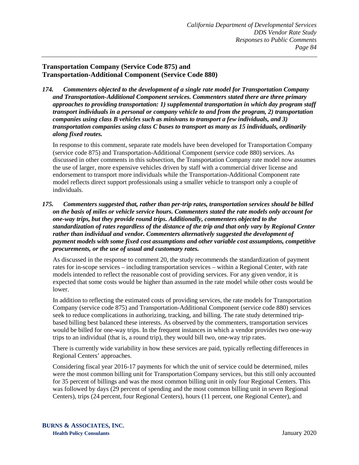# **Transportation Company (Service Code 875) and Transportation-Additional Component (Service Code 880)**

*174. Commenters objected to the development of a single rate model for Transportation Company and Transportation-Additional Component services. Commenters stated there are three primary approaches to providing transportation: 1) supplemental transportation in which day program staff transport individuals in a personal or company vehicle to and from the program, 2) transportation companies using class B vehicles such as minivans to transport a few individuals, and 3) transportation companies using class C buses to transport as many as 15 individuals, ordinarily along fixed routes.*

In response to this comment, separate rate models have been developed for Transportation Company (service code 875) and Transportation-Additional Component (service code 880) services. As discussed in other comments in this subsection, the Transportation Company rate model now assumes the use of larger, more expensive vehicles driven by staff with a commercial driver license and endorsement to transport more individuals while the Transportation-Additional Component rate model reflects direct support professionals using a smaller vehicle to transport only a couple of individuals.

*175. Commenters suggested that, rather than per-trip rates, transportation services should be billed on the basis of miles or vehicle service hours. Commenters stated the rate models only account for one-way trips, but they provide round trips. Additionally, commenters objected to the standardization of rates regardless of the distance of the trip and that only vary by Regional Center rather than individual and vendor. Commenters alternatively suggested the development of payment models with some fixed cost assumptions and other variable cost assumptions, competitive procurements, or the use of usual and customary rates.*

As discussed in the response to comment 20, the study recommends the standardization of payment rates for in-scope services – including transportation services – within a Regional Center, with rate models intended to reflect the reasonable cost of providing services. For any given vendor, it is expected that some costs would be higher than assumed in the rate model while other costs would be lower.

In addition to reflecting the estimated costs of providing services, the rate models for Transportation Company (service code 875) and Transportation-Additional Component (service code 880) services seek to reduce complications in authorizing, tracking, and billing. The rate study determined tripbased billing best balanced these interests. As observed by the commenters, transportation services would be billed for one-way trips. In the frequent instances in which a vendor provides two one-way trips to an individual (that is, a round trip), they would bill two, one-way trip rates.

There is currently wide variability in how these services are paid, typically reflecting differences in Regional Centers' approaches.

Considering fiscal year 2016-17 payments for which the unit of service could be determined, miles were the most common billing unit for Transportation Company services, but this still only accounted for 35 percent of billings and was the most common billing unit in only four Regional Centers. This was followed by days (29 percent of spending and the most common billing unit in seven Regional Centers), trips (24 percent, four Regional Centers), hours (11 percent, one Regional Center), and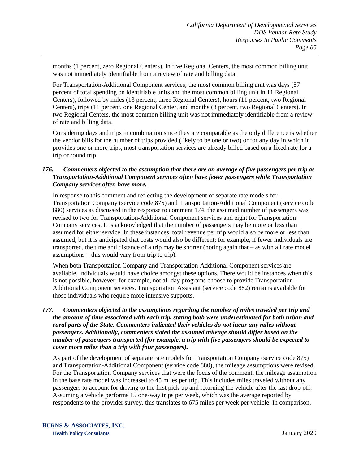months (1 percent, zero Regional Centers). In five Regional Centers, the most common billing unit was not immediately identifiable from a review of rate and billing data.

For Transportation-Additional Component services, the most common billing unit was days (57 percent of total spending on identifiable units and the most common billing unit in 11 Regional Centers), followed by miles (13 percent, three Regional Centers), hours (11 percent, two Regional Centers), trips (11 percent, one Regional Center, and months (8 percent, two Regional Centers). In two Regional Centers, the most common billing unit was not immediately identifiable from a review of rate and billing data.

Considering days and trips in combination since they are comparable as the only difference is whether the vendor bills for the number of trips provided (likely to be one or two) or for any day in which it provides one or more trips, most transportation services are already billed based on a fixed rate for a trip or round trip.

## *176. Commenters objected to the assumption that there are an average of five passengers per trip as Transportation-Additional Component services often have fewer passengers while Transportation Company services often have more.*

In response to this comment and reflecting the development of separate rate models for Transportation Company (service code 875) and Transportation-Additional Component (service code 880) services as discussed in the response to comment 174, the assumed number of passengers was revised to two for Transportation-Additional Component services and eight for Transportation Company services. It is acknowledged that the number of passengers may be more or less than assumed for either service. In these instances, total revenue per trip would also be more or less than assumed, but it is anticipated that costs would also be different; for example, if fewer individuals are transported, the time and distance of a trip may be shorter (noting again that – as with all rate model assumptions – this would vary from trip to trip).

When both Transportation Company and Transportation-Additional Component services are available, individuals would have choice amongst these options. There would be instances when this is not possible, however; for example, not all day programs choose to provide Transportation-Additional Component services. Transportation Assistant (service code 882) remains available for those individuals who require more intensive supports.

#### *177. Commenters objected to the assumptions regarding the number of miles traveled per trip and the amount of time associated with each trip, stating both were underestimated for both urban and rural parts of the State. Commenters indicated their vehicles do not incur any miles without passengers. Additionally, commenters stated the assumed mileage should differ based on the number of passengers transported (for example, a trip with five passengers should be expected to cover more miles than a trip with four passengers).*

As part of the development of separate rate models for Transportation Company (service code 875) and Transportation-Additional Component (service code 880), the mileage assumptions were revised. For the Transportation Company services that were the focus of the comment, the mileage assumption in the base rate model was increased to 45 miles per trip. This includes miles traveled without any passengers to account for driving to the first pick-up and returning the vehicle after the last drop-off. Assuming a vehicle performs 15 one-way trips per week, which was the average reported by respondents to the provider survey, this translates to 675 miles per week per vehicle. In comparison,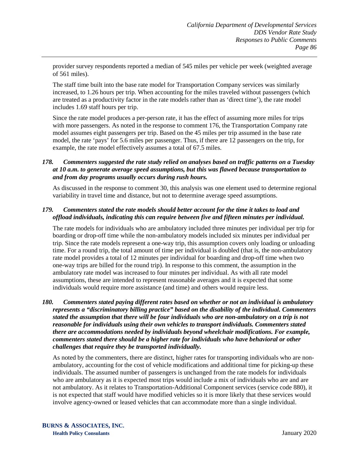provider survey respondents reported a median of 545 miles per vehicle per week (weighted average of 561 miles).

The staff time built into the base rate model for Transportation Company services was similarly increased, to 1.26 hours per trip. When accounting for the miles traveled without passengers (which are treated as a productivity factor in the rate models rather than as 'direct time'), the rate model includes 1.69 staff hours per trip.

Since the rate model produces a per-person rate, it has the effect of assuming more miles for trips with more passengers. As noted in the response to comment 176, the Transportation Company rate model assumes eight passengers per trip. Based on the 45 miles per trip assumed in the base rate model, the rate 'pays' for 5.6 miles per passenger. Thus, if there are 12 passengers on the trip, for example, the rate model effectively assumes a total of 67.5 miles.

#### *178. Commenters suggested the rate study relied on analyses based on traffic patterns on a Tuesday at 10 a.m. to generate average speed assumptions, but this was flawed because transportation to and from day programs usually occurs during rush hours.*

As discussed in the response to comment 30, this analysis was one element used to determine regional variability in travel time and distance, but not to determine average speed assumptions.

#### *179. Commenters stated the rate models should better account for the time it takes to load and offload individuals, indicating this can require between five and fifteen minutes per individual.*

The rate models for individuals who are ambulatory included three minutes per individual per trip for boarding or drop-off time while the non-ambulatory models included six minutes per individual per trip. Since the rate models represent a one-way trip, this assumption covers only loading or unloading time. For a round trip, the total amount of time per individual is doubled (that is, the non-ambulatory rate model provides a total of 12 minutes per individual for boarding and drop-off time when two one-way trips are billed for the round trip). In response to this comment, the assumption in the ambulatory rate model was increased to four minutes per individual. As with all rate model assumptions, these are intended to represent reasonable averages and it is expected that some individuals would require more assistance (and time) and others would require less.

*180. Commenters stated paying different rates based on whether or not an individual is ambulatory represents a "discriminatory billing practice" based on the disability of the individual. Commenters stated the assumption that there will be four individuals who are non-ambulatory on a trip is not reasonable for individuals using their own vehicles to transport individuals. Commenters stated there are accommodations needed by individuals beyond wheelchair modifications. For example, commenters stated there should be a higher rate for individuals who have behavioral or other challenges that require they be transported individually.* 

As noted by the commenters, there are distinct, higher rates for transporting individuals who are nonambulatory, accounting for the cost of vehicle modifications and additional time for picking-up these individuals. The assumed number of passengers is unchanged from the rate models for individuals who are ambulatory as it is expected most trips would include a mix of individuals who are and are not ambulatory. As it relates to Transportation-Additional Component services (service code 880), it is not expected that staff would have modified vehicles so it is more likely that these services would involve agency-owned or leased vehicles that can accommodate more than a single individual.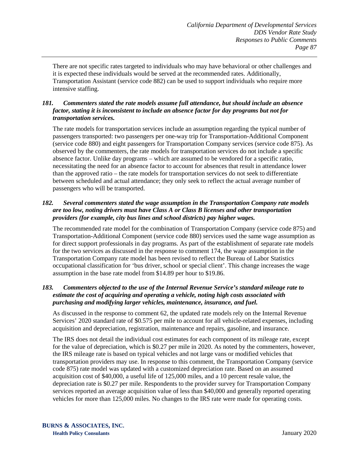There are not specific rates targeted to individuals who may have behavioral or other challenges and it is expected these individuals would be served at the recommended rates. Additionally, Transportation Assistant (service code 882) can be used to support individuals who require more intensive staffing.

## *181. Commenters stated the rate models assume full attendance, but should include an absence factor, stating it is inconsistent to include an absence factor for day programs but not for transportation services.*

The rate models for transportation services include an assumption regarding the typical number of passengers transported: two passengers per one-way trip for Transportation-Additional Component (service code 880) and eight passengers for Transportation Company services (service code 875). As observed by the commenters, the rate models for transportation services do not include a specific absence factor. Unlike day programs – which are assumed to be vendored for a specific ratio, necessitating the need for an absence factor to account for absences that result in attendance lower than the approved ratio – the rate models for transportation services do not seek to differentiate between scheduled and actual attendance; they only seek to reflect the actual average number of passengers who will be transported.

#### *182. Several commenters stated the wage assumption in the Transportation Company rate models are too low, noting drivers must have Class A or Class B licenses and other transportation providers (for example, city bus lines and school districts) pay higher wages.*

The recommended rate model for the combination of Transportation Company (service code 875) and Transportation-Additional Component (service code 880) services used the same wage assumption as for direct support professionals in day programs. As part of the establishment of separate rate models for the two services as discussed in the response to comment 174, the wage assumption in the Transportation Company rate model has been revised to reflect the Bureau of Labor Statistics occupational classification for 'bus driver, school or special client'. This change increases the wage assumption in the base rate model from \$14.89 per hour to \$19.86.

## *183. Commenters objected to the use of the Internal Revenue Service's standard mileage rate to estimate the cost of acquiring and operating a vehicle, noting high costs associated with purchasing and modifying larger vehicles, maintenance, insurance, and fuel.*

As discussed in the response to comment 62, the updated rate models rely on the Internal Revenue Services' 2020 standard rate of \$0.575 per mile to account for all vehicle-related expenses, including acquisition and depreciation, registration, maintenance and repairs, gasoline, and insurance.

The IRS does not detail the individual cost estimates for each component of its mileage rate, except for the value of depreciation, which is \$0.27 per mile in 2020. As noted by the commenters, however, the IRS mileage rate is based on typical vehicles and not large vans or modified vehicles that transportation providers may use. In response to this comment, the Transportation Company (service code 875) rate model was updated with a customized depreciation rate. Based on an assumed acquisition cost of \$40,000, a useful life of 125,000 miles, and a 10 percent resale value, the depreciation rate is \$0.27 per mile. Respondents to the provider survey for Transportation Company services reported an average acquisition value of less than \$40,000 and generally reported operating vehicles for more than 125,000 miles. No changes to the IRS rate were made for operating costs.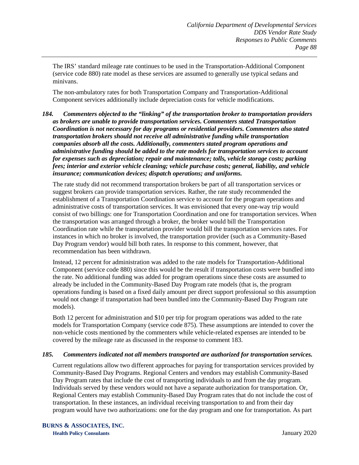The IRS' standard mileage rate continues to be used in the Transportation-Additional Component (service code 880) rate model as these services are assumed to generally use typical sedans and minivans.

The non-ambulatory rates for both Transportation Company and Transportation-Additional Component services additionally include depreciation costs for vehicle modifications.

*184. Commenters objected to the "linking" of the transportation broker to transportation providers as brokers are unable to provide transportation services. Commenters stated Transportation Coordination is not necessary for day programs or residential providers. Commenters also stated transportation brokers should not receive all administrative funding while transportation companies absorb all the costs. Additionally, commenters stated program operations and administrative funding should be added to the rate models for transportation services to account for expenses such as depreciation; repair and maintenance; tolls, vehicle storage costs; parking fees; interior and exterior vehicle cleaning; vehicle purchase costs; general, liability, and vehicle insurance; communication devices; dispatch operations; and uniforms.*

The rate study did not recommend transportation brokers be part of all transportation services or suggest brokers can provide transportation services. Rather, the rate study recommended the establishment of a Transportation Coordination service to account for the program operations and administrative costs of transportation services. It was envisioned that every one-way trip would consist of two billings: one for Transportation Coordination and one for transportation services. When the transportation was arranged through a broker, the broker would bill the Transportation Coordination rate while the transportation provider would bill the transportation services rates. For instances in which no broker is involved, the transportation provider (such as a Community-Based Day Program vendor) would bill both rates. In response to this comment, however, that recommendation has been withdrawn.

Instead, 12 percent for administration was added to the rate models for Transportation-Additional Component (service code 880) since this would be the result if transportation costs were bundled into the rate. No additional funding was added for program operations since these costs are assumed to already be included in the Community-Based Day Program rate models (that is, the program operations funding is based on a fixed daily amount per direct support professional so this assumption would not change if transportation had been bundled into the Community-Based Day Program rate models).

Both 12 percent for administration and \$10 per trip for program operations was added to the rate models for Transportation Company (service code 875). These assumptions are intended to cover the non-vehicle costs mentioned by the commenters while vehicle-related expenses are intended to be covered by the mileage rate as discussed in the response to comment 183.

#### *185. Commenters indicated not all members transported are authorized for transportation services.*

Current regulations allow two different approaches for paying for transportation services provided by Community-Based Day Programs. Regional Centers and vendors may establish Community-Based Day Program rates that include the cost of transporting individuals to and from the day program. Individuals served by these vendors would not have a separate authorization for transportation. Or, Regional Centers may establish Community-Based Day Program rates that do not include the cost of transportation. In these instances, an individual receiving transportation to and from their day program would have two authorizations: one for the day program and one for transportation. As part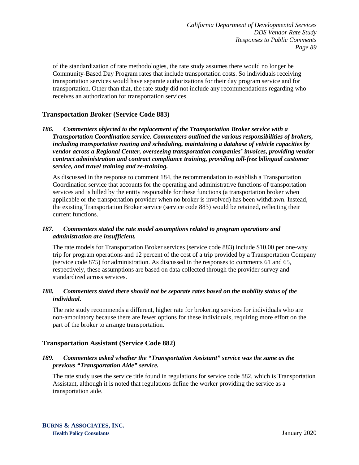of the standardization of rate methodologies, the rate study assumes there would no longer be Community-Based Day Program rates that include transportation costs. So individuals receiving transportation services would have separate authorizations for their day program service and for transportation. Other than that, the rate study did not include any recommendations regarding who receives an authorization for transportation services.

## **Transportation Broker (Service Code 883)**

*186. Commenters objected to the replacement of the Transportation Broker service with a Transportation Coordination service. Commenters outlined the various responsibilities of brokers, including transportation routing and scheduling, maintaining a database of vehicle capacities by vendor across a Regional Center, overseeing transportation companies' invoices, providing vendor contract administration and contract compliance training, providing toll-free bilingual customer service, and travel training and re-training.*

As discussed in the response to comment 184, the recommendation to establish a Transportation Coordination service that accounts for the operating and administrative functions of transportation services and is billed by the entity responsible for these functions (a transportation broker when applicable or the transportation provider when no broker is involved) has been withdrawn. Instead, the existing Transportation Broker service (service code 883) would be retained, reflecting their current functions.

### *187. Commenters stated the rate model assumptions related to program operations and administration are insufficient.*

The rate models for Transportation Broker services (service code 883) include \$10.00 per one-way trip for program operations and 12 percent of the cost of a trip provided by a Transportation Company (service code 875) for administration. As discussed in the responses to comments 61 and 65, respectively, these assumptions are based on data collected through the provider survey and standardized across services.

### *188. Commenters stated there should not be separate rates based on the mobility status of the individual.*

The rate study recommends a different, higher rate for brokering services for individuals who are non-ambulatory because there are fewer options for these individuals, requiring more effort on the part of the broker to arrange transportation.

## **Transportation Assistant (Service Code 882)**

### *189. Commenters asked whether the "Transportation Assistant" service was the same as the previous "Transportation Aide" service.*

The rate study uses the service title found in regulations for service code 882, which is Transportation Assistant, although it is noted that regulations define the worker providing the service as a transportation aide.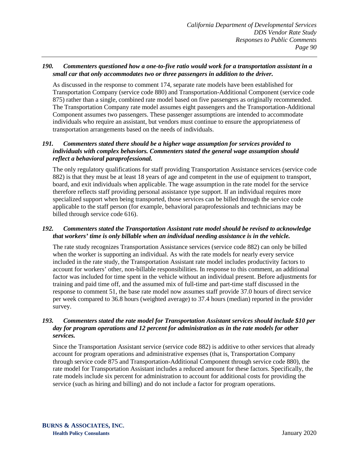#### *190. Commenters questioned how a one-to-five ratio would work for a transportation assistant in a small car that only accommodates two or three passengers in addition to the driver.*

As discussed in the response to comment 174, separate rate models have been established for Transportation Company (service code 880) and Transportation-Additional Component (service code 875) rather than a single, combined rate model based on five passengers as originally recommended. The Transportation Company rate model assumes eight passengers and the Transportation-Additional Component assumes two passengers. These passenger assumptions are intended to accommodate individuals who require an assistant, but vendors must continue to ensure the appropriateness of transportation arrangements based on the needs of individuals.

#### *191. Commenters stated there should be a higher wage assumption for services provided to individuals with complex behaviors. Commenters stated the general wage assumption should reflect a behavioral paraprofessional.*

The only regulatory qualifications for staff providing Transportation Assistance services (service code 882) is that they must be at least 18 years of age and competent in the use of equipment to transport, board, and exit individuals when applicable. The wage assumption in the rate model for the service therefore reflects staff providing personal assistance type support. If an individual requires more specialized support when being transported, those services can be billed through the service code applicable to the staff person (for example, behavioral paraprofessionals and technicians may be billed through service code 616).

### *192. Commenters stated the Transportation Assistant rate model should be revised to acknowledge that workers' time is only billable when an individual needing assistance is in the vehicle.*

The rate study recognizes Transportation Assistance services (service code 882) can only be billed when the worker is supporting an individual. As with the rate models for nearly every service included in the rate study, the Transportation Assistant rate model includes productivity factors to account for workers' other, non-billable responsibilities. In response to this comment, an additional factor was included for time spent in the vehicle without an individual present. Before adjustments for training and paid time off, and the assumed mix of full-time and part-time staff discussed in the response to comment 51, the base rate model now assumes staff provide 37.0 hours of direct service per week compared to 36.8 hours (weighted average) to 37.4 hours (median) reported in the provider survey.

#### *193. Commenters stated the rate model for Transportation Assistant services should include \$10 per day for program operations and 12 percent for administration as in the rate models for other services.*

Since the Transportation Assistant service (service code 882) is additive to other services that already account for program operations and administrative expenses (that is, Transportation Company through service code 875 and Transportation-Additional Component through service code 880), the rate model for Transportation Assistant includes a reduced amount for these factors. Specifically, the rate models include six percent for administration to account for additional costs for providing the service (such as hiring and billing) and do not include a factor for program operations.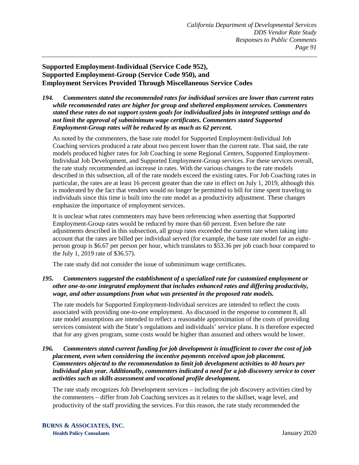# **Supported Employment-Individual (Service Code 952), Supported Employment-Group (Service Code 950), and Employment Services Provided Through Miscellaneous Service Codes**

#### *194. Commenters stated the recommended rates for individual services are lower than current rates while recommended rates are higher for group and sheltered employment services. Commenters stated these rates do not support system goals for individualized jobs in integrated settings and do not limit the approval of subminimum wage certificates. Commenters stated Supported Employment-Group rates will be reduced by as much as 62 percent.*

As noted by the commenters, the base rate model for Supported Employment-Individual Job Coaching services produced a rate about two percent lower than the current rate. That said, the rate models produced higher rates for Job Coaching in some Regional Centers, Supported Employment-Individual Job Development, and Supported Employment-Group services. For these services overall, the rate study recommended an increase in rates. With the various changes to the rate models described in this subsection, all of the rate models exceed the existing rates. For Job Coaching rates in particular, the rates are at least 16 percent greater than the rate in effect on July 1, 2019, although this is moderated by the fact that vendors would no longer be permitted to bill for time spent traveling to individuals since this time is built into the rate model as a productivity adjustment. These changes emphasize the importance of employment services.

It is unclear what rates commenters may have been referencing when asserting that Supported Employment-Group rates would be reduced by more than 60 percent. Even before the rate adjustments described in this subsection, all group rates exceeded the current rate when taking into account that the rates are billed per individual served (for example, the base rate model for an eightperson group is \$6.67 per person per hour, which translates to \$53.36 per job coach hour compared to the July 1, 2019 rate of \$36.57).

The rate study did not consider the issue of subminimum wage certificates.

## *195. Commenters suggested the establishment of a specialized rate for customized employment or other one-to-one integrated employment that includes enhanced rates and differing productivity, wage, and other assumptions from what was presented in the proposed rate models.*

The rate models for Supported Employment-Individual services are intended to reflect the costs associated with providing one-to-one employment. As discussed in the response to comment 8, all rate model assumptions are intended to reflect a reasonable approximation of the costs of providing services consistent with the State's regulations and individuals' service plans. It is therefore expected that for any given program, some costs would be higher than assumed and others would be lower.

#### *196. Commenters stated current funding for job development is insufficient to cover the cost of job placement, even when considering the incentive payments received upon job placement. Commenters objected to the recommendation to limit job development activities to 40 hours per individual plan year. Additionally, commenters indicated a need for a job discovery service to cover activities such as skills assessment and vocational profile development.*

The rate study recognizes Job Development services – including the job discovery activities cited by the commenters – differ from Job Coaching services as it relates to the skillset, wage level, and productivity of the staff providing the services. For this reason, the rate study recommended the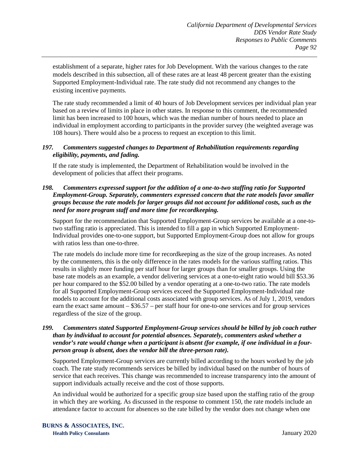establishment of a separate, higher rates for Job Development. With the various changes to the rate models described in this subsection, all of these rates are at least 48 percent greater than the existing Supported Employment-Individual rate. The rate study did not recommend any changes to the existing incentive payments.

The rate study recommended a limit of 40 hours of Job Development services per individual plan year based on a review of limits in place in other states. In response to this comment, the recommended limit has been increased to 100 hours, which was the median number of hours needed to place an individual in employment according to participants in the provider survey (the weighted average was 108 hours). There would also be a process to request an exception to this limit.

### *197. Commenters suggested changes to Department of Rehabilitation requirements regarding eligibility, payments, and fading.*

If the rate study is implemented, the Department of Rehabilitation would be involved in the development of policies that affect their programs.

## *198. Commenters expressed support for the addition of a one-to-two staffing ratio for Supported Employment-Group. Separately, commenters expressed concern that the rate models favor smaller groups because the rate models for larger groups did not account for additional costs, such as the need for more program staff and more time for recordkeeping.*

Support for the recommendation that Supported Employment-Group services be available at a one-totwo staffing ratio is appreciated. This is intended to fill a gap in which Supported Employment-Individual provides one-to-one support, but Supported Employment-Group does not allow for groups with ratios less than one-to-three.

The rate models do include more time for recordkeeping as the size of the group increases. As noted by the commenters, this is the only difference in the rates models for the various staffing ratios. This results in slightly more funding per staff hour for larger groups than for smaller groups. Using the base rate models as an example, a vendor delivering services at a one-to-eight ratio would bill \$53.36 per hour compared to the \$52.00 billed by a vendor operating at a one-to-two ratio. The rate models for all Supported Employment-Group services exceed the Supported Employment-Individual rate models to account for the additional costs associated with group services. As of July 1, 2019, vendors earn the exact same amount – \$36.57 – per staff hour for one-to-one services and for group services regardless of the size of the group.

### *199. Commenters stated Supported Employment-Group services should be billed by job coach rather than by individual to account for potential absences. Separately, commenters asked whether a vendor's rate would change when a participant is absent (for example, if one individual in a fourperson group is absent, does the vendor bill the three-person rate).*

Supported Employment-Group services are currently billed according to the hours worked by the job coach. The rate study recommends services be billed by individual based on the number of hours of service that each receives. This change was recommended to increase transparency into the amount of support individuals actually receive and the cost of those supports.

An individual would be authorized for a specific group size based upon the staffing ratio of the group in which they are working. As discussed in the response to comment 150, the rate models include an attendance factor to account for absences so the rate billed by the vendor does not change when one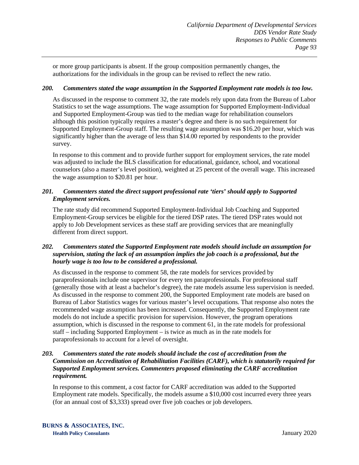or more group participants is absent. If the group composition permanently changes, the authorizations for the individuals in the group can be revised to reflect the new ratio.

### *200. Commenters stated the wage assumption in the Supported Employment rate models is too low.*

As discussed in the response to comment 32, the rate models rely upon data from the Bureau of Labor Statistics to set the wage assumptions. The wage assumption for Supported Employment-Individual and Supported Employment-Group was tied to the median wage for rehabilitation counselors although this position typically requires a master's degree and there is no such requirement for Supported Employment-Group staff. The resulting wage assumption was \$16.20 per hour, which was significantly higher than the average of less than \$14.00 reported by respondents to the provider survey.

In response to this comment and to provide further support for employment services, the rate model was adjusted to include the BLS classification for educational, guidance, school, and vocational counselors (also a master's level position), weighted at 25 percent of the overall wage. This increased the wage assumption to \$20.81 per hour.

## *201. Commenters stated the direct support professional rate 'tiers' should apply to Supported Employment services.*

The rate study did recommend Supported Employment-Individual Job Coaching and Supported Employment-Group services be eligible for the tiered DSP rates. The tiered DSP rates would not apply to Job Development services as these staff are providing services that are meaningfully different from direct support.

## *202. Commenters stated the Supported Employment rate models should include an assumption for supervision, stating the lack of an assumption implies the job coach is a professional, but the hourly wage is too low to be considered a professional.*

As discussed in the response to comment 58, the rate models for services provided by paraprofessionals include one supervisor for every ten paraprofessionals. For professional staff (generally those with at least a bachelor's degree), the rate models assume less supervision is needed. As discussed in the response to comment 200, the Supported Employment rate models are based on Bureau of Labor Statistics wages for various master's level occupations. That response also notes the recommended wage assumption has been increased. Consequently, the Supported Employment rate models do not include a specific provision for supervision. However, the program operations assumption, which is discussed in the response to comment 61, in the rate models for professional staff – including Supported Employment – is twice as much as in the rate models for paraprofessionals to account for a level of oversight.

## *203. Commenters stated the rate models should include the cost of accreditation from the Commission on Accreditation of Rehabilitation Facilities (CARF), which is statutorily required for Supported Employment services. Commenters proposed eliminating the CARF accreditation requirement.*

In response to this comment, a cost factor for CARF accreditation was added to the Supported Employment rate models. Specifically, the models assume a \$10,000 cost incurred every three years (for an annual cost of \$3,333) spread over five job coaches or job developers.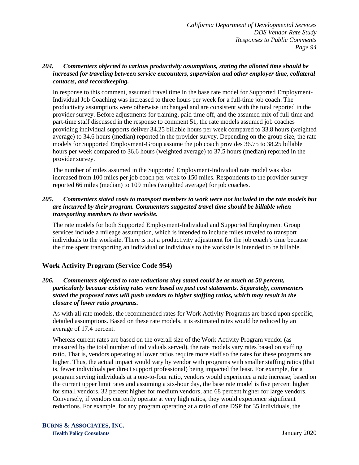#### *204. Commenters objected to various productivity assumptions, stating the allotted time should be increased for traveling between service encounters, supervision and other employer time, collateral contacts, and recordkeeping.*

In response to this comment, assumed travel time in the base rate model for Supported Employment-Individual Job Coaching was increased to three hours per week for a full-time job coach. The productivity assumptions were otherwise unchanged and are consistent with the total reported in the provider survey. Before adjustments for training, paid time off, and the assumed mix of full-time and part-time staff discussed in the response to comment 51, the rate models assumed job coaches providing individual supports deliver 34.25 billable hours per week compared to 33.8 hours (weighted average) to 34.6 hours (median) reported in the provider survey. Depending on the group size, the rate models for Supported Employment-Group assume the job coach provides 36.75 to 38.25 billable hours per week compared to 36.6 hours (weighted average) to 37.5 hours (median) reported in the provider survey.

The number of miles assumed in the Supported Employment-Individual rate model was also increased from 100 miles per job coach per week to 150 miles. Respondents to the provider survey reported 66 miles (median) to 109 miles (weighted average) for job coaches.

### *205. Commenters stated costs to transport members to work were not included in the rate models but are incurred by their program. Commenters suggested travel time should be billable when transporting members to their worksite.*

The rate models for both Supported Employment-Individual and Supported Employment Group services include a mileage assumption, which is intended to include miles traveled to transport individuals to the worksite. There is not a productivity adjustment for the job coach's time because the time spent transporting an individual or individuals to the worksite is intended to be billable.

# **Work Activity Program (Service Code 954)**

### *206. Commenters objected to rate reductions they stated could be as much as 50 percent, particularly because existing rates were based on past cost statements. Separately, commenters stated the proposed rates will push vendors to higher staffing ratios, which may result in the closure of lower ratio programs.*

As with all rate models, the recommended rates for Work Activity Programs are based upon specific, detailed assumptions. Based on these rate models, it is estimated rates would be reduced by an average of 17.4 percent.

Whereas current rates are based on the overall size of the Work Activity Program vendor (as measured by the total number of individuals served), the rate models vary rates based on staffing ratio. That is, vendors operating at lower ratios require more staff so the rates for these programs are higher. Thus, the actual impact would vary by vendor with programs with smaller staffing ratios (that is, fewer individuals per direct support professional) being impacted the least. For example, for a program serving individuals at a one-to-four ratio, vendors would experience a rate increase; based on the current upper limit rates and assuming a six-hour day, the base rate model is five percent higher for small vendors, 32 percent higher for medium vendors, and 68 percent higher for large vendors. Conversely, if vendors currently operate at very high ratios, they would experience significant reductions. For example, for any program operating at a ratio of one DSP for 35 individuals, the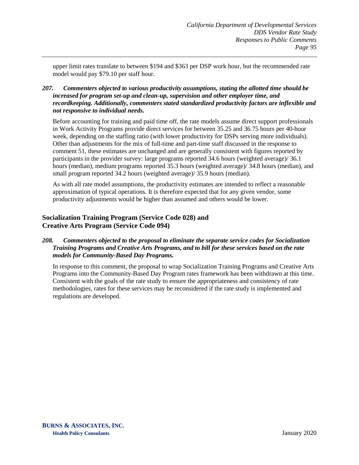upper limit rates translate to between \$194 and \$363 per DSP work hour, but the recommended rate model would pay \$79.10 per staff hour.

## *207. Commenters objected to various productivity assumptions, stating the allotted time should be increased for program set-up and clean-up, supervision and other employer time, and recordkeeping. Additionally, commenters stated standardized productivity factors are inflexible and not responsive to individual needs.*

Before accounting for training and paid time off, the rate models assume direct support professionals in Work Activity Programs provide direct services for between 35.25 and 36.75 hours per 40-hour week, depending on the staffing ratio (with lower productivity for DSPs serving more individuals). Other than adjustments for the mix of full-time and part-time staff discussed in the response to comment 51, these estimates are unchanged and are generally consistent with figures reported by participants in the provider survey: large programs reported 34.6 hours (weighted average)/ 36.1 hours (median), medium programs reported 35.3 hours (weighted average)/ 34.8 hours (median), and small program reported 34.2 hours (weighted average)/ 35.9 hours (median).

As with all rate model assumptions, the productivity estimates are intended to reflect a reasonable approximation of typical operations. It is therefore expected that for any given vendor, some productivity adjustments would be higher than assumed and others would be lower.

# **Socialization Training Program (Service Code 028) and Creative Arts Program (Service Code 094)**

## *208. Commenters objected to the proposal to eliminate the separate service codes for Socialization Training Programs and Creative Arts Programs, and to bill for these services based on the rate models for Community-Based Day Programs.*

In response to this comment, the proposal to wrap Socialization Training Programs and Creative Arts Programs into the Community-Based Day Program rates framework has been withdrawn at this time. Consistent with the goals of the rate study to ensure the appropriateness and consistency of rate methodologies, rates for these services may be reconsidered if the rate study is implemented and regulations are developed.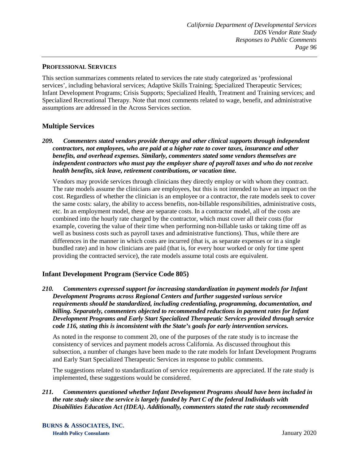#### **PROFESSIONAL SERVICES**

This section summarizes comments related to services the rate study categorized as 'professional services', including behavioral services; Adaptive Skills Training; Specialized Therapeutic Services; Infant Development Programs; Crisis Supports; Specialized Health, Treatment and Training services; and Specialized Recreational Therapy. Note that most comments related to wage, benefit, and administrative assumptions are addressed in the Across Services section.

# **Multiple Services**

*209. Commenters stated vendors provide therapy and other clinical supports through independent contractors, not employees, who are paid at a higher rate to cover taxes, insurance and other benefits, and overhead expenses. Similarly, commenters stated some vendors themselves are independent contractors who must pay the employer share of payroll taxes and who do not receive health benefits, sick leave, retirement contributions, or vacation time.*

Vendors may provide services through clinicians they directly employ or with whom they contract. The rate models assume the clinicians are employees, but this is not intended to have an impact on the cost. Regardless of whether the clinician is an employee or a contractor, the rate models seek to cover the same costs: salary, the ability to access benefits, non-billable responsibilities, administrative costs, etc. In an employment model, these are separate costs. In a contractor model, all of the costs are combined into the hourly rate charged by the contractor, which must cover all their costs (for example, covering the value of their time when performing non-billable tasks or taking time off as well as business costs such as payroll taxes and administrative functions). Thus, while there are differences in the manner in which costs are incurred (that is, as separate expenses or in a single bundled rate) and in how clinicians are paid (that is, for every hour worked or only for time spent providing the contracted service), the rate models assume total costs are equivalent.

# **Infant Development Program (Service Code 805)**

*210. Commenters expressed support for increasing standardization in payment models for Infant Development Programs across Regional Centers and further suggested various service requirements should be standardized, including credentialing, programming, documentation, and billing. Separately, commenters objected to recommended reductions in payment rates for Infant Development Programs and Early Start Specialized Therapeutic Services provided through service code 116, stating this is inconsistent with the State's goals for early intervention services.*

As noted in the response to comment 20, one of the purposes of the rate study is to increase the consistency of services and payment models across California. As discussed throughout this subsection, a number of changes have been made to the rate models for Infant Development Programs and Early Start Specialized Therapeutic Services in response to public comments.

The suggestions related to standardization of service requirements are appreciated. If the rate study is implemented, these suggestions would be considered.

*211. Commenters questioned whether Infant Development Programs should have been included in the rate study since the service is largely funded by Part C of the federal Individuals with Disabilities Education Act (IDEA). Additionally, commenters stated the rate study recommended*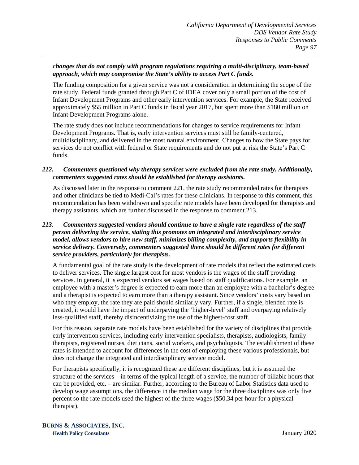### *changes that do not comply with program regulations requiring a multi-disciplinary, team-based approach, which may compromise the State's ability to access Part C funds.*

The funding composition for a given service was not a consideration in determining the scope of the rate study. Federal funds granted through Part C of IDEA cover only a small portion of the cost of Infant Development Programs and other early intervention services. For example, the State received approximately \$55 million in Part C funds in fiscal year 2017, but spent more than \$180 million on Infant Development Programs alone.

The rate study does not include recommendations for changes to service requirements for Infant Development Programs. That is, early intervention services must still be family-centered, multidisciplinary, and delivered in the most natural environment. Changes to how the State pays for services do not conflict with federal or State requirements and do not put at risk the State's Part C funds.

### *212. Commenters questioned why therapy services were excluded from the rate study. Additionally, commenters suggested rates should be established for therapy assistants.*

As discussed later in the response to comment 221, the rate study recommended rates for therapists and other clinicians be tied to Medi-Cal's rates for these clinicians. In response to this comment, this recommendation has been withdrawn and specific rate models have been developed for therapists and therapy assistants, which are further discussed in the response to comment 213.

## *213. Commenters suggested vendors should continue to have a single rate regardless of the staff person delivering the service, stating this promotes an integrated and interdisciplinary service model, allows vendors to hire new staff, minimizes billing complexity, and supports flexibility in service delivery. Conversely, commenters suggested there should be different rates for different service providers, particularly for therapists.*

A fundamental goal of the rate study is the development of rate models that reflect the estimated costs to deliver services. The single largest cost for most vendors is the wages of the staff providing services. In general, it is expected vendors set wages based on staff qualifications. For example, an employee with a master's degree is expected to earn more than an employee with a bachelor's degree and a therapist is expected to earn more than a therapy assistant. Since vendors' costs vary based on who they employ, the rate they are paid should similarly vary. Further, if a single, blended rate is created, it would have the impact of underpaying the 'higher-level' staff and overpaying relatively less-qualified staff, thereby disincentivizing the use of the highest-cost staff.

For this reason, separate rate models have been established for the variety of disciplines that provide early intervention services, including early intervention specialists, therapists, audiologists, family therapists, registered nurses, dieticians, social workers, and psychologists. The establishment of these rates is intended to account for differences in the cost of employing these various professionals, but does not change the integrated and interdisciplinary service model.

For therapists specifically, it is recognized these are different disciplines, but it is assumed the structure of the services – in terms of the typical length of a service, the number of billable hours that can be provided, etc. – are similar. Further, according to the Bureau of Labor Statistics data used to develop wage assumptions, the difference in the median wage for the three disciplines was only five percent so the rate models used the highest of the three wages (\$50.34 per hour for a physical therapist).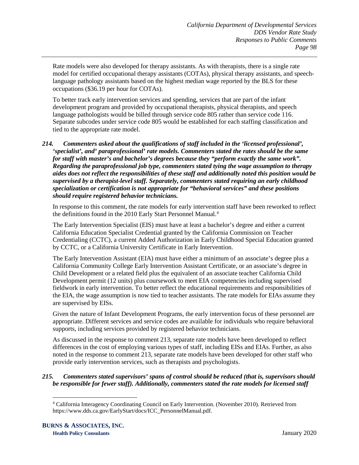Rate models were also developed for therapy assistants. As with therapists, there is a single rate model for certified occupational therapy assistants (COTAs), physical therapy assistants, and speechlanguage pathology assistants based on the highest median wage reported by the BLS for these occupations (\$36.19 per hour for COTAs).

To better track early intervention services and spending, services that are part of the infant development program and provided by occupational therapists, physical therapists, and speech language pathologists would be billed through service code 805 rather than service code 116. Separate subcodes under service code 805 would be established for each staffing classification and tied to the appropriate rate model.

## *214. Commenters asked about the qualifications of staff included in the 'licensed professional', 'specialist', and' paraprofessional' rate models. Commenters stated the rates should be the same for staff with master's and bachelor's degrees because they "perform exactly the same work". Regarding the paraprofessional job type, commenters stated tying the wage assumption to therapy aides does not reflect the responsibilities of these staff and additionally noted this position would be supervised by a therapist-level staff. Separately, commenters stated requiring an early childhood specialization or certification is not appropriate for "behavioral services" and these positions should require registered behavior technicians.*

In response to this comment, the rate models for early intervention staff have been reworked to reflect the definitions found in the 2010 Early Start Personnel Manual.<sup>[4](#page-100-0)</sup>

The Early Intervention Specialist (EIS) must have at least a bachelor's degree and either a current California Education Specialist Credential granted by the California Commission on Teacher Credentialing (CCTC), a current Added Authorization in Early Childhood Special Education granted by CCTC, or a California University Certificate in Early Intervention.

The Early Intervention Assistant (EIA) must have either a minimum of an associate's degree plus a California Community College Early Intervention Assistant Certificate, or an associate's degree in Child Development or a related field plus the equivalent of an associate teacher California Child Development permit (12 units) plus coursework to meet EIA competencies including supervised fieldwork in early intervention. To better reflect the educational requirements and responsibilities of the EIA, the wage assumption is now tied to teacher assistants. The rate models for EIAs assume they are supervised by EISs.

Given the nature of Infant Development Programs, the early intervention focus of these personnel are appropriate. Different services and service codes are available for individuals who require behavioral supports, including services provided by registered behavior technicians.

As discussed in the response to comment 213, separate rate models have been developed to reflect differences in the cost of employing various types of staff, including EISs and EIAs. Further, as also noted in the response to comment 213, separate rate models have been developed for other staff who provide early intervention services, such as therapists and psychologists.

### <span id="page-100-0"></span>*215. Commenters stated supervisors' spans of control should be reduced (that is, supervisors should be responsible for fewer staff). Additionally, commenters stated the rate models for licensed staff*

 <sup>4</sup> California Interagency Coordinating Council on Early Intervention. (November 2010). Retrieved from https://www.dds.ca.gov/EarlyStart/docs/ICC\_PersonnelManual.pdf.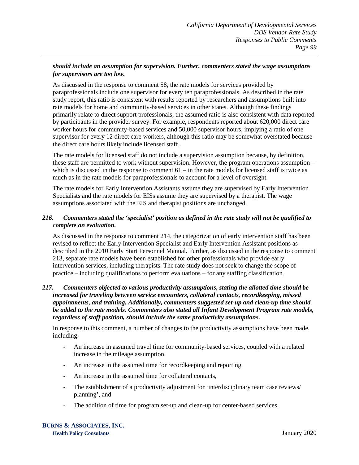## *should include an assumption for supervision. Further, commenters stated the wage assumptions for supervisors are too low.*

As discussed in the response to comment 58, the rate models for services provided by paraprofessionals include one supervisor for every ten paraprofessionals. As described in the rate study report, this ratio is consistent with results reported by researchers and assumptions built into rate models for home and community-based services in other states. Although these findings primarily relate to direct support professionals, the assumed ratio is also consistent with data reported by participants in the provider survey. For example, respondents reported about 620,000 direct care worker hours for community-based services and 50,000 supervisor hours, implying a ratio of one supervisor for every 12 direct care workers, although this ratio may be somewhat overstated because the direct care hours likely include licensed staff.

The rate models for licensed staff do not include a supervision assumption because, by definition, these staff are permitted to work without supervision. However, the program operations assumption – which is discussed in the response to comment  $61 -$  in the rate models for licensed staff is twice as much as in the rate models for paraprofessionals to account for a level of oversight.

The rate models for Early Intervention Assistants assume they are supervised by Early Intervention Specialists and the rate models for EISs assume they are supervised by a therapist. The wage assumptions associated with the EIS and therapist positions are unchanged.

### *216. Commenters stated the 'specialist' position as defined in the rate study will not be qualified to complete an evaluation.*

As discussed in the response to comment 214, the categorization of early intervention staff has been revised to reflect the Early Intervention Specialist and Early Intervention Assistant positions as described in the 2010 Early Start Personnel Manual. Further, as discussed in the response to comment 213, separate rate models have been established for other professionals who provide early intervention services, including therapists. The rate study does not seek to change the scope of practice – including qualifications to perform evaluations – for any staffing classification.

#### *217. Commenters objected to various productivity assumptions, stating the allotted time should be increased for traveling between service encounters, collateral contacts, recordkeeping, missed appointments, and training. Additionally, commenters suggested set-up and clean-up time should be added to the rate models. Commenters also stated all Infant Development Program rate models, regardless of staff position, should include the same productivity assumptions.*

In response to this comment, a number of changes to the productivity assumptions have been made, including:

- An increase in assumed travel time for community-based services, coupled with a related increase in the mileage assumption,
- An increase in the assumed time for recordkeeping and reporting,
- An increase in the assumed time for collateral contacts,
- The establishment of a productivity adjustment for 'interdisciplinary team case reviews/ planning', and
- The addition of time for program set-up and clean-up for center-based services.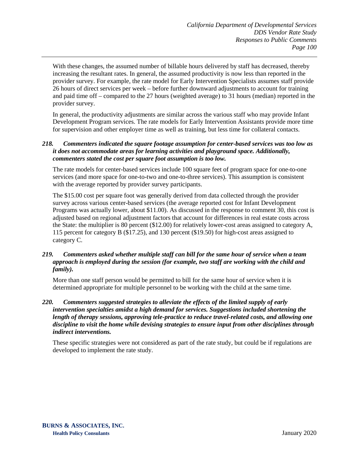With these changes, the assumed number of billable hours delivered by staff has decreased, thereby increasing the resultant rates. In general, the assumed productivity is now less than reported in the provider survey. For example, the rate model for Early Intervention Specialists assumes staff provide 26 hours of direct services per week – before further downward adjustments to account for training and paid time off – compared to the 27 hours (weighted average) to 31 hours (median) reported in the provider survey.

In general, the productivity adjustments are similar across the various staff who may provide Infant Development Program services. The rate models for Early Intervention Assistants provide more time for supervision and other employer time as well as training, but less time for collateral contacts.

#### *218. Commenters indicated the square footage assumption for center-based services was too low as it does not accommodate areas for learning activities and playground space. Additionally, commenters stated the cost per square foot assumption is too low.*

The rate models for center-based services include 100 square feet of program space for one-to-one services (and more space for one-to-two and one-to-three services). This assumption is consistent with the average reported by provider survey participants.

The \$15.00 cost per square foot was generally derived from data collected through the provider survey across various center-based services (the average reported cost for Infant Development Programs was actually lower, about \$11.00). As discussed in the response to comment 30, this cost is adjusted based on regional adjustment factors that account for differences in real estate costs across the State: the multiplier is 80 percent (\$12.00) for relatively lower-cost areas assigned to category A, 115 percent for category B (\$17.25), and 130 percent (\$19.50) for high-cost areas assigned to category C.

## *219. Commenters asked whether multiple staff can bill for the same hour of service when a team approach is employed during the session (for example, two staff are working with the child and family).*

More than one staff person would be permitted to bill for the same hour of service when it is determined appropriate for multiple personnel to be working with the child at the same time.

#### *220. Commenters suggested strategies to alleviate the effects of the limited supply of early intervention specialties amidst a high demand for services. Suggestions included shortening the length of therapy sessions, approving tele-practice to reduce travel-related costs, and allowing one discipline to visit the home while devising strategies to ensure input from other disciplines through indirect interventions.*

These specific strategies were not considered as part of the rate study, but could be if regulations are developed to implement the rate study.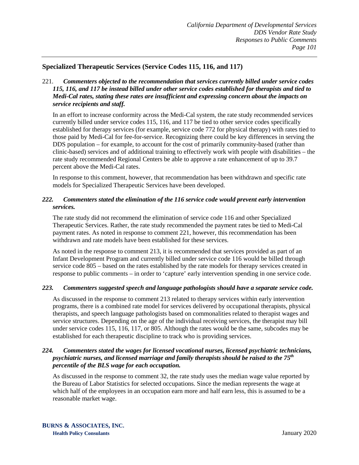## **Specialized Therapeutic Services (Service Codes 115, 116, and 117)**

221. *Commenters objected to the recommendation that services currently billed under service codes 115, 116, and 117 be instead billed under other service codes established for therapists and tied to Medi-Cal rates, stating these rates are insufficient and expressing concern about the impacts on service recipients and staff.*

In an effort to increase conformity across the Medi-Cal system, the rate study recommended services currently billed under service codes 115, 116, and 117 be tied to other service codes specifically established for therapy services (for example, service code 772 for physical therapy) with rates tied to those paid by Medi-Cal for fee-for-service. Recognizing there could be key differences in serving the DDS population – for example, to account for the cost of primarily community-based (rather than clinic-based) services and of additional training to effectively work with people with disabilities – the rate study recommended Regional Centers be able to approve a rate enhancement of up to 39.7 percent above the Medi-Cal rates.

In response to this comment, however, that recommendation has been withdrawn and specific rate models for Specialized Therapeutic Services have been developed.

### *222. Commenters stated the elimination of the 116 service code would prevent early intervention services.*

The rate study did not recommend the elimination of service code 116 and other Specialized Therapeutic Services. Rather, the rate study recommended the payment rates be tied to Medi-Cal payment rates. As noted in response to comment 221, however, this recommendation has been withdrawn and rate models have been established for these services.

As noted in the response to comment 213, it is recommended that services provided as part of an Infant Development Program and currently billed under service code 116 would be billed through service code 805 – based on the rates established by the rate models for therapy services created in response to public comments – in order to 'capture' early intervention spending in one service code.

#### *223. Commenters suggested speech and language pathologists should have a separate service code.*

As discussed in the response to comment 213 related to therapy services within early intervention programs, there is a combined rate model for services delivered by occupational therapists, physical therapists, and speech language pathologists based on commonalities related to therapist wages and service structures. Depending on the age of the individual receiving services, the therapist may bill under service codes 115, 116, 117, or 805. Although the rates would be the same, subcodes may be established for each therapeutic discipline to track who is providing services.

#### *224. Commenters stated the wages for licensed vocational nurses, licensed psychiatric technicians, psychiatric nurses, and licensed marriage and family therapists should be raised to the 75th percentile of the BLS wage for each occupation.*

As discussed in the response to comment 32, the rate study uses the median wage value reported by the Bureau of Labor Statistics for selected occupations. Since the median represents the wage at which half of the employees in an occupation earn more and half earn less, this is assumed to be a reasonable market wage.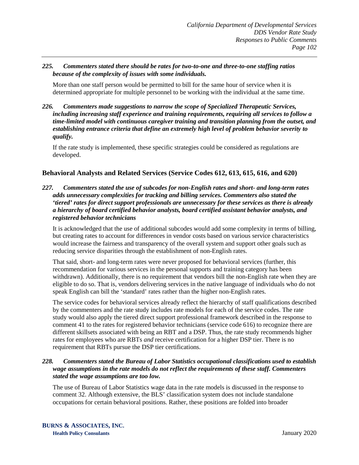### *225. Commenters stated there should be rates for two-to-one and three-to-one staffing ratios because of the complexity of issues with some individuals.*

More than one staff person would be permitted to bill for the same hour of service when it is determined appropriate for multiple personnel to be working with the individual at the same time.

*226. Commenters made suggestions to narrow the scope of Specialized Therapeutic Services, including increasing staff experience and training requirements, requiring all services to follow a time-limited model with continuous caregiver training and transition planning from the outset, and establishing entrance criteria that define an extremely high level of problem behavior severity to qualify.*

If the rate study is implemented, these specific strategies could be considered as regulations are developed.

# **Behavioral Analysts and Related Services (Service Codes 612, 613, 615, 616, and 620)**

*227. Commenters stated the use of subcodes for non-English rates and short- and long-term rates adds unnecessary complexities for tracking and billing services. Commenters also stated the 'tiered' rates for direct support professionals are unnecessary for these services as there is already a hierarchy of board certified behavior analysts, board certified assistant behavior analysts, and registered behavior technicians*

It is acknowledged that the use of additional subcodes would add some complexity in terms of billing, but creating rates to account for differences in vendor costs based on various service characteristics would increase the fairness and transparency of the overall system and support other goals such as reducing service disparities through the establishment of non-English rates.

That said, short- and long-term rates were never proposed for behavioral services (further, this recommendation for various services in the personal supports and training category has been withdrawn). Additionally, there is no requirement that vendors bill the non-English rate when they are eligible to do so. That is, vendors delivering services in the native language of individuals who do not speak English can bill the 'standard' rates rather than the higher non-English rates.

The service codes for behavioral services already reflect the hierarchy of staff qualifications described by the commenters and the rate study includes rate models for each of the service codes. The rate study would also apply the tiered direct support professional framework described in the response to comment 41 to the rates for registered behavior technicians (service code 616) to recognize there are different skillsets associated with being an RBT and a DSP. Thus, the rate study recommends higher rates for employees who are RBTs *and* receive certification for a higher DSP tier. There is no requirement that RBTs pursue the DSP tier certifications.

#### *228. Commenters stated the Bureau of Labor Statistics occupational classifications used to establish wage assumptions in the rate models do not reflect the requirements of these staff. Commenters stated the wage assumptions are too low.*

The use of Bureau of Labor Statistics wage data in the rate models is discussed in the response to comment 32. Although extensive, the BLS' classification system does not include standalone occupations for certain behavioral positions. Rather, these positions are folded into broader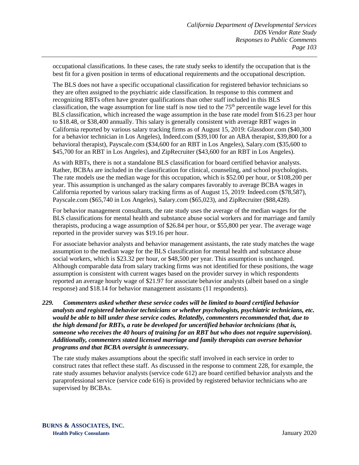occupational classifications. In these cases, the rate study seeks to identify the occupation that is the best fit for a given position in terms of educational requirements and the occupational description.

The BLS does not have a specific occupational classification for registered behavior technicians so they are often assigned to the psychiatric aide classification. In response to this comment and recognizing RBTs often have greater qualifications than other staff included in this BLS classification, the wage assumption for line staff is now tied to the  $75<sup>th</sup>$  percentile wage level for this BLS classification, which increased the wage assumption in the base rate model from \$16.23 per hour to \$18.48, or \$38,400 annually. This salary is generally consistent with average RBT wages in California reported by various salary tracking firms as of August 15, 2019: Glassdoor.com (\$40,300 for a behavior technician in Los Angeles), Indeed.com (\$39,100 for an ABA therapist, \$39,800 for a behavioral therapist), Payscale.com (\$34,600 for an RBT in Los Angeles), Salary.com (\$35,600 to \$45,700 for an RBT in Los Angeles), and ZipRecruiter (\$43,600 for an RBT in Los Angeles).

As with RBTs, there is not a standalone BLS classification for board certified behavior analysts. Rather, BCBAs are included in the classification for clinical, counseling, and school psychologists. The rate models use the median wage for this occupation, which is \$52.00 per hour, or \$108,200 per year. This assumption is unchanged as the salary compares favorably to average BCBA wages in California reported by various salary tracking firms as of August 15, 2019: Indeed.com (\$78,587), Payscale.com (\$65,740 in Los Angeles), Salary.com (\$65,023), and ZipRecruiter (\$88,428).

For behavior management consultants, the rate study uses the average of the median wages for the BLS classifications for mental health and substance abuse social workers and for marriage and family therapists, producing a wage assumption of \$26.84 per hour, or \$55,800 per year. The average wage reported in the provider survey was \$19.16 per hour.

For associate behavior analysts and behavior management assistants, the rate study matches the wage assumption to the median wage for the BLS classification for mental health and substance abuse social workers, which is \$23.32 per hour, or \$48,500 per year. This assumption is unchanged. Although comparable data from salary tracking firms was not identified for these positions, the wage assumption is consistent with current wages based on the provider survey in which respondents reported an average hourly wage of \$21.97 for associate behavior analysts (albeit based on a single response) and \$18.14 for behavior management assistants (11 respondents).

*229. Commenters asked whether these service codes will be limited to board certified behavior analysts and registered behavior technicians or whether psychologists, psychiatric technicians, etc. would be able to bill under these service codes. Relatedly, commenters recommended that, due to the high demand for RBTs, a rate be developed for uncertified behavior technicians (that is, someone who receives the 40 hours of training for an RBT but who does not require supervision). Additionally, commenters stated licensed marriage and family therapists can oversee behavior programs and that BCBA oversight is unnecessary.* 

The rate study makes assumptions about the specific staff involved in each service in order to construct rates that reflect these staff. As discussed in the response to comment 228, for example, the rate study assumes behavior analysts (service code 612) are board certified behavior analysts and the paraprofessional service (service code 616) is provided by registered behavior technicians who are supervised by BCBAs.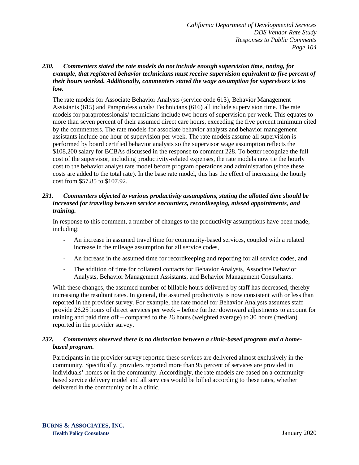#### *230. Commenters stated the rate models do not include enough supervision time, noting, for example, that registered behavior technicians must receive supervision equivalent to five percent of their hours worked. Additionally, commenters stated the wage assumption for supervisors is too low.*

The rate models for Associate Behavior Analysts (service code 613), Behavior Management Assistants (615) and Paraprofessionals/ Technicians (616) all include supervision time. The rate models for paraprofessionals/ technicians include two hours of supervision per week. This equates to more than seven percent of their assumed direct care hours, exceeding the five percent minimum cited by the commenters. The rate models for associate behavior analysts and behavior management assistants include one hour of supervision per week. The rate models assume all supervision is performed by board certified behavior analysts so the supervisor wage assumption reflects the \$108,200 salary for BCBAs discussed in the response to comment 228. To better recognize the full cost of the supervisor, including productivity-related expenses, the rate models now tie the hourly cost to the behavior analyst rate model before program operations and administration (since these costs are added to the total rate). In the base rate model, this has the effect of increasing the hourly cost from \$57.85 to \$107.92.

### *231. Commenters objected to various productivity assumptions, stating the allotted time should be increased for traveling between service encounters, recordkeeping, missed appointments, and training.*

In response to this comment, a number of changes to the productivity assumptions have been made, including:

- An increase in assumed travel time for community-based services, coupled with a related increase in the mileage assumption for all service codes,
- An increase in the assumed time for recordkeeping and reporting for all service codes, and
- The addition of time for collateral contacts for Behavior Analysts, Associate Behavior Analysts, Behavior Management Assistants, and Behavior Management Consultants.

With these changes, the assumed number of billable hours delivered by staff has decreased, thereby increasing the resultant rates. In general, the assumed productivity is now consistent with or less than reported in the provider survey. For example, the rate model for Behavior Analysts assumes staff provide 26.25 hours of direct services per week – before further downward adjustments to account for training and paid time off – compared to the 26 hours (weighted average) to 30 hours (median) reported in the provider survey.

### *232. Commenters observed there is no distinction between a clinic-based program and a homebased program.*

Participants in the provider survey reported these services are delivered almost exclusively in the community. Specifically, providers reported more than 95 percent of services are provided in individuals' homes or in the community. Accordingly, the rate models are based on a communitybased service delivery model and all services would be billed according to these rates, whether delivered in the community or in a clinic.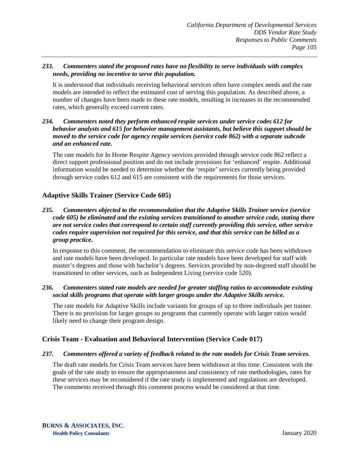## *233. Commenters stated the proposed rates have no flexibility to serve individuals with complex needs, providing no incentive to serve this population.*

It is understood that individuals receiving behavioral services often have complex needs and the rate models are intended to reflect the estimated cost of serving this population. As described above, a number of changes have been made to these rate models, resulting in increases in the recommended rates, which generally exceed current rates.

## *234. Commenters noted they perform enhanced respite services under service codes 612 for behavior analysts and 615 for behavior management assistants, but believe this support should be moved to the service code for agency respite services (service code 862) with a separate subcode and an enhanced rate.*

The rate models for In Home Respite Agency services provided through service code 862 reflect a direct support professional position and do not include provisions for 'enhanced' respite. Additional information would be needed to determine whether the 'respite' services currently being provided through service codes 612 and 615 are consistent with the requirements for those services.

# **Adaptive Skills Trainer (Service Code 605)**

## *235. Commenters objected to the recommendation that the Adaptive Skills Trainer service (service code 605) be eliminated and the existing services transitioned to another service code, stating there are not service codes that correspond to certain staff currently providing this service, other service codes require supervision not required for this service, and that this service can be billed as a group practice.*

In response to this comment, the recommendation to eliminate this service code has been withdrawn and rate models have been developed. In particular rate models have been developed for staff with master's degrees and those with bachelor's degrees. Services provided by non-degreed staff should be transitioned to other services, such as Independent Living (service code 520).

### *236. Commenters stated rate models are needed for greater staffing ratios to accommodate existing social skills programs that operate with larger groups under the Adaptive Skills service.*

The rate models for Adaptive Skills include variants for groups of up to three individuals per trainer. There is no provision for larger groups so programs that currently operate with larger ratios would likely need to change their program design.

# **Crisis Team - Evaluation and Behavioral Intervention (Service Code 017)**

## *237. Commenters offered a variety of feedback related to the rate models for Crisis Team services.*

The draft rate models for Crisis Team services have been withdrawn at this time. Consistent with the goals of the rate study to ensure the appropriateness and consistency of rate methodologies, rates for these services may be reconsidered if the rate study is implemented and regulations are developed. The comments received through this comment process would be considered at that time.